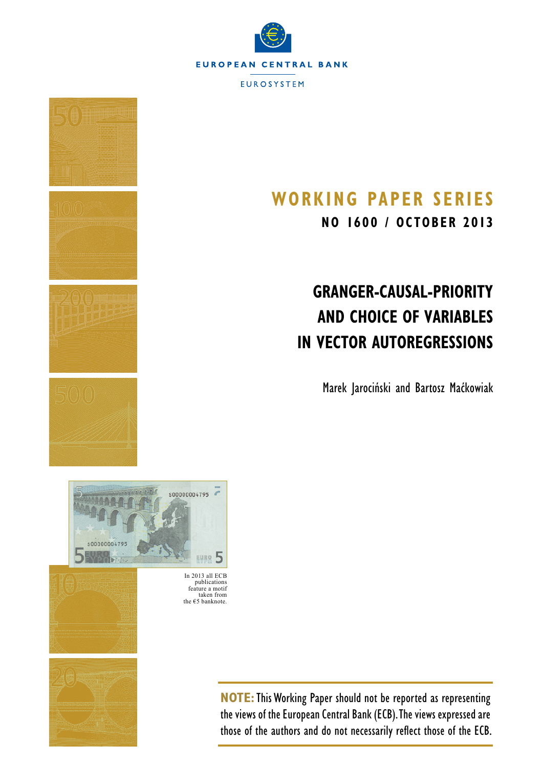



## **Working Paper SerieS**

**NO 1600 / october 2013**

# **Granger-Causal-Priority and Choice of Variables in Vector Autoregressions**

Marek Jarociński and Bartosz Maćkowiak



In 2013 all ECB publications feature a motif taken from the  $€5$  banknote.



**NOTE:**This Working Paper should not be reported as representing the views of the European Central Bank (ECB). The views expressed are those of the authors and do not necessarily reflect those of the ECB.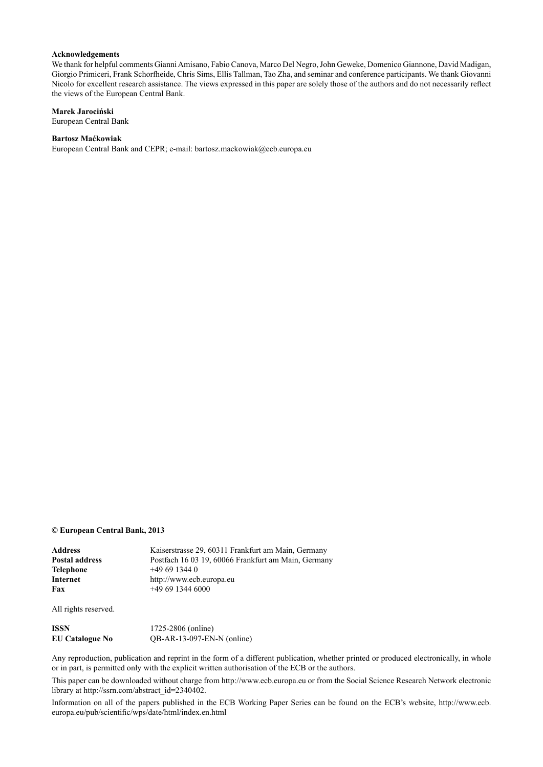#### **Acknowledgements**

We thank for helpful comments Gianni Amisano, Fabio Canova, Marco Del Negro, John Geweke, Domenico Giannone, David Madigan, Giorgio Primiceri, Frank Schorfheide, Chris Sims, Ellis Tallman, Tao Zha, and seminar and conference participants. We thank Giovanni Nicolo for excellent research assistance. The views expressed in this paper are solely those of the authors and do not necessarily reflect the views of the European Central Bank.

#### **Marek Jarociński**

[European Central Bank](http://www.ecb.europa.eu/home/html/index.en.html)

#### **Bartosz Maćkowiak**

[European Central Bank](http://www.ecb.europa.eu/home/html/index.en.html) and [CEPR](http://www.cepr.org/); e-mail: [bartosz.mackowiak@ecb.europa.eu](mailto:bartosz.mackowiak%40ecb.europa.eu?subject=)

#### **© European Central Bank, 2013**

| Address        | Kaiserstrasse 29, 60311 Frankfurt am Main, Germany  |
|----------------|-----------------------------------------------------|
| Postal address | Postfach 16 03 19, 60066 Frankfurt am Main, Germany |
| Telephone      | $+496913440$                                        |
| Internet       | http://www.ecb.europa.eu                            |
| Fax            | $+496913446000$                                     |
|                |                                                     |

All rights reserved.

| ISSN                   | 1725-2806 (online)           |
|------------------------|------------------------------|
| <b>EU Catalogue No</b> | $QB-AR-13-097-EN-N$ (online) |

Any reproduction, publication and reprint in the form of a different publication, whether printed or produced electronically, in whole or in part, is permitted only with the explicit written authorisation of the ECB or the authors.

This paper can be downloaded without charge from http://www.ecb.europa.eu or from the Social Science Research Network electronic library at http://ssrn.com/abstract\_id=2340402.

Information on all of the papers published in the ECB Working Paper Series can be found on the ECB's website, [http://www.ecb.](http://www.ecb.europa.eu/pub/scientific/wps/date/html/index.en.html) [europa.eu/pub/scientific/wps/date/html/index.en.html](http://www.ecb.europa.eu/pub/scientific/wps/date/html/index.en.html)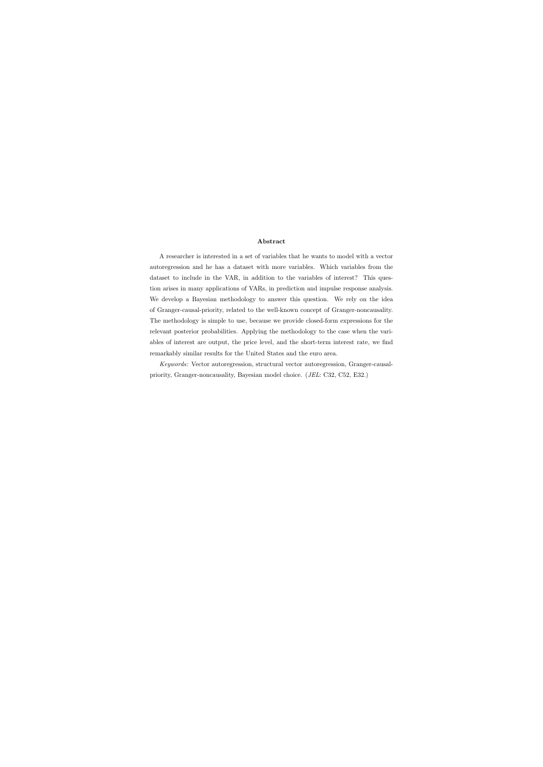#### Abstract

A researcher is interested in a set of variables that he wants to model with a vector autoregression and he has a dataset with more variables. Which variables from the dataset to include in the VAR, in addition to the variables of interest? This question arises in many applications of VARs, in prediction and impulse response analysis. We develop a Bayesian methodology to answer this question. We rely on the idea of Granger-causal-priority, related to the well-known concept of Granger-noncausality. The methodology is simple to use, because we provide closed-form expressions for the relevant posterior probabilities. Applying the methodology to the case when the variables of interest are output, the price level, and the short-term interest rate, we find remarkably similar results for the United States and the euro area.

Keywords: Vector autoregression, structural vector autoregression, Granger-causalpriority, Granger-noncausality, Bayesian model choice. (JEL: C32, C52, E32.)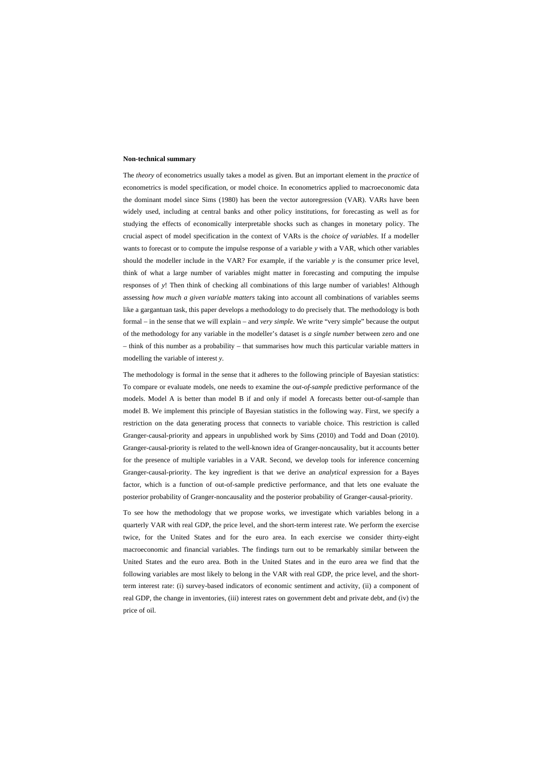#### **Non-technical summary**

The *theory* of econometrics usually takes a model as given. But an important element in the *practice* of econometrics is model specification, or model choice. In econometrics applied to macroeconomic data the dominant model since Sims (1980) has been the vector autoregression (VAR). VARs have been widely used, including at central banks and other policy institutions, for forecasting as well as for studying the effects of economically interpretable shocks such as changes in monetary policy. The crucial aspect of model specification in the context of VARs is the *choice of variables*. If a modeller wants to forecast or to compute the impulse response of a variable *y* with a VAR, which other variables should the modeller include in the VAR? For example, if the variable *y* is the consumer price level, think of what a large number of variables might matter in forecasting and computing the impulse responses of *y*! Then think of checking all combinations of this large number of variables! Although assessing *how much a given variable matters* taking into account all combinations of variables seems like a gargantuan task, this paper develops a methodology to do precisely that. The methodology is both formal – in the sense that we will explain – and *very simple*. We write "very simple" because the output of the methodology for any variable in the modeller's dataset is *a single number* between zero and one – think of this number as a probability – that summarises how much this particular variable matters in modelling the variable of interest *y*.

The methodology is formal in the sense that it adheres to the following principle of Bayesian statistics: To compare or evaluate models, one needs to examine the *out-of-sample* predictive performance of the models. Model A is better than model B if and only if model A forecasts better out-of-sample than model B. We implement this principle of Bayesian statistics in the following way. First, we specify a restriction on the data generating process that connects to variable choice. This restriction is called Granger-causal-priority and appears in unpublished work by Sims (2010) and Todd and Doan (2010). Granger-causal-priority is related to the well-known idea of Granger-noncausality, but it accounts better for the presence of multiple variables in a VAR. Second, we develop tools for inference concerning Granger-causal-priority. The key ingredient is that we derive an *analytical* expression for a Bayes factor, which is a function of out-of-sample predictive performance, and that lets one evaluate the posterior probability of Granger-noncausality and the posterior probability of Granger-causal-priority.

To see how the methodology that we propose works, we investigate which variables belong in a quarterly VAR with real GDP, the price level, and the short-term interest rate. We perform the exercise twice, for the United States and for the euro area. In each exercise we consider thirty-eight macroeconomic and financial variables. The findings turn out to be remarkably similar between the United States and the euro area. Both in the United States and in the euro area we find that the following variables are most likely to belong in the VAR with real GDP, the price level, and the shortterm interest rate: (i) survey-based indicators of economic sentiment and activity, (ii) a component of real GDP, the change in inventories, (iii) interest rates on government debt and private debt, and (iv) the price of oil.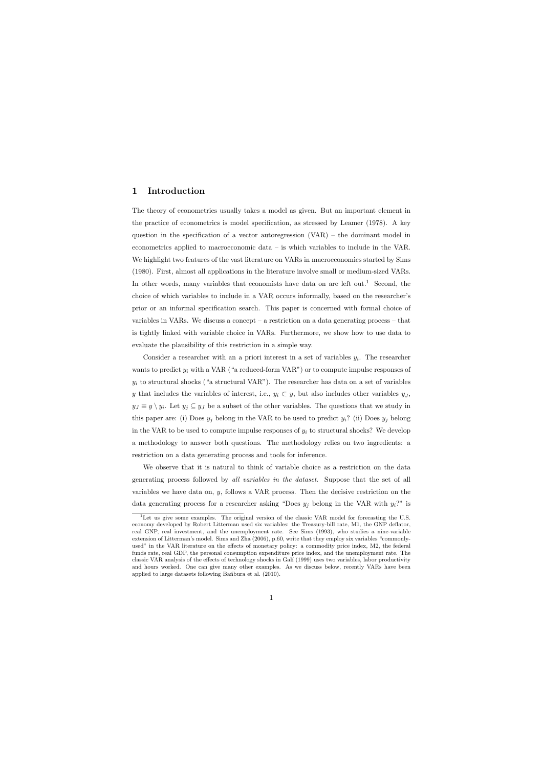## 1 Introduction

The theory of econometrics usually takes a model as given. But an important element in the practice of econometrics is model specification, as stressed by Leamer (1978). A key question in the specification of a vector autoregression (VAR) – the dominant model in econometrics applied to macroeconomic data – is which variables to include in the VAR. We highlight two features of the vast literature on VARs in macroeconomics started by Sims (1980). First, almost all applications in the literature involve small or medium-sized VARs. In other words, many variables that economists have data on are left out.<sup>1</sup> Second, the choice of which variables to include in a VAR occurs informally, based on the researcher's prior or an informal specification search. This paper is concerned with formal choice of variables in VARs. We discuss a concept – a restriction on a data generating process – that is tightly linked with variable choice in VARs. Furthermore, we show how to use data to evaluate the plausibility of this restriction in a simple way.

Consider a researcher with an a priori interest in a set of variables  $y_i$ . The researcher wants to predict  $y_i$  with a VAR ("a reduced-form VAR") or to compute impulse responses of  $y_i$  to structural shocks ("a structural VAR"). The researcher has data on a set of variables y that includes the variables of interest, i.e.,  $y_i \subset y$ , but also includes other variables  $y_j$ ,  $y_j \equiv y \setminus y_i$ . Let  $y_j \subseteq y_j$  be a subset of the other variables. The questions that we study in this paper are: (i) Does  $y_j$  belong in the VAR to be used to predict  $y_i$ ? (ii) Does  $y_j$  belong in the VAR to be used to compute impulse responses of  $y_i$  to structural shocks? We develop a methodology to answer both questions. The methodology relies on two ingredients: a restriction on a data generating process and tools for inference.

We observe that it is natural to think of variable choice as a restriction on the data generating process followed by all variables in the dataset. Suppose that the set of all variables we have data on,  $y$ , follows a VAR process. Then the decisive restriction on the data generating process for a researcher asking "Does  $y_j$  belong in the VAR with  $y_i$ ?" is

 $1$ Let us give some examples. The original version of the classic VAR model for forecasting the U.S. economy developed by Robert Litterman used six variables: the Treasury-bill rate, M1, the GNP deflator, real GNP, real investment, and the unemployment rate. See Sims (1993), who studies a nine-variable extension of Litterman's model. Sims and Zha (2006), p.60, write that they employ six variables "commonlyused" in the VAR literature on the effects of monetary policy: a commodity price index, M2, the federal funds rate, real GDP, the personal consumption expenditure price index, and the unemployment rate. The classic VAR analysis of the effects of technology shocks in Gal´ı (1999) uses two variables, labor productivity and hours worked. One can give many other examples. As we discuss below, recently VARs have been applied to large datasets following Bandbura et al. (2010).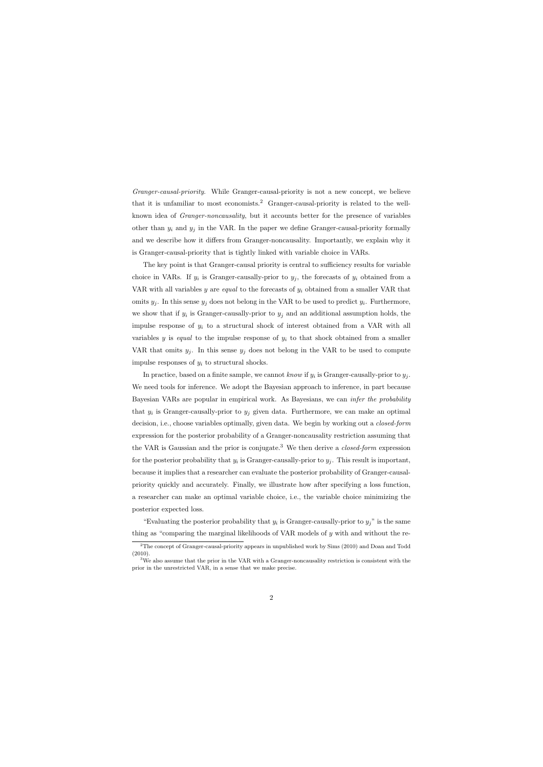Granger-causal-priority. While Granger-causal-priority is not a new concept, we believe that it is unfamiliar to most economists.<sup>2</sup> Granger-causal-priority is related to the wellknown idea of Granger-noncausality, but it accounts better for the presence of variables other than  $y_i$  and  $y_j$  in the VAR. In the paper we define Granger-causal-priority formally and we describe how it differs from Granger-noncausality. Importantly, we explain why it is Granger-causal-priority that is tightly linked with variable choice in VARs.

The key point is that Granger-causal priority is central to sufficiency results for variable choice in VARs. If  $y_i$  is Granger-causally-prior to  $y_j$ , the forecasts of  $y_i$  obtained from a VAR with all variables y are *equal* to the forecasts of  $y_i$  obtained from a smaller VAR that omits  $y_j$ . In this sense  $y_j$  does not belong in the VAR to be used to predict  $y_i$ . Furthermore, we show that if  $y_i$  is Granger-causally-prior to  $y_j$  and an additional assumption holds, the impulse response of  $y_i$  to a structural shock of interest obtained from a VAR with all variables y is equal to the impulse response of  $y_i$  to that shock obtained from a smaller VAR that omits  $y_j$ . In this sense  $y_j$  does not belong in the VAR to be used to compute impulse responses of  $y_i$  to structural shocks.

In practice, based on a finite sample, we cannot know if  $y_i$  is Granger-causally-prior to  $y_j$ . We need tools for inference. We adopt the Bayesian approach to inference, in part because Bayesian VARs are popular in empirical work. As Bayesians, we can infer the probability that  $y_i$  is Granger-causally-prior to  $y_j$  given data. Furthermore, we can make an optimal decision, i.e., choose variables optimally, given data. We begin by working out a *closed-form* expression for the posterior probability of a Granger-noncausality restriction assuming that the VAR is Gaussian and the prior is conjugate.<sup>3</sup> We then derive a *closed-form* expression for the posterior probability that  $y_i$  is Granger-causally-prior to  $y_j$ . This result is important, because it implies that a researcher can evaluate the posterior probability of Granger-causalpriority quickly and accurately. Finally, we illustrate how after specifying a loss function, a researcher can make an optimal variable choice, i.e., the variable choice minimizing the posterior expected loss.

"Evaluating the posterior probability that  $y_i$  is Granger-causally-prior to  $y_j$ " is the same thing as "comparing the marginal likelihoods of VAR models of y with and without the re-

 $2$ The concept of Granger-causal-priority appears in unpublished work by Sims (2010) and Doan and Todd (2010).

<sup>&</sup>lt;sup>3</sup>We also assume that the prior in the VAR with a Granger-noncausality restriction is consistent with the prior in the unrestricted VAR, in a sense that we make precise.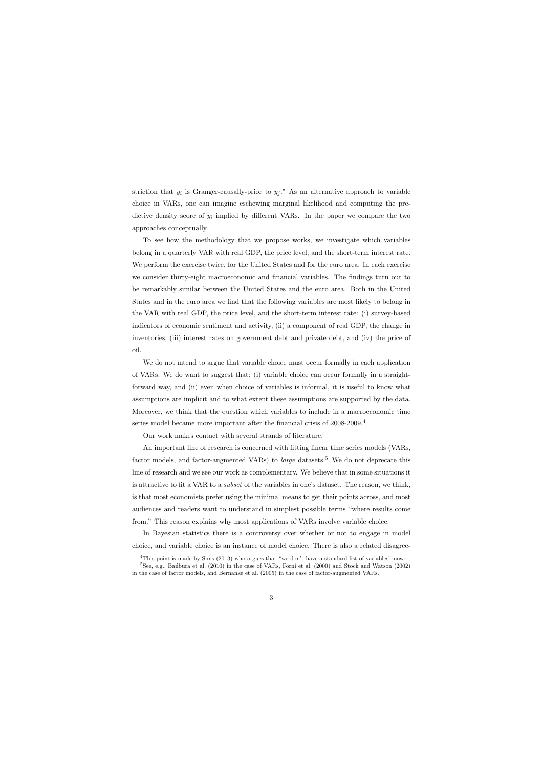striction that  $y_i$  is Granger-causally-prior to  $y_j$ ." As an alternative approach to variable choice in VARs, one can imagine eschewing marginal likelihood and computing the predictive density score of  $y_i$  implied by different VARs. In the paper we compare the two approaches conceptually.

To see how the methodology that we propose works, we investigate which variables belong in a quarterly VAR with real GDP, the price level, and the short-term interest rate. We perform the exercise twice, for the United States and for the euro area. In each exercise we consider thirty-eight macroeconomic and financial variables. The findings turn out to be remarkably similar between the United States and the euro area. Both in the United States and in the euro area we find that the following variables are most likely to belong in the VAR with real GDP, the price level, and the short-term interest rate: (i) survey-based indicators of economic sentiment and activity, (ii) a component of real GDP, the change in inventories, (iii) interest rates on government debt and private debt, and (iv) the price of oil.

We do not intend to argue that variable choice must occur formally in each application of VARs. We do want to suggest that: (i) variable choice can occur formally in a straightforward way, and (ii) even when choice of variables is informal, it is useful to know what assumptions are implicit and to what extent these assumptions are supported by the data. Moreover, we think that the question which variables to include in a macroeconomic time series model became more important after the financial crisis of 2008-2009.<sup>4</sup>

Our work makes contact with several strands of literature.

An important line of research is concerned with fitting linear time series models (VARs, factor models, and factor-augmented VARs) to *large* datasets.<sup>5</sup> We do not deprecate this line of research and we see our work as complementary. We believe that in some situations it is attractive to fit a VAR to a *subset* of the variables in one's dataset. The reason, we think, is that most economists prefer using the minimal means to get their points across, and most audiences and readers want to understand in simplest possible terms "where results come from." This reason explains why most applications of VARs involve variable choice.

In Bayesian statistics there is a controversy over whether or not to engage in model choice, and variable choice is an instance of model choice. There is also a related disagree-

<sup>4</sup>This point is made by Sims (2013) who argues that "we don't have a standard list of variables" now.

 ${}^{5}$ See, e.g., Ban´bura et al. (2010) in the case of VARs, Forni et al. (2000) and Stock and Watson (2002) in the case of factor models, and Bernanke et al. (2005) in the case of factor-augmented VARs.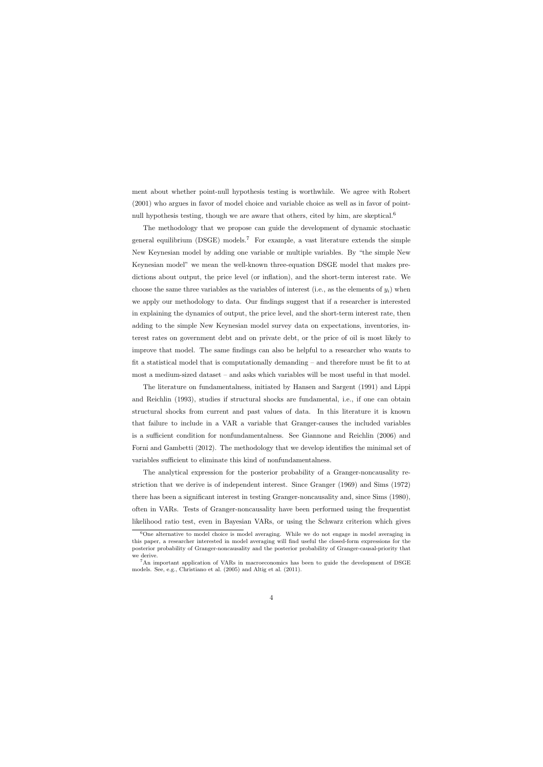ment about whether point-null hypothesis testing is worthwhile. We agree with Robert (2001) who argues in favor of model choice and variable choice as well as in favor of pointnull hypothesis testing, though we are aware that others, cited by him, are skeptical.<sup>6</sup>

The methodology that we propose can guide the development of dynamic stochastic general equilibrium  $(DSGE)$  models.<sup>7</sup> For example, a vast literature extends the simple New Keynesian model by adding one variable or multiple variables. By "the simple New Keynesian model" we mean the well-known three-equation DSGE model that makes predictions about output, the price level (or inflation), and the short-term interest rate. We choose the same three variables as the variables of interest (i.e., as the elements of  $y_i$ ) when we apply our methodology to data. Our findings suggest that if a researcher is interested in explaining the dynamics of output, the price level, and the short-term interest rate, then adding to the simple New Keynesian model survey data on expectations, inventories, interest rates on government debt and on private debt, or the price of oil is most likely to improve that model. The same findings can also be helpful to a researcher who wants to fit a statistical model that is computationally demanding – and therefore must be fit to at most a medium-sized dataset – and asks which variables will be most useful in that model.

The literature on fundamentalness, initiated by Hansen and Sargent (1991) and Lippi and Reichlin (1993), studies if structural shocks are fundamental, i.e., if one can obtain structural shocks from current and past values of data. In this literature it is known that failure to include in a VAR a variable that Granger-causes the included variables is a sufficient condition for nonfundamentalness. See Giannone and Reichlin (2006) and Forni and Gambetti (2012). The methodology that we develop identifies the minimal set of variables sufficient to eliminate this kind of nonfundamentalness.

The analytical expression for the posterior probability of a Granger-noncausality restriction that we derive is of independent interest. Since Granger (1969) and Sims (1972) there has been a significant interest in testing Granger-noncausality and, since Sims (1980), often in VARs. Tests of Granger-noncausality have been performed using the frequentist likelihood ratio test, even in Bayesian VARs, or using the Schwarz criterion which gives

<sup>&</sup>lt;sup>6</sup>One alternative to model choice is model averaging. While we do not engage in model averaging in this paper, a researcher interested in model averaging will find useful the closed-form expressions for the posterior probability of Granger-noncausality and the posterior probability of Granger-causal-priority that we derive.

<sup>7</sup>An important application of VARs in macroeconomics has been to guide the development of DSGE models. See, e.g., Christiano et al. (2005) and Altig et al. (2011).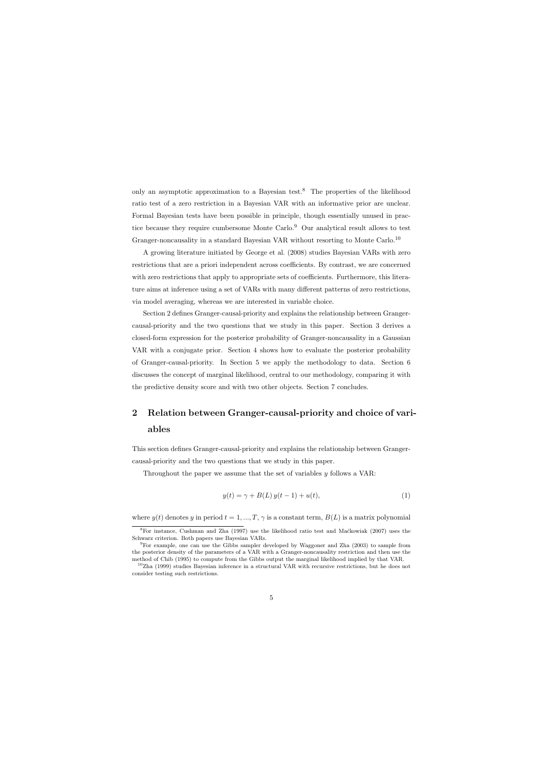only an asymptotic approximation to a Bayesian test.<sup>8</sup> The properties of the likelihood ratio test of a zero restriction in a Bayesian VAR with an informative prior are unclear. Formal Bayesian tests have been possible in principle, though essentially unused in practice because they require cumbersome Monte Carlo.<sup>9</sup> Our analytical result allows to test Granger-noncausality in a standard Bayesian VAR without resorting to Monte Carlo.<sup>10</sup>

A growing literature initiated by George et al. (2008) studies Bayesian VARs with zero restrictions that are a priori independent across coefficients. By contrast, we are concerned with zero restrictions that apply to appropriate sets of coefficients. Furthermore, this literature aims at inference using a set of VARs with many different patterns of zero restrictions, via model averaging, whereas we are interested in variable choice.

Section 2 defines Granger-causal-priority and explains the relationship between Grangercausal-priority and the two questions that we study in this paper. Section 3 derives a closed-form expression for the posterior probability of Granger-noncausality in a Gaussian VAR with a conjugate prior. Section 4 shows how to evaluate the posterior probability of Granger-causal-priority. In Section 5 we apply the methodology to data. Section 6 discusses the concept of marginal likelihood, central to our methodology, comparing it with the predictive density score and with two other objects. Section 7 concludes.

## 2 Relation between Granger-causal-priority and choice of variables

This section defines Granger-causal-priority and explains the relationship between Grangercausal-priority and the two questions that we study in this paper.

Throughout the paper we assume that the set of variables  $y$  follows a VAR:

$$
y(t) = \gamma + B(L) y(t - 1) + u(t),
$$
\n(1)

where  $y(t)$  denotes y in period  $t = 1, ..., T, \gamma$  is a constant term,  $B(L)$  is a matrix polynomial

 ${}^{8}$ For instance, Cushman and Zha (1997) use the likelihood ratio test and Maćkowiak (2007) uses the Schwarz criterion. Both papers use Bayesian VARs.

<sup>&</sup>lt;sup>9</sup>For example, one can use the Gibbs sampler developed by Waggoner and Zha (2003) to sample from the posterior density of the parameters of a VAR with a Granger-noncausality restriction and then use the method of Chib (1995) to compute from the Gibbs output the marginal likelihood implied by that VAR.

 $10Z$ ha (1999) studies Bayesian inference in a structural VAR with recursive restrictions, but he does not consider testing such restrictions.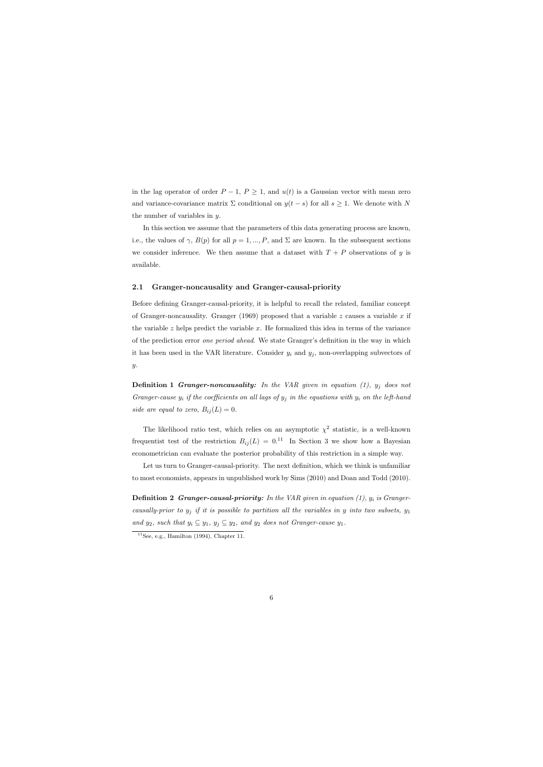in the lag operator of order  $P-1$ ,  $P \geq 1$ , and  $u(t)$  is a Gaussian vector with mean zero and variance-covariance matrix  $\Sigma$  conditional on  $y(t - s)$  for all  $s \geq 1$ . We denote with N the number of variables in y.

In this section we assume that the parameters of this data generating process are known, i.e., the values of  $\gamma$ ,  $B(p)$  for all  $p = 1, ..., P$ , and  $\Sigma$  are known. In the subsequent sections we consider inference. We then assume that a dataset with  $T + P$  observations of y is available.

#### 2.1 Granger-noncausality and Granger-causal-priority

Before defining Granger-causal-priority, it is helpful to recall the related, familiar concept of Granger-noncausality. Granger (1969) proposed that a variable  $z$  causes a variable  $x$  if the variable  $z$  helps predict the variable  $x$ . He formalized this idea in terms of the variance of the prediction error one period ahead. We state Granger's definition in the way in which it has been used in the VAR literature. Consider  $y_i$  and  $y_j$ , non-overlapping subvectors of  $y$ .

**Definition 1 Granger-noncausality:** In the VAR given in equation  $(1)$ ,  $y_j$  does not Granger-cause  $y_i$  if the coefficients on all lags of  $y_j$  in the equations with  $y_i$  on the left-hand side are equal to zero,  $B_{ij}(L) = 0$ .

The likelihood ratio test, which relies on an asymptotic  $\chi^2$  statistic, is a well-known frequentist test of the restriction  $B_{ij}(L) = 0.11$  In Section 3 we show how a Bayesian econometrician can evaluate the posterior probability of this restriction in a simple way.

Let us turn to Granger-causal-priority. The next definition, which we think is unfamiliar to most economists, appears in unpublished work by Sims (2010) and Doan and Todd (2010).

**Definition 2 Granger-causal-priority:** In the VAR given in equation  $(1)$ ,  $y_i$  is Grangercausally-prior to  $y_i$  if it is possible to partition all the variables in y into two subsets,  $y_1$ and  $y_2$ , such that  $y_i \subseteq y_1$ ,  $y_j \subseteq y_2$ , and  $y_2$  does not Granger-cause  $y_1$ .

 $11$ See, e.g., Hamilton (1994), Chapter 11.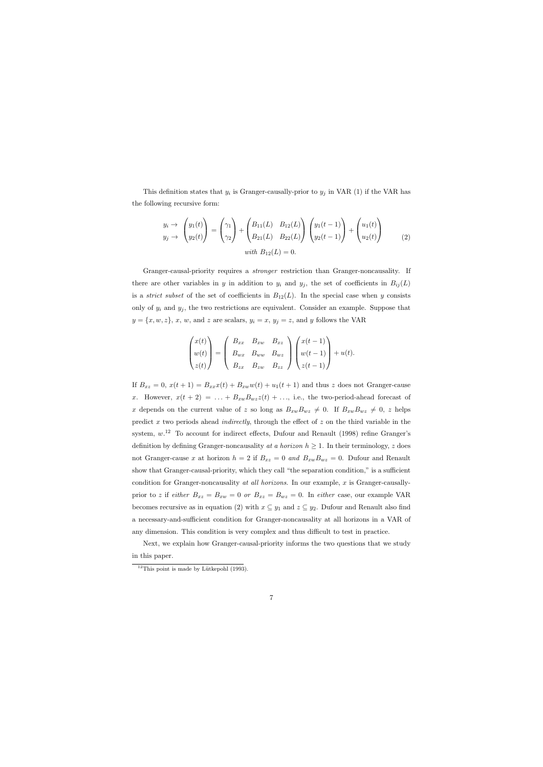This definition states that  $y_i$  is Granger-causally-prior to  $y_j$  in VAR (1) if the VAR has the following recursive form:

$$
y_i \to \begin{pmatrix} y_1(t) \\ y_2(t) \end{pmatrix} = \begin{pmatrix} \gamma_1 \\ \gamma_2 \end{pmatrix} + \begin{pmatrix} B_{11}(L) & B_{12}(L) \\ B_{21}(L) & B_{22}(L) \end{pmatrix} \begin{pmatrix} y_1(t-1) \\ y_2(t-1) \end{pmatrix} + \begin{pmatrix} u_1(t) \\ u_2(t) \end{pmatrix}
$$
  
*with*  $B_{12}(L) = 0$ . (2)

Granger-causal-priority requires a stronger restriction than Granger-noncausality. If there are other variables in y in addition to  $y_i$  and  $y_j$ , the set of coefficients in  $B_{ij}(L)$ is a *strict subset* of the set of coefficients in  $B_{12}(L)$ . In the special case when y consists only of  $y_i$  and  $y_j$ , the two restrictions are equivalent. Consider an example. Suppose that  $y = \{x, w, z\}, x, w$ , and z are scalars,  $y_i = x, y_j = z$ , and y follows the VAR

$$
\begin{pmatrix} x(t) \\ w(t) \\ z(t) \end{pmatrix} = \begin{pmatrix} B_{xx} & B_{xw} & B_{xz} \\ B_{wx} & B_{ww} & B_{wz} \\ B_{zx} & B_{zw} & B_{zz} \end{pmatrix} \begin{pmatrix} x(t-1) \\ w(t-1) \\ z(t-1) \end{pmatrix} + u(t).
$$

If  $B_{xz} = 0$ ,  $x(t+1) = B_{xx}x(t) + B_{xw}w(t) + u_1(t+1)$  and thus z does not Granger-cause x. However,  $x(t + 2) = \ldots + B_{xw}B_{wz}z(t) + \ldots$ , i.e., the two-period-ahead forecast of x depends on the current value of z so long as  $B_{xw}B_{wz} \neq 0$ . If  $B_{xw}B_{wz} \neq 0$ , z helps predict  $x$  two periods ahead *indirectly*, through the effect of  $z$  on the third variable in the system,  $w^{12}$  To account for indirect effects, Dufour and Renault (1998) refine Granger's definition by defining Granger-noncausality at a horizon  $h \geq 1$ . In their terminology, z does not Granger-cause x at horizon  $h = 2$  if  $B_{xz} = 0$  and  $B_{xw}B_{wz} = 0$ . Dufour and Renault show that Granger-causal-priority, which they call "the separation condition," is a sufficient condition for Granger-noncausality at all horizons. In our example, x is Granger-causallyprior to z if either  $B_{xz} = B_{xw} = 0$  or  $B_{xz} = B_{wz} = 0$ . In either case, our example VAR becomes recursive as in equation (2) with  $x \subseteq y_1$  and  $z \subseteq y_2$ . Dufour and Renault also find a necessary-and-sufficient condition for Granger-noncausality at all horizons in a VAR of any dimension. This condition is very complex and thus difficult to test in practice.

Next, we explain how Granger-causal-priority informs the two questions that we study in this paper.

 $12$ This point is made by Lütkepohl (1993).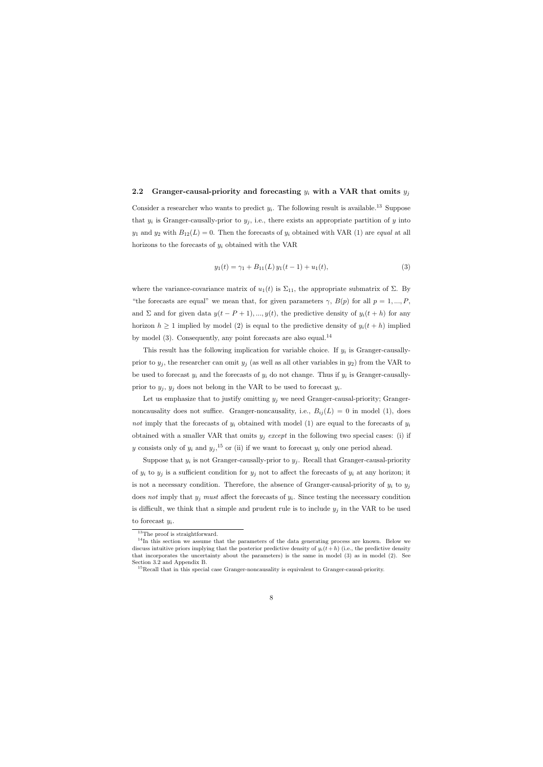#### 2.2 Granger-causal-priority and forecasting  $y_i$  with a VAR that omits  $y_j$

Consider a researcher who wants to predict  $y_i$ . The following result is available.<sup>13</sup> Suppose that  $y_i$  is Granger-causally-prior to  $y_j$ , i.e., there exists an appropriate partition of y into  $y_1$  and  $y_2$  with  $B_{12}(L) = 0$ . Then the forecasts of  $y_i$  obtained with VAR (1) are equal at all horizons to the forecasts of  $y_i$  obtained with the VAR

$$
y_1(t) = \gamma_1 + B_{11}(L) y_1(t-1) + u_1(t), \tag{3}
$$

where the variance-covariance matrix of  $u_1(t)$  is  $\Sigma_{11}$ , the appropriate submatrix of  $\Sigma$ . By "the forecasts are equal" we mean that, for given parameters  $\gamma$ ,  $B(p)$  for all  $p = 1, ..., P$ , and  $\Sigma$  and for given data  $y(t - P + 1), ..., y(t)$ , the predictive density of  $y_i(t + h)$  for any horizon  $h \geq 1$  implied by model (2) is equal to the predictive density of  $y_i(t + h)$  implied by model  $(3)$ . Consequently, any point forecasts are also equal.<sup>14</sup>

This result has the following implication for variable choice. If  $y_i$  is Granger-causallyprior to  $y_j$ , the researcher can omit  $y_j$  (as well as all other variables in  $y_2$ ) from the VAR to be used to forecast  $y_i$  and the forecasts of  $y_i$  do not change. Thus if  $y_i$  is Granger-causallyprior to  $y_j$ ,  $y_j$  does not belong in the VAR to be used to forecast  $y_i$ .

Let us emphasize that to justify omitting  $y_j$  we need Granger-causal-priority; Grangernoncausality does not suffice. Granger-noncausality, i.e.,  $B_{ij}(L) = 0$  in model (1), does not imply that the forecasts of  $y_i$  obtained with model (1) are equal to the forecasts of  $y_i$ obtained with a smaller VAR that omits  $y_j$  except in the following two special cases: (i) if y consists only of  $y_i$  and  $y_j$ ,<sup>15</sup> or (ii) if we want to forecast  $y_i$  only one period ahead.

Suppose that  $y_i$  is not Granger-causally-prior to  $y_j$ . Recall that Granger-causal-priority of  $y_i$  to  $y_j$  is a sufficient condition for  $y_j$  not to affect the forecasts of  $y_i$  at any horizon; it is not a necessary condition. Therefore, the absence of Granger-causal-priority of  $y_i$  to  $y_j$ does not imply that  $y_j$  must affect the forecasts of  $y_i$ . Since testing the necessary condition is difficult, we think that a simple and prudent rule is to include  $y_j$  in the VAR to be used

to forecast  $y_i$ .

<sup>&</sup>lt;sup>13</sup>The proof is straightforward.

<sup>&</sup>lt;sup>14</sup>In this section we assume that the parameters of the data generating process are known. Below we discuss intuitive priors implying that the posterior predictive density of  $y_i(t + h)$  (i.e., the predictive density that incorporates the uncertainty about the parameters) is the same in model (3) as in model (2). See Section 3.2 and Appendix B.

<sup>&</sup>lt;sup>15</sup>Recall that in this special case Granger-noncausality is equivalent to Granger-causal-priority.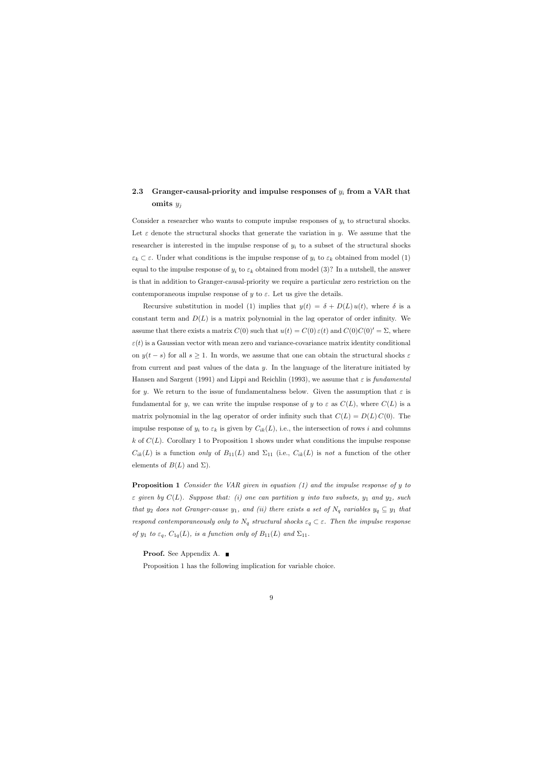## 2.3 Granger-causal-priority and impulse responses of  $y_i$  from a VAR that omits  $y_i$

Consider a researcher who wants to compute impulse responses of  $y_i$  to structural shocks. Let  $\varepsilon$  denote the structural shocks that generate the variation in y. We assume that the researcher is interested in the impulse response of  $y_i$  to a subset of the structural shocks  $\varepsilon_k \subset \varepsilon$ . Under what conditions is the impulse response of  $y_i$  to  $\varepsilon_k$  obtained from model (1) equal to the impulse response of  $y_i$  to  $\varepsilon_k$  obtained from model (3)? In a nutshell, the answer is that in addition to Granger-causal-priority we require a particular zero restriction on the contemporaneous impulse response of y to  $\varepsilon$ . Let us give the details.

Recursive substitution in model (1) implies that  $y(t) = \delta + D(L) u(t)$ , where  $\delta$  is a constant term and  $D(L)$  is a matrix polynomial in the lag operator of order infinity. We assume that there exists a matrix  $C(0)$  such that  $u(t) = C(0) \varepsilon(t)$  and  $C(0)C(0)' = \Sigma$ , where  $\varepsilon(t)$  is a Gaussian vector with mean zero and variance-covariance matrix identity conditional on  $y(t - s)$  for all  $s \ge 1$ . In words, we assume that one can obtain the structural shocks  $\varepsilon$ from current and past values of the data y. In the language of the literature initiated by Hansen and Sargent (1991) and Lippi and Reichlin (1993), we assume that  $\varepsilon$  is fundamental for y. We return to the issue of fundamentalness below. Given the assumption that  $\varepsilon$  is fundamental for y, we can write the impulse response of y to  $\varepsilon$  as  $C(L)$ , where  $C(L)$  is a matrix polynomial in the lag operator of order infinity such that  $C(L) = D(L) C(0)$ . The impulse response of  $y_i$  to  $\varepsilon_k$  is given by  $C_{ik}(L)$ , i.e., the intersection of rows i and columns k of  $C(L)$ . Corollary 1 to Proposition 1 shows under what conditions the impulse response  $C_{ik}(L)$  is a function only of  $B_{11}(L)$  and  $\Sigma_{11}$  (i.e.,  $C_{ik}(L)$  is not a function of the other elements of  $B(L)$  and  $\Sigma$ ).

Proposition 1 Consider the VAR given in equation (1) and the impulse response of y to  $\varepsilon$  given by  $C(L)$ . Suppose that: (i) one can partition y into two subsets,  $y_1$  and  $y_2$ , such that  $y_2$  does not Granger-cause  $y_1$ , and (ii) there exists a set of  $N_q$  variables  $y_q \subseteq y_1$  that respond contemporaneously only to  $N_q$  structural shocks  $\varepsilon_q \subset \varepsilon$ . Then the impulse response of  $y_1$  to  $\varepsilon_q$ ,  $C_{1q}(L)$ , is a function only of  $B_{11}(L)$  and  $\Sigma_{11}$ .

Proof. See Appendix A. ■

Proposition 1 has the following implication for variable choice.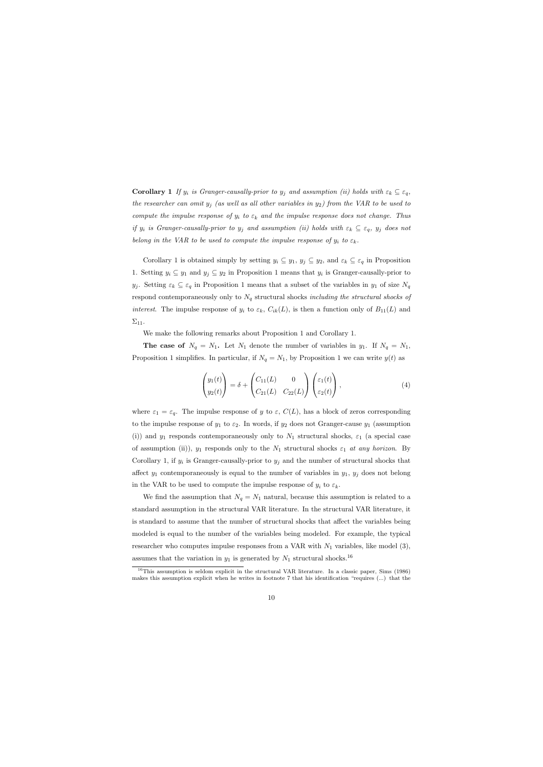**Corollary 1** If  $y_i$  is Granger-causally-prior to  $y_j$  and assumption (ii) holds with  $\varepsilon_k \subseteq \varepsilon_q$ , the researcher can omit  $y_j$  (as well as all other variables in  $y_2$ ) from the VAR to be used to compute the impulse response of  $y_i$  to  $\varepsilon_k$  and the impulse response does not change. Thus if  $y_i$  is Granger-causally-prior to  $y_j$  and assumption (ii) holds with  $\varepsilon_k \subseteq \varepsilon_q$ ,  $y_j$  does not belong in the VAR to be used to compute the impulse response of  $y_i$  to  $\varepsilon_k$ .

Corollary 1 is obtained simply by setting  $y_i \subseteq y_1, y_j \subseteq y_2$ , and  $\varepsilon_k \subseteq \varepsilon_q$  in Proposition 1. Setting  $y_i \subseteq y_1$  and  $y_j \subseteq y_2$  in Proposition 1 means that  $y_i$  is Granger-causally-prior to y<sub>j</sub>. Setting  $\varepsilon_k \subseteq \varepsilon_q$  in Proposition 1 means that a subset of the variables in y<sub>1</sub> of size  $N_q$ respond contemporaneously only to  $N_q$  structural shocks including the structural shocks of interest. The impulse response of  $y_i$  to  $\varepsilon_k$ ,  $C_{ik}(L)$ , is then a function only of  $B_{11}(L)$  and  $\Sigma_{11}$ .

We make the following remarks about Proposition 1 and Corollary 1.

The case of  $N_q = N_1$ . Let  $N_1$  denote the number of variables in  $y_1$ . If  $N_q = N_1$ , Proposition 1 simplifies. In particular, if  $N_q = N_1$ , by Proposition 1 we can write  $y(t)$  as

$$
\begin{pmatrix} y_1(t) \\ y_2(t) \end{pmatrix} = \delta + \begin{pmatrix} C_{11}(L) & 0 \\ C_{21}(L) & C_{22}(L) \end{pmatrix} \begin{pmatrix} \varepsilon_1(t) \\ \varepsilon_2(t) \end{pmatrix}, \tag{4}
$$

where  $\varepsilon_1 = \varepsilon_q$ . The impulse response of y to  $\varepsilon$ ,  $C(L)$ , has a block of zeros corresponding to the impulse response of  $y_1$  to  $\varepsilon_2$ . In words, if  $y_2$  does not Granger-cause  $y_1$  (assumption (i)) and  $y_1$  responds contemporaneously only to  $N_1$  structural shocks,  $\varepsilon_1$  (a special case of assumption (ii)),  $y_1$  responds only to the  $N_1$  structural shocks  $\varepsilon_1$  at any horizon. By Corollary 1, if  $y_i$  is Granger-causally-prior to  $y_j$  and the number of structural shocks that affect  $y_1$  contemporaneously is equal to the number of variables in  $y_1$ ,  $y_j$  does not belong in the VAR to be used to compute the impulse response of  $y_i$  to  $\varepsilon_k$ .

We find the assumption that  $N_q = N_1$  natural, because this assumption is related to a standard assumption in the structural VAR literature. In the structural VAR literature, it is standard to assume that the number of structural shocks that affect the variables being modeled is equal to the number of the variables being modeled. For example, the typical researcher who computes impulse responses from a VAR with  $N_1$  variables, like model (3), assumes that the variation in  $y_1$  is generated by  $N_1$  structural shocks.<sup>16</sup>

<sup>&</sup>lt;sup>16</sup>This assumption is seldom explicit in the structural VAR literature. In a classic paper, Sims (1986) makes this assumption explicit when he writes in footnote 7 that his identification "requires (...) that the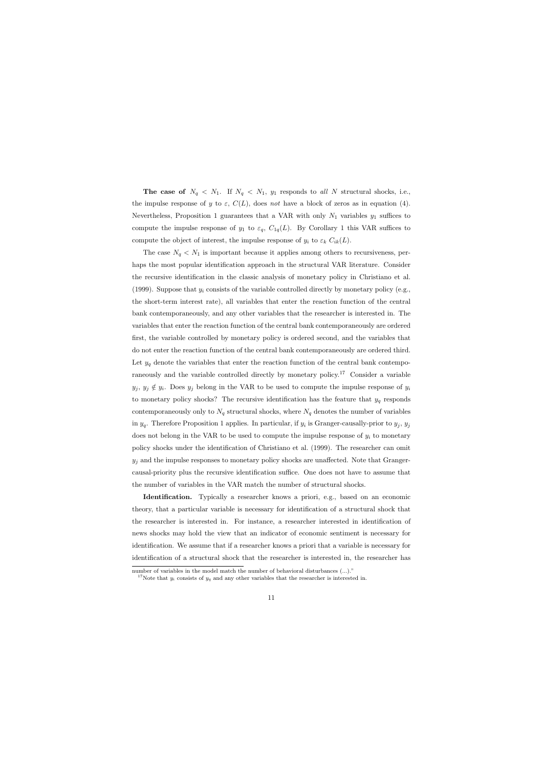The case of  $N_q \leq N_1$ . If  $N_q \leq N_1$ ,  $y_1$  responds to all N structural shocks, i.e., the impulse response of y to  $\varepsilon$ ,  $C(L)$ , does not have a block of zeros as in equation (4). Nevertheless, Proposition 1 guarantees that a VAR with only  $N_1$  variables  $y_1$  suffices to compute the impulse response of  $y_1$  to  $\varepsilon_q$ ,  $C_{1q}(L)$ . By Corollary 1 this VAR suffices to compute the object of interest, the impulse response of  $y_i$  to  $\varepsilon_k C_{ik}(L)$ .

The case  $N_q \leq N_1$  is important because it applies among others to recursiveness, perhaps the most popular identification approach in the structural VAR literature. Consider the recursive identification in the classic analysis of monetary policy in Christiano et al. (1999). Suppose that  $y_i$  consists of the variable controlled directly by monetary policy (e.g., the short-term interest rate), all variables that enter the reaction function of the central bank contemporaneously, and any other variables that the researcher is interested in. The variables that enter the reaction function of the central bank contemporaneously are ordered first, the variable controlled by monetary policy is ordered second, and the variables that do not enter the reaction function of the central bank contemporaneously are ordered third. Let  $y_q$  denote the variables that enter the reaction function of the central bank contemporaneously and the variable controlled directly by monetary policy.<sup>17</sup> Consider a variable  $y_j, y_j \notin y_i$ . Does  $y_j$  belong in the VAR to be used to compute the impulse response of  $y_i$ to monetary policy shocks? The recursive identification has the feature that  $y_q$  responds contemporaneously only to  $N_q$  structural shocks, where  $N_q$  denotes the number of variables in  $y_q$ . Therefore Proposition 1 applies. In particular, if  $y_i$  is Granger-causally-prior to  $y_j$ ,  $y_j$ does not belong in the VAR to be used to compute the impulse response of  $y_i$  to monetary policy shocks under the identification of Christiano et al. (1999). The researcher can omit  $y_j$  and the impulse responses to monetary policy shocks are unaffected. Note that Grangercausal-priority plus the recursive identification suffice. One does not have to assume that the number of variables in the VAR match the number of structural shocks.

Identification. Typically a researcher knows a priori, e.g., based on an economic theory, that a particular variable is necessary for identification of a structural shock that the researcher is interested in. For instance, a researcher interested in identification of news shocks may hold the view that an indicator of economic sentiment is necessary for identification. We assume that if a researcher knows a priori that a variable is necessary for identification of a structural shock that the researcher is interested in, the researcher has

number of variables in the model match the number of behavioral disturbances (...)."

<sup>&</sup>lt;sup>17</sup>Note that  $y_i$  consists of  $y_q$  and any other variables that the researcher is interested in.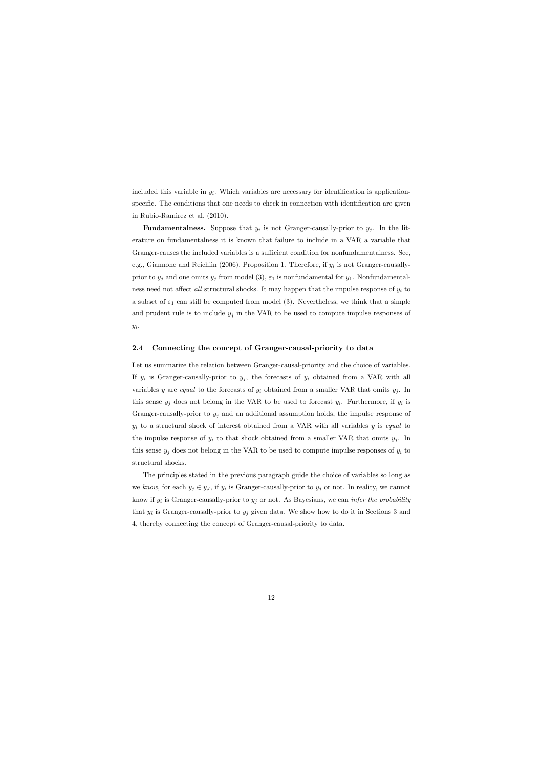included this variable in  $y_i$ . Which variables are necessary for identification is applicationspecific. The conditions that one needs to check in connection with identification are given in Rubio-Ramirez et al. (2010).

**Fundamentalness.** Suppose that  $y_i$  is not Granger-causally-prior to  $y_j$ . In the literature on fundamentalness it is known that failure to include in a VAR a variable that Granger-causes the included variables is a sufficient condition for nonfundamentalness. See, e.g., Giannone and Reichlin (2006), Proposition 1. Therefore, if  $y_i$  is not Granger-causallyprior to  $y_j$  and one omits  $y_j$  from model (3),  $\varepsilon_1$  is nonfundamental for  $y_1$ . Nonfundamentalness need not affect all structural shocks. It may happen that the impulse response of  $y_i$  to a subset of  $\varepsilon_1$  can still be computed from model (3). Nevertheless, we think that a simple and prudent rule is to include  $y_j$  in the VAR to be used to compute impulse responses of  $y_i$ .

### 2.4 Connecting the concept of Granger-causal-priority to data

Let us summarize the relation between Granger-causal-priority and the choice of variables. If  $y_i$  is Granger-causally-prior to  $y_j$ , the forecasts of  $y_i$  obtained from a VAR with all variables y are equal to the forecasts of  $y_i$  obtained from a smaller VAR that omits  $y_j$ . In this sense  $y_j$  does not belong in the VAR to be used to forecast  $y_i$ . Furthermore, if  $y_i$  is Granger-causally-prior to  $y_j$  and an additional assumption holds, the impulse response of  $y_i$  to a structural shock of interest obtained from a VAR with all variables y is equal to the impulse response of  $y_i$  to that shock obtained from a smaller VAR that omits  $y_j$ . In this sense  $y_j$  does not belong in the VAR to be used to compute impulse responses of  $y_i$  to structural shocks.

The principles stated in the previous paragraph guide the choice of variables so long as we know, for each  $y_j \in y_j$ , if  $y_i$  is Granger-causally-prior to  $y_j$  or not. In reality, we cannot know if  $y_i$  is Granger-causally-prior to  $y_j$  or not. As Bayesians, we can *infer the probability* that  $y_i$  is Granger-causally-prior to  $y_j$  given data. We show how to do it in Sections 3 and 4, thereby connecting the concept of Granger-causal-priority to data.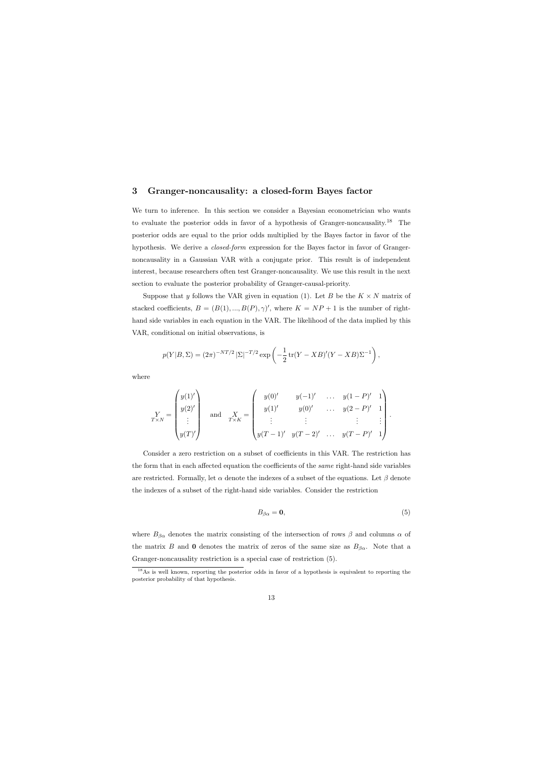## 3 Granger-noncausality: a closed-form Bayes factor

We turn to inference. In this section we consider a Bayesian econometrician who wants to evaluate the posterior odds in favor of a hypothesis of Granger-noncausality.<sup>18</sup> The posterior odds are equal to the prior odds multiplied by the Bayes factor in favor of the hypothesis. We derive a *closed-form* expression for the Bayes factor in favor of Grangernoncausality in a Gaussian VAR with a conjugate prior. This result is of independent interest, because researchers often test Granger-noncausality. We use this result in the next section to evaluate the posterior probability of Granger-causal-priority.

Suppose that y follows the VAR given in equation (1). Let B be the  $K \times N$  matrix of stacked coefficients,  $B = (B(1), ..., B(P), \gamma)'$ , where  $K = NP + 1$  is the number of righthand side variables in each equation in the VAR. The likelihood of the data implied by this VAR, conditional on initial observations, is

$$
p(Y|B, \Sigma) = (2\pi)^{-NT/2} |\Sigma|^{-T/2} \exp\left(-\frac{1}{2} \text{tr}(Y - XB)'(Y - XB)\Sigma^{-1}\right),
$$

where

$$
Y_{XN} = \begin{pmatrix} y(1)' \\ y(2)' \\ \vdots \\ y(T)' \end{pmatrix} \text{ and } \frac{X}{T \times K} = \begin{pmatrix} y(0)' & y(-1)' & \dots & y(1-P)' & 1 \\ y(1)' & y(0)' & \dots & y(2-P)' & 1 \\ \vdots & \vdots & \vdots & \vdots & \vdots \\ y(T-1)' & y(T-2)' & \dots & y(T-P)' & 1 \end{pmatrix}.
$$

Consider a zero restriction on a subset of coefficients in this VAR. The restriction has the form that in each affected equation the coefficients of the same right-hand side variables are restricted. Formally, let  $\alpha$  denote the indexes of a subset of the equations. Let  $\beta$  denote the indexes of a subset of the right-hand side variables. Consider the restriction

$$
B_{\beta\alpha} = \mathbf{0},\tag{5}
$$

where  $B_{\beta\alpha}$  denotes the matrix consisting of the intersection of rows  $\beta$  and columns  $\alpha$  of the matrix B and 0 denotes the matrix of zeros of the same size as  $B_{\beta\alpha}$ . Note that a Granger-noncausality restriction is a special case of restriction (5).

<sup>&</sup>lt;sup>18</sup>As is well known, reporting the posterior odds in favor of a hypothesis is equivalent to reporting the posterior probability of that hypothesis.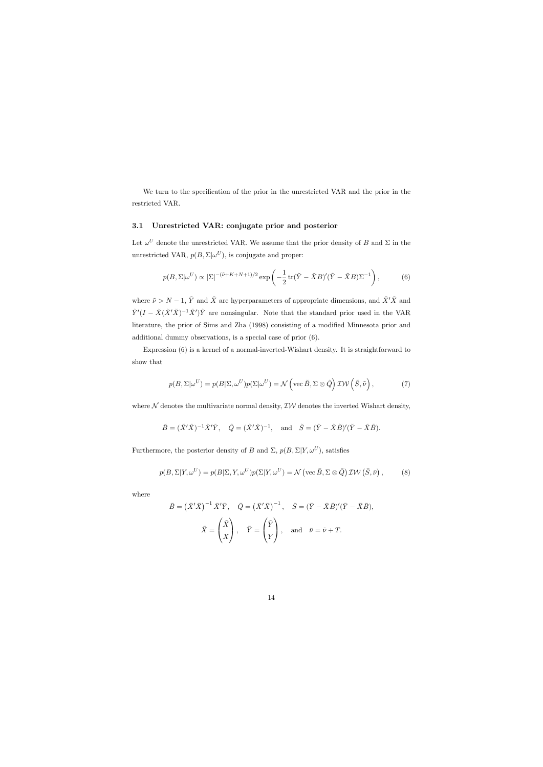We turn to the specification of the prior in the unrestricted VAR and the prior in the restricted VAR.

## 3.1 Unrestricted VAR: conjugate prior and posterior

Let  $\omega^U$  denote the unrestricted VAR. We assume that the prior density of B and  $\Sigma$  in the unrestricted VAR,  $p(B, \Sigma | \omega^U)$ , is conjugate and proper:

$$
p(B, \Sigma | \omega^U) \propto |\Sigma|^{-(\tilde{\nu} + K + N + 1)/2} \exp\left(-\frac{1}{2} \operatorname{tr}(\tilde{Y} - \tilde{X}B)'(\tilde{Y} - \tilde{X}B)\Sigma^{-1}\right),\tag{6}
$$

where  $\tilde{\nu} > N - 1$ ,  $\tilde{Y}$  and  $\tilde{X}$  are hyperparameters of appropriate dimensions, and  $\tilde{X}'\tilde{X}$  and  $\tilde{Y}'(I - \tilde{X}(\tilde{X}'\tilde{X})^{-1}\tilde{X}')\tilde{Y}$  are nonsingular. Note that the standard prior used in the VAR literature, the prior of Sims and Zha (1998) consisting of a modified Minnesota prior and additional dummy observations, is a special case of prior (6).

Expression (6) is a kernel of a normal-inverted-Wishart density. It is straightforward to show that

$$
p(B, \Sigma | \omega^U) = p(B | \Sigma, \omega^U) p(\Sigma | \omega^U) = \mathcal{N}\left(\text{vec } \tilde{B}, \Sigma \otimes \tilde{Q}\right) \mathcal{IW}\left(\tilde{S}, \tilde{\nu}\right),\tag{7}
$$

where  $N$  denotes the multivariate normal density,  $\mathcal{IW}$  denotes the inverted Wishart density,

$$
\tilde{B} = (\tilde{X}'\tilde{X})^{-1}\tilde{X}'\tilde{Y}, \quad \tilde{Q} = (\tilde{X}'\tilde{X})^{-1}, \text{ and } \tilde{S} = (\tilde{Y} - \tilde{X}\tilde{B})'(\tilde{Y} - \tilde{X}\tilde{B}).
$$

Furthermore, the posterior density of B and  $\Sigma$ ,  $p(B, \Sigma | Y, \omega^U)$ , satisfies

$$
p(B, \Sigma | Y, \omega^U) = p(B | \Sigma, Y, \omega^U) p(\Sigma | Y, \omega^U) = \mathcal{N}\left(\text{vec } \bar{B}, \Sigma \otimes \bar{Q}\right) \mathcal{IW}\left(\bar{S}, \bar{\nu}\right),\tag{8}
$$

where

$$
\bar{B} = (\bar{X}'\bar{X})^{-1}\bar{X}'\bar{Y}, \quad \bar{Q} = (\bar{X}'\bar{X})^{-1}, \quad \bar{S} = (\bar{Y} - \bar{X}\bar{B})'(\bar{Y} - \bar{X}\bar{B}),
$$

$$
\bar{X} = \begin{pmatrix} \tilde{X} \\ X \end{pmatrix}, \quad \bar{Y} = \begin{pmatrix} \tilde{Y} \\ Y \end{pmatrix}, \text{ and } \bar{\nu} = \tilde{\nu} + T.
$$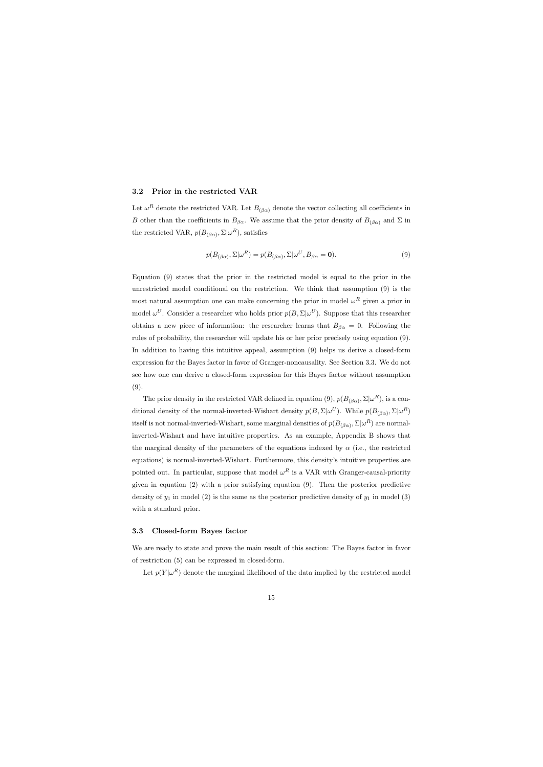#### 3.2 Prior in the restricted VAR

Let  $\omega^R$  denote the restricted VAR. Let  $B_{(\beta\alpha)}$  denote the vector collecting all coefficients in B other than the coefficients in  $B_{\beta\alpha}$ . We assume that the prior density of  $B_{(\beta\alpha)}$  and  $\Sigma$  in the restricted VAR,  $p(B_{(\beta\alpha)}, \Sigma | \omega^R)$ , satisfies

$$
p(B_{(\beta\alpha)}, \Sigma | \omega^R) = p(B_{(\beta\alpha)}, \Sigma | \omega^U, B_{\beta\alpha} = \mathbf{0}).
$$
\n(9)

Equation (9) states that the prior in the restricted model is equal to the prior in the unrestricted model conditional on the restriction. We think that assumption (9) is the most natural assumption one can make concerning the prior in model  $\omega^R$  given a prior in model  $\omega^U$ . Consider a researcher who holds prior  $p(B, \Sigma | \omega^U)$ . Suppose that this researcher obtains a new piece of information: the researcher learns that  $B_{\beta\alpha} = 0$ . Following the rules of probability, the researcher will update his or her prior precisely using equation (9). In addition to having this intuitive appeal, assumption (9) helps us derive a closed-form expression for the Bayes factor in favor of Granger-noncausality. See Section 3.3. We do not see how one can derive a closed-form expression for this Bayes factor without assumption (9).

The prior density in the restricted VAR defined in equation (9),  $p(B_{(\beta\alpha)}, \Sigma | \omega^R)$ , is a conditional density of the normal-inverted-Wishart density  $p(B, \Sigma | \omega^U)$ . While  $p(B_{(\beta \alpha)}, \Sigma | \omega^R)$ itself is not normal-inverted-Wishart, some marginal densities of  $p(B_{(\beta\alpha)}, \Sigma | \omega^R)$  are normalinverted-Wishart and have intuitive properties. As an example, Appendix B shows that the marginal density of the parameters of the equations indexed by  $\alpha$  (i.e., the restricted equations) is normal-inverted-Wishart. Furthermore, this density's intuitive properties are pointed out. In particular, suppose that model  $\omega^R$  is a VAR with Granger-causal-priority given in equation (2) with a prior satisfying equation (9). Then the posterior predictive density of  $y_1$  in model (2) is the same as the posterior predictive density of  $y_1$  in model (3) with a standard prior.

#### 3.3 Closed-form Bayes factor

We are ready to state and prove the main result of this section: The Bayes factor in favor of restriction (5) can be expressed in closed-form.

Let  $p(Y|\omega^R)$  denote the marginal likelihood of the data implied by the restricted model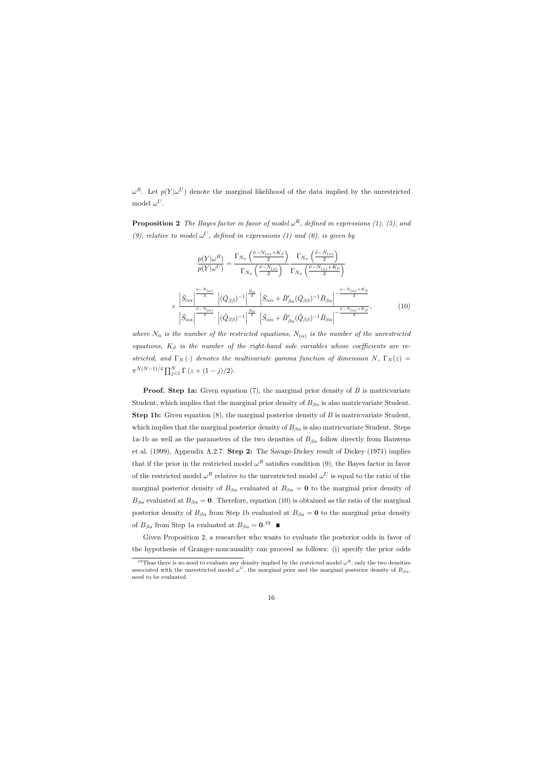$\omega^R$ . Let  $p(Y|\omega^U)$  denote the marginal likelihood of the data implied by the unrestricted model  $\omega^U$ .

**Proposition 2** The Bayes factor in favor of model  $\omega^R$ , defined in expressions (1), (5), and (9), relative to model  $\omega^U$ , defined in expressions (1) and (6), is given by

$$
\frac{p(Y|\omega^{R})}{p(Y|\omega^{U})} = \frac{\Gamma_{N_{\alpha}}\left(\frac{\bar{\nu}-N_{(\alpha)}+K_{\beta}}{2}\right)}{\Gamma_{N_{\alpha}}\left(\frac{\bar{\nu}-N_{(\alpha)}}{2}\right)} \frac{\Gamma_{N_{\alpha}}\left(\frac{\tilde{\nu}-N_{(\alpha)}}{2}\right)}{\Gamma_{N_{\alpha}}\left(\frac{\tilde{\nu}-N_{(\alpha)}+K_{\beta}}{2}\right)}
$$
\n
$$
\times \frac{\left|\bar{S}_{\alpha\alpha}\right|^{\frac{\tilde{\nu}-N_{(\alpha)}}{2}}\left|(\bar{Q}_{\beta\beta})^{-1}\right|^{\frac{N_{\alpha}}{2}}\left|\bar{S}_{\alpha\alpha}+\bar{B}_{\beta\alpha}'(\bar{Q}_{\beta\beta})^{-1}\bar{B}_{\beta\alpha}\right|^{-\frac{\tilde{\nu}-N_{(\alpha)}+K_{\beta}}{2}}
$$
\n
$$
\left|\tilde{S}_{\alpha\alpha}\right|^{\frac{\tilde{\nu}-N_{(\alpha)}}{2}}\left|(\tilde{Q}_{\beta\beta})^{-1}\right|^{\frac{N_{\alpha}}{2}}\left|\tilde{S}_{\alpha\alpha}+\tilde{B}_{\beta\alpha}'(\tilde{Q}_{\beta\beta})^{-1}\tilde{B}_{\beta\alpha}\right|^{-\frac{\tilde{\nu}-N_{(\alpha)}+K_{\beta}}{2}},\tag{10}
$$

where  $N_{\alpha}$  is the number of the restricted equations,  $N_{(\alpha)}$  is the number of the unrestricted equations,  $K_{\beta}$  is the number of the right-hand side variables whose coefficients are restricted, and  $\Gamma_N(\cdot)$  denotes the multivariate gamma function of dimension N,  $\Gamma_N(z)$  =  $\pi^{N(N-1)/4} \prod_{j=1}^N \Gamma(z + (1-j)/2).$ 

**Proof.** Step 1a: Given equation (7), the marginal prior density of  $B$  is matricvariate Student, which implies that the marginal prior density of  $B_{\beta\alpha}$  is also matricvariate Student. Step 1b: Given equation (8), the marginal posterior density of B is matricvariate Student, which implies that the marginal posterior density of  $B_{\beta\alpha}$  is also matricvariate Student. Steps 1a-1b as well as the parameters of the two densities of  $B_{\beta\alpha}$  follow directly from Bauwens et al. (1999), Appendix A.2.7. Step 2: The Savage-Dickey result of Dickey (1971) implies that if the prior in the restricted model  $\omega^R$  satisfies condition (9), the Bayes factor in favor of the restricted model  $\omega^R$  relative to the unrestricted model  $\omega^U$  is equal to the ratio of the marginal posterior density of  $B_{\beta\alpha}$  evaluated at  $B_{\beta\alpha} = \mathbf{0}$  to the marginal prior density of  $B_{\beta\alpha}$  evaluated at  $B_{\beta\alpha} = 0$ . Therefore, equation (10) is obtained as the ratio of the marginal posterior density of  $B_{\beta\alpha}$  from Step 1b evaluated at  $B_{\beta\alpha} = \mathbf{0}$  to the marginal prior density of  $B_{\beta\alpha}$  from Step 1a evaluated at  $B_{\beta\alpha} = 0.19$ 

Given Proposition 2, a researcher who wants to evaluate the posterior odds in favor of the hypothesis of Granger-noncausality can proceed as follows: (i) specify the prior odds

<sup>&</sup>lt;sup>19</sup>Thus there is no need to evaluate any density implied by the restricted model  $\omega^R$ ; only the two densities associated with the unrestricted model  $\omega^U$ , the marginal prior and the marginal posterior density of  $B_{\beta\alpha}$ , need to be evaluated.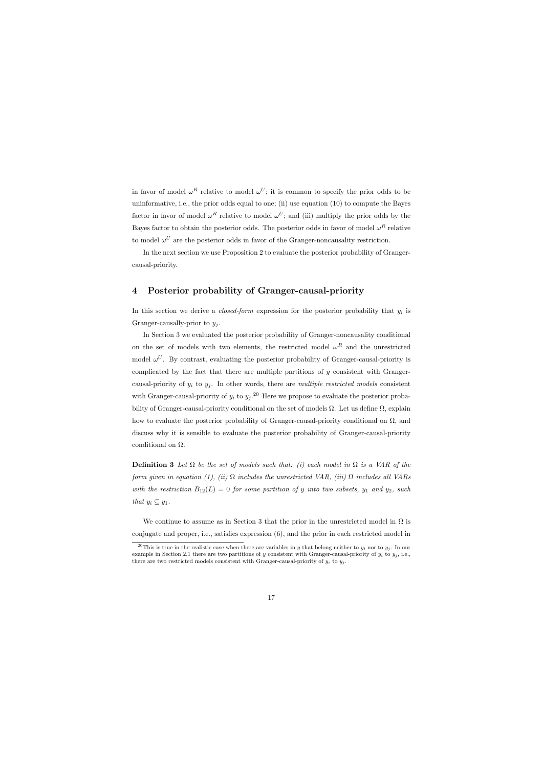in favor of model  $\omega^R$  relative to model  $\omega^U$ ; it is common to specify the prior odds to be uninformative, i.e., the prior odds equal to one; (ii) use equation (10) to compute the Bayes factor in favor of model  $\omega^R$  relative to model  $\omega^U$ ; and (iii) multiply the prior odds by the Bayes factor to obtain the posterior odds. The posterior odds in favor of model  $\omega^R$  relative to model  $\omega^U$  are the posterior odds in favor of the Granger-noncausality restriction.

In the next section we use Proposition 2 to evaluate the posterior probability of Grangercausal-priority.

## 4 Posterior probability of Granger-causal-priority

In this section we derive a *closed-form* expression for the posterior probability that  $y_i$  is Granger-causally-prior to  $y_i$ .

In Section 3 we evaluated the posterior probability of Granger-noncausality conditional on the set of models with two elements, the restricted model  $\omega^R$  and the unrestricted model  $\omega^U$ . By contrast, evaluating the posterior probability of Granger-causal-priority is complicated by the fact that there are multiple partitions of  $y$  consistent with Grangercausal-priority of  $y_i$  to  $y_j$ . In other words, there are *multiple restricted models* consistent with Granger-causal-priority of  $y_i$  to  $y_j$ .<sup>20</sup> Here we propose to evaluate the posterior probability of Granger-causal-priority conditional on the set of models  $\Omega$ . Let us define  $\Omega$ , explain how to evaluate the posterior probability of Granger-causal-priority conditional on  $\Omega$ , and discuss why it is sensible to evaluate the posterior probability of Granger-causal-priority conditional on  $\Omega$ .

**Definition 3** Let  $\Omega$  be the set of models such that: (i) each model in  $\Omega$  is a VAR of the form given in equation (1), (ii)  $\Omega$  includes the unrestricted VAR, (iii)  $\Omega$  includes all VARs with the restriction  $B_{12}(L) = 0$  for some partition of y into two subsets,  $y_1$  and  $y_2$ , such that  $y_i \subseteq y_1$ .

We continue to assume as in Section 3 that the prior in the unrestricted model in  $\Omega$  is conjugate and proper, i.e., satisfies expression (6), and the prior in each restricted model in

<sup>&</sup>lt;sup>20</sup>This is true in the realistic case when there are variables in y that belong neither to  $y_i$  nor to  $y_j$ . In our example in Section 2.1 there are two partitions of y consistent with Granger-causal-priority of  $y_i$  to  $y_j$ , i.e., there are two restricted models consistent with Granger-causal-priority of  $y_i$  to  $y_j$ .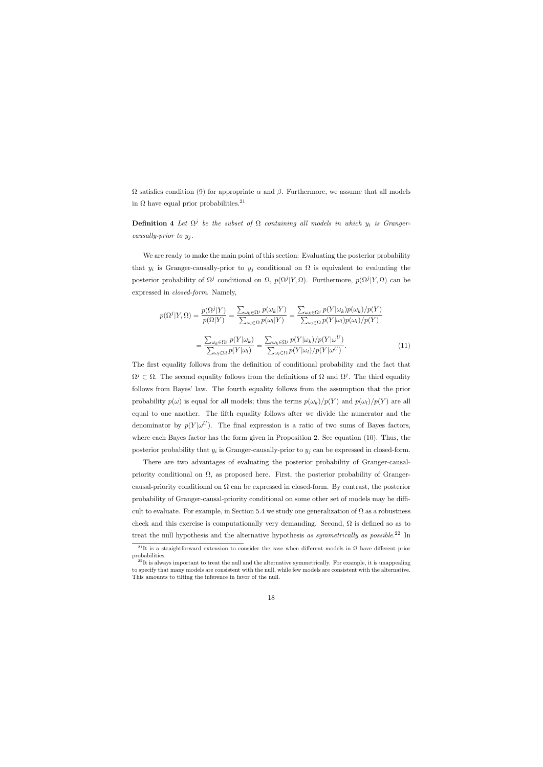$Ω$  satisfies condition (9) for appropriate  $α$  and  $β$ . Furthermore, we assume that all models in  $\Omega$  have equal prior probabilities.<sup>21</sup>

**Definition 4** Let  $\Omega^j$  be the subset of  $\Omega$  containing all models in which  $y_i$  is Grangercausally-prior to  $y_i$ .

We are ready to make the main point of this section: Evaluating the posterior probability that  $y_i$  is Granger-causally-prior to  $y_j$  conditional on  $\Omega$  is equivalent to evaluating the posterior probability of  $\Omega^j$  conditional on  $\Omega$ ,  $p(\Omega^j|Y,\Omega)$ . Furthermore,  $p(\Omega^j|Y,\Omega)$  can be expressed in closed-form. Namely,

$$
p(\Omega^{j}|Y,\Omega) = \frac{p(\Omega^{j}|Y)}{p(\Omega|Y)} = \frac{\sum_{\omega_{k}\in\Omega^{j}} p(\omega_{k}|Y)}{\sum_{\omega_{l}\in\Omega} p(\omega_{l}|Y)} = \frac{\sum_{\omega_{k}\in\Omega^{j}} p(Y|\omega_{k})p(\omega_{k})/p(Y)}{\sum_{\omega_{l}\in\Omega} p(Y|\omega_{l})p(\omega_{l})/p(Y)} = \frac{\sum_{\omega_{k}\in\Omega^{j}} p(Y|\omega_{k})}{\sum_{\omega_{l}\in\Omega} p(Y|\omega_{l})} = \frac{\sum_{\omega_{k}\in\Omega^{j}} p(Y|\omega_{k})/p(Y|\omega^{U})}{\sum_{\omega_{l}\in\Omega} p(Y|\omega_{l})/p(Y|\omega^{U})}.
$$
\n(11)

The first equality follows from the definition of conditional probability and the fact that  $\Omega^j \subset \Omega$ . The second equality follows from the definitions of  $\Omega$  and  $\Omega^j$ . The third equality follows from Bayes' law. The fourth equality follows from the assumption that the prior probability  $p(\omega)$  is equal for all models; thus the terms  $p(\omega_k)/p(Y)$  and  $p(\omega_l)/p(Y)$  are all equal to one another. The fifth equality follows after we divide the numerator and the denominator by  $p(Y|\omega^U)$ . The final expression is a ratio of two sums of Bayes factors, where each Bayes factor has the form given in Proposition 2. See equation (10). Thus, the posterior probability that  $y_i$  is Granger-causally-prior to  $y_j$  can be expressed in closed-form.

There are two advantages of evaluating the posterior probability of Granger-causalpriority conditional on  $\Omega$ , as proposed here. First, the posterior probability of Grangercausal-priority conditional on  $\Omega$  can be expressed in closed-form. By contrast, the posterior probability of Granger-causal-priority conditional on some other set of models may be difficult to evaluate. For example, in Section 5.4 we study one generalization of  $\Omega$  as a robustness check and this exercise is computationally very demanding. Second,  $\Omega$  is defined so as to treat the null hypothesis and the alternative hypothesis as symmetrically as possible.<sup>22</sup> In

<sup>&</sup>lt;sup>21</sup>It is a straightforward extension to consider the case when different models in  $\Omega$  have different prior probabilities.

 $^{22}$ It is always important to treat the null and the alternative symmetrically. For example, it is unappealing to specify that many models are consistent with the null, while few models are consistent with the alternative. This amounts to tilting the inference in favor of the null.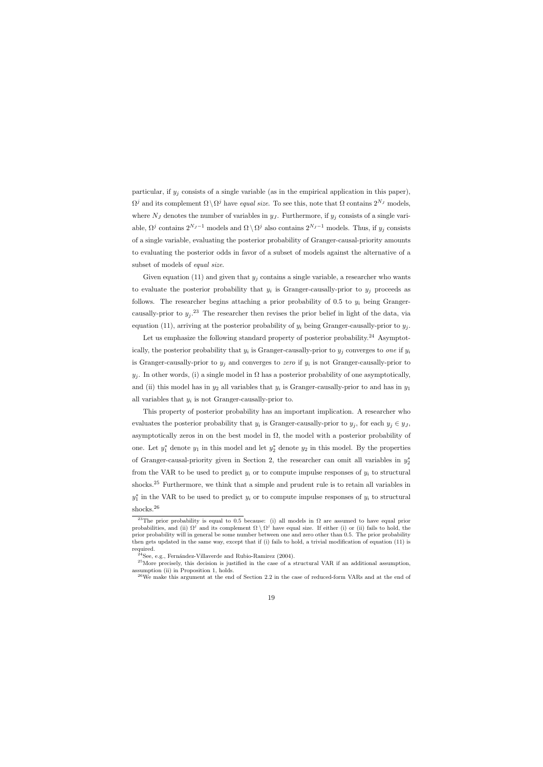particular, if  $y_j$  consists of a single variable (as in the empirical application in this paper),  $\Omega^j$  and its complement  $\Omega \setminus \Omega^j$  have equal size. To see this, note that  $\Omega$  contains  $2^{N_J}$  models, where  $N_J$  denotes the number of variables in  $y_J$ . Furthermore, if  $y_j$  consists of a single variable,  $\Omega^j$  contains  $2^{N_J-1}$  models and  $\Omega \setminus \Omega^j$  also contains  $2^{N_J-1}$  models. Thus, if  $y_j$  consists of a single variable, evaluating the posterior probability of Granger-causal-priority amounts to evaluating the posterior odds in favor of a subset of models against the alternative of a subset of models of *equal size*.

Given equation (11) and given that  $y_j$  contains a single variable, a researcher who wants to evaluate the posterior probability that  $y_i$  is Granger-causally-prior to  $y_j$  proceeds as follows. The researcher begins attaching a prior probability of 0.5 to  $y_i$  being Grangercausally-prior to  $y_j$ .<sup>23</sup> The researcher then revises the prior belief in light of the data, via equation (11), arriving at the posterior probability of  $y_i$  being Granger-causally-prior to  $y_i$ .

Let us emphasize the following standard property of posterior probability.<sup>24</sup> Asymptotically, the posterior probability that  $y_i$  is Granger-causally-prior to  $y_j$  converges to one if  $y_i$ is Granger-causally-prior to  $y_j$  and converges to zero if  $y_i$  is not Granger-causally-prior to  $y_j$ . In other words, (i) a single model in  $\Omega$  has a posterior probability of one asymptotically, and (ii) this model has in  $y_2$  all variables that  $y_i$  is Granger-causally-prior to and has in  $y_1$ all variables that  $y_i$  is not Granger-causally-prior to.

This property of posterior probability has an important implication. A researcher who evaluates the posterior probability that  $y_i$  is Granger-causally-prior to  $y_j$ , for each  $y_j \in y_j$ , asymptotically zeros in on the best model in  $\Omega$ , the model with a posterior probability of one. Let  $y_1^*$  denote  $y_1$  in this model and let  $y_2^*$  denote  $y_2$  in this model. By the properties of Granger-causal-priority given in Section 2, the researcher can omit all variables in  $y_2^*$ from the VAR to be used to predict  $y_i$  or to compute impulse responses of  $y_i$  to structural shocks.<sup>25</sup> Furthermore, we think that a simple and prudent rule is to retain all variables in  $y_1^*$  in the VAR to be used to predict  $y_i$  or to compute impulse responses of  $y_i$  to structural shocks.<sup>26</sup>

<sup>&</sup>lt;sup>23</sup>The prior probability is equal to 0.5 because: (i) all models in  $\Omega$  are assumed to have equal prior probabilities, and (ii)  $\Omega^j$  and its complement  $\Omega \setminus \Omega^j$  have equal size. If either (i) or (ii) fails to hold, the prior probability will in general be some number between one and zero other than 0.5. The prior probability then gets updated in the same way, except that if (i) fails to hold, a trivial modification of equation (11) is required.

 $^{24}$ See, e.g., Fernández-Villaverde and Rubio-Ramirez (2004).

 $^{25}$ More precisely, this decision is justified in the case of a structural VAR if an additional assumption, assumption (ii) in Proposition 1, holds.

 $26$ We make this argument at the end of Section 2.2 in the case of reduced-form VARs and at the end of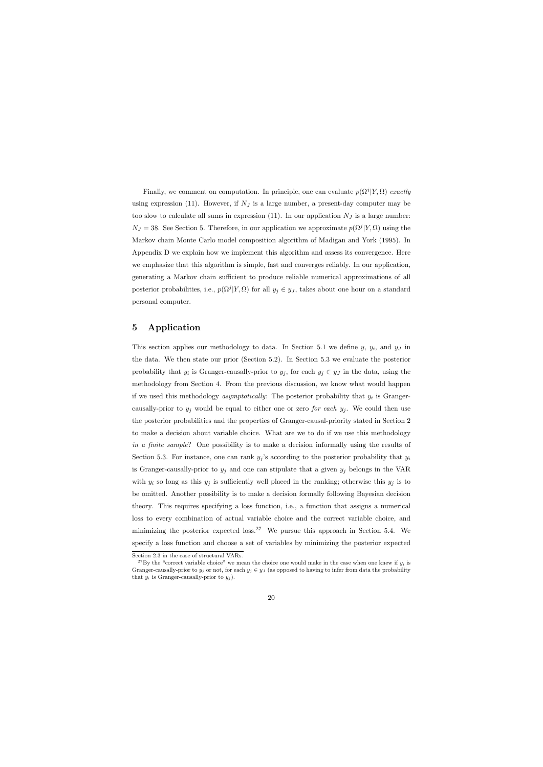Finally, we comment on computation. In principle, one can evaluate  $p(\Omega^{j}|Y,\Omega)$  exactly using expression (11). However, if  $N_J$  is a large number, a present-day computer may be too slow to calculate all sums in expression (11). In our application  $N_J$  is a large number:  $N_J = 38$ . See Section 5. Therefore, in our application we approximate  $p(\Omega^j | Y, \Omega)$  using the Markov chain Monte Carlo model composition algorithm of Madigan and York (1995). In Appendix D we explain how we implement this algorithm and assess its convergence. Here we emphasize that this algorithm is simple, fast and converges reliably. In our application, generating a Markov chain sufficient to produce reliable numerical approximations of all posterior probabilities, i.e.,  $p(\Omega^j | Y, \Omega)$  for all  $y_j \in y_j$ , takes about one hour on a standard personal computer.

## 5 Application

This section applies our methodology to data. In Section 5.1 we define  $y, y_i$ , and  $y_j$  in the data. We then state our prior (Section 5.2). In Section 5.3 we evaluate the posterior probability that  $y_i$  is Granger-causally-prior to  $y_j$ , for each  $y_j \in y_j$  in the data, using the methodology from Section 4. From the previous discussion, we know what would happen if we used this methodology *asymptotically*: The posterior probability that  $y_i$  is Grangercausally-prior to  $y_j$  would be equal to either one or zero *for each*  $y_j$ . We could then use the posterior probabilities and the properties of Granger-causal-priority stated in Section 2 to make a decision about variable choice. What are we to do if we use this methodology in a finite sample? One possibility is to make a decision informally using the results of Section 5.3. For instance, one can rank  $y_j$ 's according to the posterior probability that  $y_i$ is Granger-causally-prior to  $y_j$  and one can stipulate that a given  $y_j$  belongs in the VAR with  $y_i$  so long as this  $y_j$  is sufficiently well placed in the ranking; otherwise this  $y_j$  is to be omitted. Another possibility is to make a decision formally following Bayesian decision theory. This requires specifying a loss function, i.e., a function that assigns a numerical loss to every combination of actual variable choice and the correct variable choice, and minimizing the posterior expected  $loss<sup>27</sup>$  We pursue this approach in Section 5.4. We specify a loss function and choose a set of variables by minimizing the posterior expected

Section 2.3 in the case of structural VARs.

<sup>&</sup>lt;sup>27</sup>By the "correct variable choice" we mean the choice one would make in the case when one knew if  $y_i$  is Granger-causally-prior to  $y_j$  or not, for each  $y_j \in y_j$  (as opposed to having to infer from data the probability that  $y_i$  is Granger-causally-prior to  $y_j$ ).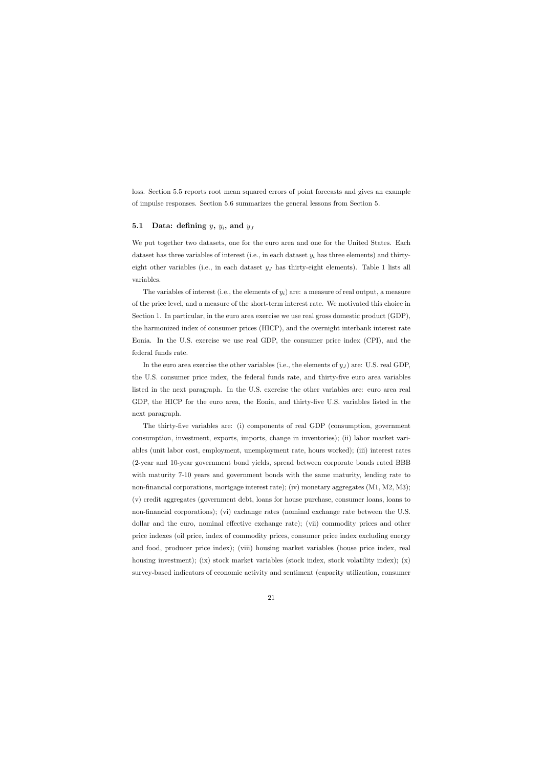loss. Section 5.5 reports root mean squared errors of point forecasts and gives an example of impulse responses. Section 5.6 summarizes the general lessons from Section 5.

## 5.1 Data: defining  $y, y_i$ , and  $y_j$

We put together two datasets, one for the euro area and one for the United States. Each dataset has three variables of interest (i.e., in each dataset  $y_i$  has three elements) and thirtyeight other variables (i.e., in each dataset  $y<sub>J</sub>$  has thirty-eight elements). Table 1 lists all variables.

The variables of interest (i.e., the elements of  $y_i$ ) are: a measure of real output, a measure of the price level, and a measure of the short-term interest rate. We motivated this choice in Section 1. In particular, in the euro area exercise we use real gross domestic product (GDP), the harmonized index of consumer prices (HICP), and the overnight interbank interest rate Eonia. In the U.S. exercise we use real GDP, the consumer price index (CPI), and the federal funds rate.

In the euro area exercise the other variables (i.e., the elements of  $y_J$ ) are: U.S. real GDP, the U.S. consumer price index, the federal funds rate, and thirty-five euro area variables listed in the next paragraph. In the U.S. exercise the other variables are: euro area real GDP, the HICP for the euro area, the Eonia, and thirty-five U.S. variables listed in the next paragraph.

The thirty-five variables are: (i) components of real GDP (consumption, government consumption, investment, exports, imports, change in inventories); (ii) labor market variables (unit labor cost, employment, unemployment rate, hours worked); (iii) interest rates (2-year and 10-year government bond yields, spread between corporate bonds rated BBB with maturity 7-10 years and government bonds with the same maturity, lending rate to non-financial corporations, mortgage interest rate); (iv) monetary aggregates (M1, M2, M3); (v) credit aggregates (government debt, loans for house purchase, consumer loans, loans to non-financial corporations); (vi) exchange rates (nominal exchange rate between the U.S. dollar and the euro, nominal effective exchange rate); (vii) commodity prices and other price indexes (oil price, index of commodity prices, consumer price index excluding energy and food, producer price index); (viii) housing market variables (house price index, real housing investment); (ix) stock market variables (stock index, stock volatility index); (x) survey-based indicators of economic activity and sentiment (capacity utilization, consumer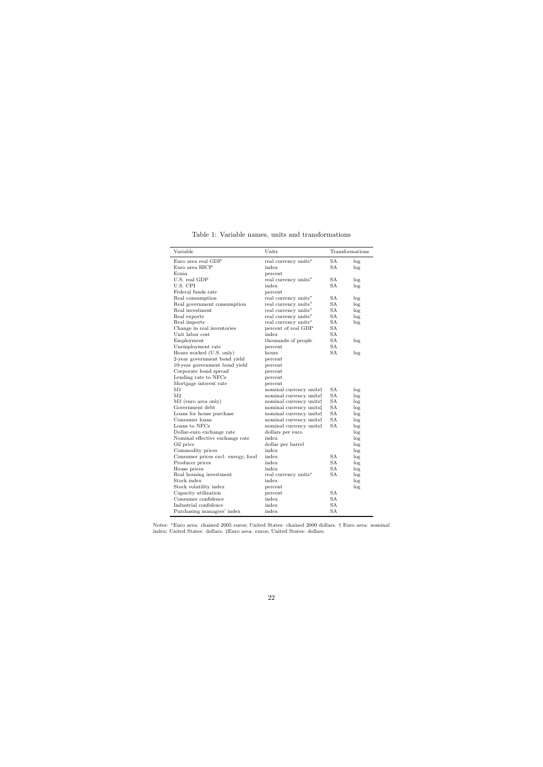| Variable                           | Units                               |           | Transformations |
|------------------------------------|-------------------------------------|-----------|-----------------|
| Euro area real GDP                 | real currency units*                | <b>SA</b> | log             |
| Euro area HICP                     | index                               | SA        | log             |
| Eonia.                             | percent                             |           |                 |
| U.S. real GDP                      | real currency units*                | <b>SA</b> | log             |
| U.S. CPI                           | index                               | SА        | log             |
| Federal funds rate                 | percent                             |           |                 |
| Real consumption                   | real currency units*                | <b>SA</b> | log             |
| Real government consumption        | real currency units*                | <b>SA</b> | log             |
| Real investment                    | real currency units*                | SА        | log             |
| Real exports                       | real currency units*                | <b>SA</b> | log             |
| Real imports                       | real currency units*                | <b>SA</b> | log             |
| Change in real inventories         | percent of real GDP                 | SA        |                 |
| Unit labor cost                    | index                               | SA        |                 |
| Employment                         | thousands of people                 | <b>SA</b> | log             |
| Unemployment rate                  | percent                             | <b>SA</b> |                 |
| Hours worked (U.S. only)           | hours                               | SА        | log             |
| 2-year government bond yield       | percent                             |           |                 |
| 10-year government bond yield      | percent                             |           |                 |
| Corporate bond spread              | percent                             |           |                 |
| Lending rate to NFCs               | percent                             |           |                 |
| Mortgage interest rate             | percent                             |           |                 |
| M1                                 | nominal currency units <sup>†</sup> | SА        | log             |
| M <sub>2</sub>                     | nominal currency units <sup>†</sup> | SA        | log             |
| M3 (euro area only)                | nominal currency units†             | <b>SA</b> | log             |
| Government debt                    | nominal currency units‡             | SA        | log             |
| Loans for house purchase           | nominal currency units†             | <b>SA</b> | log             |
| Consumer loans                     | nominal currency units <sup>†</sup> | <b>SA</b> | log             |
| Loans to NFCs                      | nominal currency units <sup>†</sup> | <b>SA</b> | log             |
| Dollar-euro exchange rate          | dollars per euro                    |           | log             |
| Nominal effective exchange rate    | index                               |           | log             |
| Oil price                          | dollar per barrel                   |           | log             |
| Commodity prices                   | index                               |           | log             |
| Consumer prices excl. energy, food | index                               | <b>SA</b> | log             |
| Producer prices                    | index                               | SА        | log             |
| House prices                       | index                               | SА        | log             |
| Real housing investment            | real currency units*                | <b>SA</b> | log             |
| Stock index                        | index                               |           | log             |
| Stock volatility index             | percent                             |           | log             |
| Capacity utilization               | percent                             | SА        |                 |
| Consumer confidence                | index                               | SА        |                 |
| Industrial confidence              | index                               | <b>SA</b> |                 |
| Purchasing managers' index         | index                               | SA        |                 |

Table 1: Variable names, units and transformations

Notes: <sup>∗</sup>Euro area: chained 2005 euros; United States: chained 2000 dollars. † Euro area: nominal index; United States: dollars. ‡Euro area: euros; United States: dollars.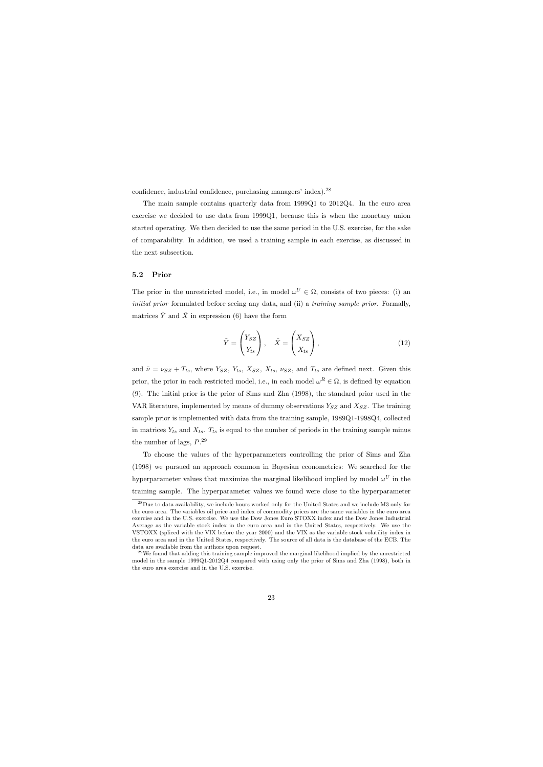confidence, industrial confidence, purchasing managers' index).<sup>28</sup>

The main sample contains quarterly data from 1999Q1 to 2012Q4. In the euro area exercise we decided to use data from 1999Q1, because this is when the monetary union started operating. We then decided to use the same period in the U.S. exercise, for the sake of comparability. In addition, we used a training sample in each exercise, as discussed in the next subsection.

## 5.2 Prior

The prior in the unrestricted model, i.e., in model  $\omega^U \in \Omega$ , consists of two pieces: (i) an initial prior formulated before seeing any data, and (ii) a training sample prior. Formally, matrices  $\tilde{Y}$  and  $\tilde{X}$  in expression (6) have the form

$$
\tilde{Y} = \begin{pmatrix} Y_{SZ} \\ Y_{ts} \end{pmatrix}, \quad \tilde{X} = \begin{pmatrix} X_{SZ} \\ X_{ts} \end{pmatrix}, \tag{12}
$$

and  $\tilde{\nu} = \nu_{SZ} + T_{ts}$ , where  $Y_{SZ}$ ,  $Y_{ts}$ ,  $X_{SZ}$ ,  $X_{ts}$ ,  $\nu_{SZ}$ , and  $T_{ts}$  are defined next. Given this prior, the prior in each restricted model, i.e., in each model  $\omega^R \in \Omega$ , is defined by equation (9). The initial prior is the prior of Sims and Zha (1998), the standard prior used in the VAR literature, implemented by means of dummy observations  $Y_{SZ}$  and  $X_{SZ}$ . The training sample prior is implemented with data from the training sample, 1989Q1-1998Q4, collected in matrices  $Y_{ts}$  and  $X_{ts}$ .  $T_{ts}$  is equal to the number of periods in the training sample minus the number of lags,  $P^{29}$ 

To choose the values of the hyperparameters controlling the prior of Sims and Zha (1998) we pursued an approach common in Bayesian econometrics: We searched for the hyperparameter values that maximize the marginal likelihood implied by model  $\omega^U$  in the training sample. The hyperparameter values we found were close to the hyperparameter

<sup>&</sup>lt;sup>28</sup>Due to data availability, we include hours worked only for the United States and we include M3 only for the euro area. The variables oil price and index of commodity prices are the same variables in the euro area exercise and in the U.S. exercise. We use the Dow Jones Euro STOXX index and the Dow Jones Industrial Average as the variable stock index in the euro area and in the United States, respectively. We use the VSTOXX (spliced with the VIX before the year 2000) and the VIX as the variable stock volatility index in the euro area and in the United States, respectively. The source of all data is the database of the ECB. The data are available from the authors upon request.

<sup>&</sup>lt;sup>29</sup>We found that adding this training sample improved the marginal likelihood implied by the unrestricted model in the sample 1999Q1-2012Q4 compared with using only the prior of Sims and Zha (1998), both in the euro area exercise and in the U.S. exercise.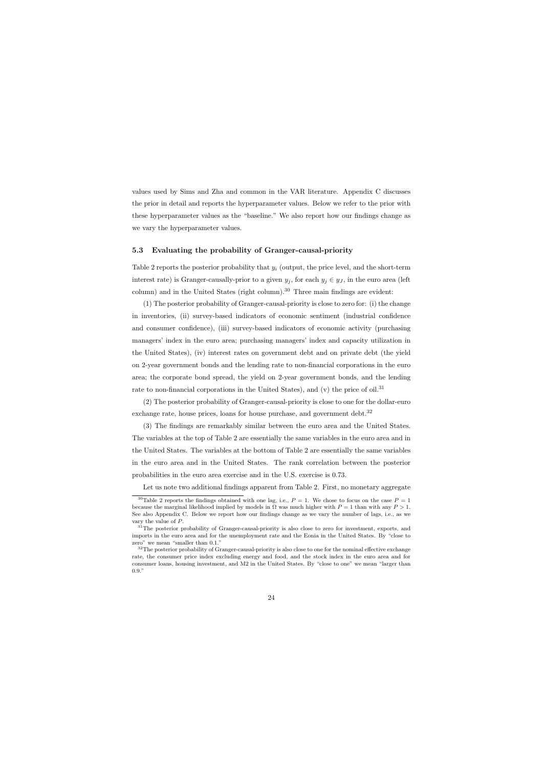values used by Sims and Zha and common in the VAR literature. Appendix C discusses the prior in detail and reports the hyperparameter values. Below we refer to the prior with these hyperparameter values as the "baseline." We also report how our findings change as we vary the hyperparameter values.

### 5.3 Evaluating the probability of Granger-causal-priority

Table 2 reports the posterior probability that  $y_i$  (output, the price level, and the short-term interest rate) is Granger-causally-prior to a given  $y_j$ , for each  $y_j \in y_j$ , in the euro area (left column) and in the United States (right column).<sup>30</sup> Three main findings are evident:

(1) The posterior probability of Granger-causal-priority is close to zero for: (i) the change in inventories, (ii) survey-based indicators of economic sentiment (industrial confidence and consumer confidence), (iii) survey-based indicators of economic activity (purchasing managers' index in the euro area; purchasing managers' index and capacity utilization in the United States), (iv) interest rates on government debt and on private debt (the yield on 2-year government bonds and the lending rate to non-financial corporations in the euro area; the corporate bond spread, the yield on 2-year government bonds, and the lending rate to non-financial corporations in the United States), and (v) the price of oil.<sup>31</sup>

(2) The posterior probability of Granger-causal-priority is close to one for the dollar-euro exchange rate, house prices, loans for house purchase, and government debt. $32$ 

(3) The findings are remarkably similar between the euro area and the United States. The variables at the top of Table 2 are essentially the same variables in the euro area and in the United States. The variables at the bottom of Table 2 are essentially the same variables in the euro area and in the United States. The rank correlation between the posterior probabilities in the euro area exercise and in the U.S. exercise is 0.73.

Let us note two additional findings apparent from Table 2. First, no monetary aggregate

<sup>&</sup>lt;sup>30</sup>Table 2 reports the findings obtained with one lag, i.e.,  $P = 1$ . We chose to focus on the case  $P = 1$ because the marginal likelihood implied by models in  $\Omega$  was much higher with  $P = 1$  than with any  $P > 1$ . See also Appendix C. Below we report how our findings change as we vary the number of lags, i.e., as we vary the value of P.

<sup>&</sup>lt;sup>31</sup>The posterior probability of Granger-causal-priority is also close to zero for investment, exports, and imports in the euro area and for the unemployment rate and the Eonia in the United States. By "close to zero" we mean "smaller than 0.1."

<sup>&</sup>lt;sup>32</sup>The posterior probability of Granger-causal-priority is also close to one for the nominal effective exchange rate, the consumer price index excluding energy and food, and the stock index in the euro area and for consumer loans, housing investment, and M2 in the United States. By "close to one" we mean "larger than 0.9."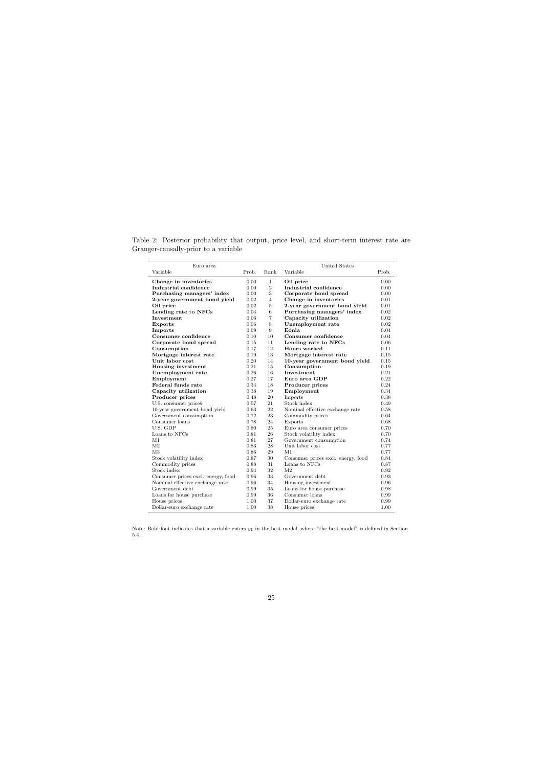| Euro area                          |       |                | <b>United States</b>               |       |
|------------------------------------|-------|----------------|------------------------------------|-------|
| Variable                           | Prob. | Rank           | Variable                           | Prob. |
| Change in inventories              | 0.00  | $\mathbf 1$    | Oil price                          | 0.00  |
| Industrial confidence              | 0.00  | $\sqrt{2}$     | Industrial confidence              | 0.00  |
| Purchasing managers' index         | 0.00  | 3              | Corporate bond spread              | 0.00  |
| 2-year government bond yield       | 0.02  | $\overline{4}$ | Change in inventories              | 0.01  |
| Oil price                          | 0.02  | 5              | 2-year government bond yield       | 0.01  |
| Lending rate to NFCs               | 0.04  | 6              | Purchasing managers' index         | 0.02  |
| Investment                         | 0.06  | $\overline{7}$ | Capacity utilization               | 0.02  |
| <b>Exports</b>                     | 0.06  | 8              | Unemployment rate                  | 0.02  |
| Imports                            | 0.09  | 9              | Eonia                              | 0.04  |
| Consumer confidence                | 0.10  | 10             | Consumer confidence                | 0.04  |
| Corporate bond spread              | 0.15  | 11             | Lending rate to NFCs               | 0.06  |
| Consumption                        | 0.17  | 12             | Hours worked                       | 0.11  |
| Mortgage interest rate             | 0.19  | 13             | Mortgage interest rate             | 0.15  |
| Unit labor cost                    | 0.20  | 14             | 10-year government bond yield      | 0.15  |
| Housing investment                 | 0.21  | 15             | Consumption                        | 0.19  |
| Unemployment rate                  | 0.26  | 16             | Investment                         | 0.21  |
| Employment                         | 0.27  | 17             | Euro area GDP                      | 0.22  |
| Federal funds rate                 | 0.34  | 18             | Producer prices                    | 0.24  |
| Capacity utilization               | 0.38  | 19             | Employment                         | 0.34  |
| Producer prices                    | 0.48  | 20             | Imports                            | 0.38  |
| U.S. consumer prices               | 0.57  | 21             | Stock index                        | 0.49  |
| 10-year government bond yield      | 0.63  | 22             | Nominal effective exchange rate    | 0.58  |
| Government consumption             | 0.72  | 23             | Commodity prices                   | 0.64  |
| Consumer loans                     | 0.78  | 24             | Exports                            | 0.68  |
| U.S. GDP                           | 0.80  | 25             | Euro area consumer prices          | 0.70  |
| Loans to NFCs                      | 0.81  | 26             | Stock volatility index             | 0.70  |
| M1                                 | 0.81  | 27             | Government consumption             | 0.74  |
| M <sub>2</sub>                     | 0.83  | 28             | Unit labor cost                    | 0.77  |
| M <sub>3</sub>                     | 0.86  | 29             | M1                                 | 0.77  |
| Stock volatility index             | 0.87  | 30             | Consumer prices excl. energy, food | 0.84  |
| Commodity prices                   | 0.88  | 31             | Loans to NFCs                      | 0.87  |
| Stock index                        | 0.94  | 32             | M <sub>2</sub>                     | 0.92  |
| Consumer prices excl. energy, food | 0.96  | 33             | Government debt                    | 0.93  |
| Nominal effective exchange rate    | 0.96  | 34             | Housing investment                 | 0.96  |
| Government debt                    | 0.99  | 35             | Loans for house purchase           | 0.98  |
| Loans for house purchase           | 0.99  | 36             | Consumer loans                     | 0.99  |
| House prices                       | 1.00  | 37             | Dollar-euro exchange rate          | 0.99  |
| Dollar-euro exchange rate          | 1.00  | 38             | House prices                       | 1.00  |

Table 2: Posterior probability that output, price level, and short-term interest rate are Granger-causally-prior to a variable

Note: Bold font indicates that a variable enters  $y_1$  in the best model, where "the best model" is defined in Section 5.4.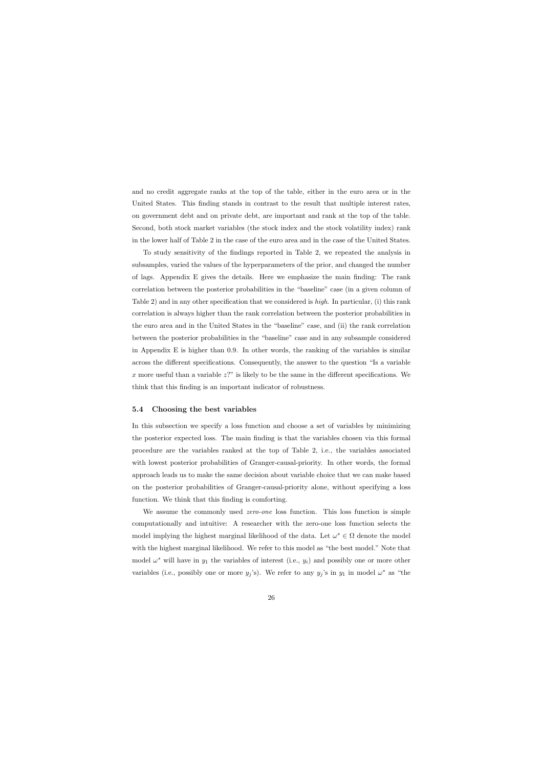and no credit aggregate ranks at the top of the table, either in the euro area or in the United States. This finding stands in contrast to the result that multiple interest rates, on government debt and on private debt, are important and rank at the top of the table. Second, both stock market variables (the stock index and the stock volatility index) rank in the lower half of Table 2 in the case of the euro area and in the case of the United States.

To study sensitivity of the findings reported in Table 2, we repeated the analysis in subsamples, varied the values of the hyperparameters of the prior, and changed the number of lags. Appendix E gives the details. Here we emphasize the main finding: The rank correlation between the posterior probabilities in the "baseline" case (in a given column of Table 2) and in any other specification that we considered is high. In particular, (i) this rank correlation is always higher than the rank correlation between the posterior probabilities in the euro area and in the United States in the "baseline" case, and (ii) the rank correlation between the posterior probabilities in the "baseline" case and in any subsample considered in Appendix E is higher than 0.9. In other words, the ranking of the variables is similar across the different specifications. Consequently, the answer to the question "Is a variable x more useful than a variable  $z$ ?" is likely to be the same in the different specifications. We think that this finding is an important indicator of robustness.

#### 5.4 Choosing the best variables

In this subsection we specify a loss function and choose a set of variables by minimizing the posterior expected loss. The main finding is that the variables chosen via this formal procedure are the variables ranked at the top of Table 2, i.e., the variables associated with lowest posterior probabilities of Granger-causal-priority. In other words, the formal approach leads us to make the same decision about variable choice that we can make based on the posterior probabilities of Granger-causal-priority alone, without specifying a loss function. We think that this finding is comforting.

We assume the commonly used *zero-one* loss function. This loss function is simple computationally and intuitive: A researcher with the zero-one loss function selects the model implying the highest marginal likelihood of the data. Let  $\omega^* \in \Omega$  denote the model with the highest marginal likelihood. We refer to this model as "the best model." Note that model  $\omega^*$  will have in  $y_1$  the variables of interest (i.e.,  $y_i$ ) and possibly one or more other variables (i.e., possibly one or more  $y_j$ 's). We refer to any  $y_j$ 's in  $y_1$  in model  $\omega^*$  as "the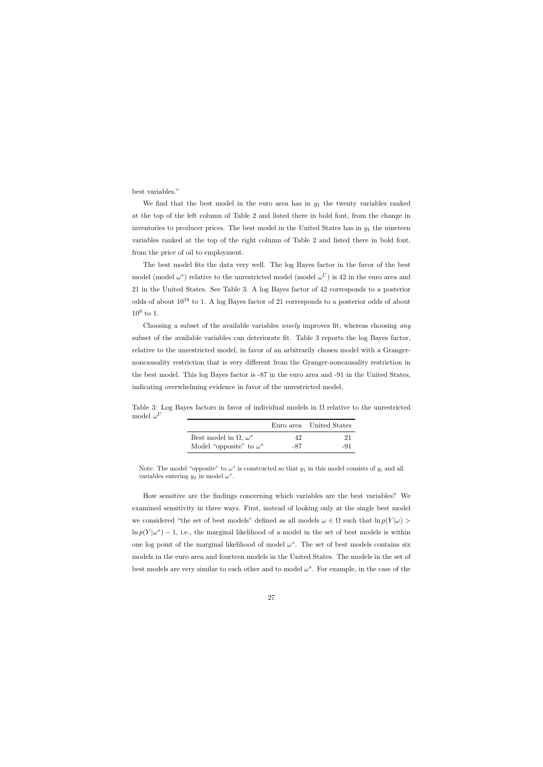best variables."

We find that the best model in the euro area has in  $y_1$  the twenty variables ranked at the top of the left column of Table 2 and listed there in bold font, from the change in inventories to producer prices. The best model in the United States has in  $y_1$  the nineteen variables ranked at the top of the right column of Table 2 and listed there in bold font, from the price of oil to employment.

The best model fits the data very well. The log Bayes factor in the favor of the best model (model  $\omega^*$ ) relative to the unrestricted model (model  $\omega^U$ ) is 42 in the euro area and 21 in the United States. See Table 3. A log Bayes factor of 42 corresponds to a posterior odds of about  $10^{18}$  to 1. A log Bayes factor of 21 corresponds to a posterior odds of about  $10^9$  to 1.

Choosing a subset of the available variables *wisely* improves fit, whereas choosing *any* subset of the available variables can deteriorate fit. Table 3 reports the log Bayes factor, relative to the unrestricted model, in favor of an arbitrarily chosen model with a Grangernoncausality restriction that is very different from the Granger-noncausality restriction in the best model. This log Bayes factor is -87 in the euro area and -91 in the United States, indicating overwhelming evidence in favor of the unrestricted model.

Table 3: Log Bayes factors in favor of individual models in  $\Omega$  relative to the unrestricted model  $\omega^U$ 

|                                     |              | Euro area United States |
|-------------------------------------|--------------|-------------------------|
| Best model in $\Omega$ , $\omega^*$ | $42^{\circ}$ | 21                      |
| Model "opposite" to $\omega^*$      | -87          | -91                     |

Note: The model "opposite" to  $\omega^*$  is constructed so that  $y_1$  in this model consists of  $y_i$  and all variables entering  $y_2$  in model  $\omega^*$ .

How sensitive are the findings concerning which variables are the best variables? We examined sensitivity in three ways. First, instead of looking only at the single best model we considered "the set of best models" defined as all models  $\omega \in \Omega$  such that  $\ln p(Y|\omega)$  $\ln p(Y|\omega^*)-1$ , i.e., the marginal likelihood of a model in the set of best models is within one log point of the marginal likelihood of model  $\omega^*$ . The set of best models contains six models in the euro area and fourteen models in the United States. The models in the set of best models are very similar to each other and to model  $\omega^*$ . For example, in the case of the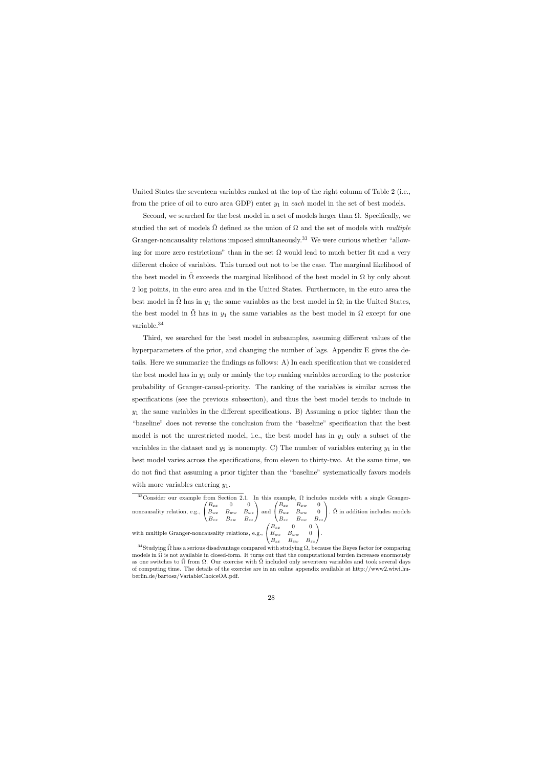United States the seventeen variables ranked at the top of the right column of Table 2 (i.e., from the price of oil to euro area GDP) enter  $y_1$  in each model in the set of best models.

Second, we searched for the best model in a set of models larger than  $\Omega$ . Specifically, we studied the set of models  $\Omega$  defined as the union of  $\Omega$  and the set of models with *multiple* Granger-noncausality relations imposed simultaneously.<sup>33</sup> We were curious whether "allowing for more zero restrictions" than in the set  $\Omega$  would lead to much better fit and a very different choice of variables. This turned out not to be the case. The marginal likelihood of the best model in  $\Omega$  exceeds the marginal likelihood of the best model in  $\Omega$  by only about 2 log points, in the euro area and in the United States. Furthermore, in the euro area the best model in  $\Omega$  has in  $y_1$  the same variables as the best model in  $\Omega$ ; in the United States, the best model in  $\tilde{\Omega}$  has in  $y_1$  the same variables as the best model in  $\Omega$  except for one variable.<sup>34</sup>

Third, we searched for the best model in subsamples, assuming different values of the hyperparameters of the prior, and changing the number of lags. Appendix E gives the details. Here we summarize the findings as follows: A) In each specification that we considered the best model has in  $y_1$  only or mainly the top ranking variables according to the posterior probability of Granger-causal-priority. The ranking of the variables is similar across the specifications (see the previous subsection), and thus the best model tends to include in  $y_1$  the same variables in the different specifications. B) Assuming a prior tighter than the "baseline" does not reverse the conclusion from the "baseline" specification that the best model is not the unrestricted model, i.e., the best model has in  $y_1$  only a subset of the variables in the dataset and  $y_2$  is nonempty. C) The number of variables entering  $y_1$  in the best model varies across the specifications, from eleven to thirty-two. At the same time, we do not find that assuming a prior tighter than the "baseline" systematically favors models with more variables entering  $y_1$ .

<sup>33</sup>Consider our example from Section 2.1. In this example,  $\Omega$  includes models with a single Grangernoncausality relation, e.g.,  $\sqrt{ }$  $\mathcal{L}$  $B_{xx}$  0 0  $B_{wx}$   $B_{ww}$   $B_{wz}$  $B_{zx}$   $B_{zw}$   $B_{zz}$  $\setminus$  and  $\sqrt{ }$  $\overline{1}$  $B_{xx}$   $B_{xw}$  0  $B_{wx}$   $B_{ww}$  0  $B_{zx}$   $B_{zw}$   $B_{zz}$  $\setminus$ .  $\tilde{\Omega}$  in addition includes models with multiple Granger-noncausality relations, e.g.,  $\sqrt{ }$  $\overline{1}$  $B_{xx}$  0 0  $B_{wx}$   $B_{ww}$  0  $B_{zx}$   $B_{zw}$   $B_{zz}$  $\setminus$  $\cdot$ 

<sup>&</sup>lt;sup>34</sup>Studying  $\tilde{\Omega}$  has a serious disadvantage compared with studying  $\Omega$ , because the Bayes factor for comparing models in  $\Omega$  is not available in closed-form. It turns out that the computational burden increases enormously as one switches to  $\Omega$  from  $\Omega$ . Our exercise with  $\overline{\Omega}$  included only seventeen variables and took several days of computing time. The details of the exercise are in an online appendix available at http://www2.wiwi.huberlin.de/bartosz/VariableChoiceOA.pdf.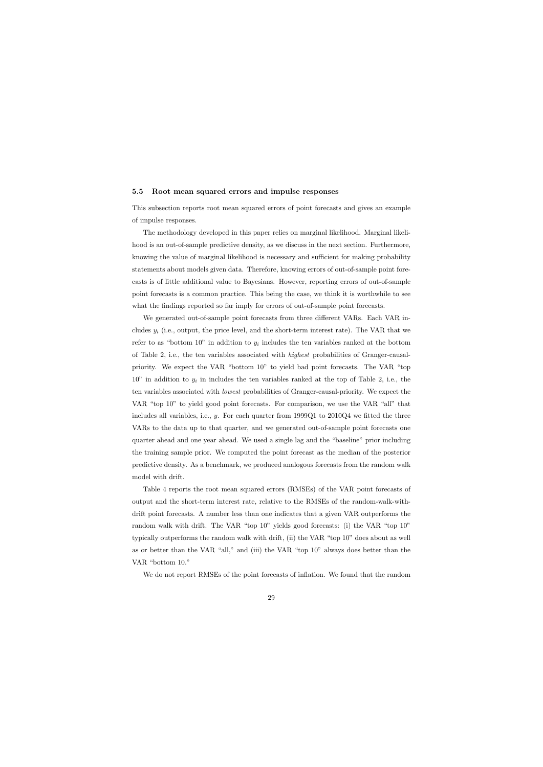#### 5.5 Root mean squared errors and impulse responses

This subsection reports root mean squared errors of point forecasts and gives an example of impulse responses.

The methodology developed in this paper relies on marginal likelihood. Marginal likelihood is an out-of-sample predictive density, as we discuss in the next section. Furthermore, knowing the value of marginal likelihood is necessary and sufficient for making probability statements about models given data. Therefore, knowing errors of out-of-sample point forecasts is of little additional value to Bayesians. However, reporting errors of out-of-sample point forecasts is a common practice. This being the case, we think it is worthwhile to see what the findings reported so far imply for errors of out-of-sample point forecasts.

We generated out-of-sample point forecasts from three different VARs. Each VAR includes  $y_i$  (i.e., output, the price level, and the short-term interest rate). The VAR that we refer to as "bottom 10" in addition to  $y_i$  includes the ten variables ranked at the bottom of Table 2, i.e., the ten variables associated with highest probabilities of Granger-causalpriority. We expect the VAR "bottom 10" to yield bad point forecasts. The VAR "top  $10$ " in addition to  $y_i$  in includes the ten variables ranked at the top of Table 2, i.e., the ten variables associated with lowest probabilities of Granger-causal-priority. We expect the VAR "top 10" to yield good point forecasts. For comparison, we use the VAR "all" that includes all variables, i.e.,  $y$ . For each quarter from 1999Q1 to 2010Q4 we fitted the three VARs to the data up to that quarter, and we generated out-of-sample point forecasts one quarter ahead and one year ahead. We used a single lag and the "baseline" prior including the training sample prior. We computed the point forecast as the median of the posterior predictive density. As a benchmark, we produced analogous forecasts from the random walk model with drift.

Table 4 reports the root mean squared errors (RMSEs) of the VAR point forecasts of output and the short-term interest rate, relative to the RMSEs of the random-walk-withdrift point forecasts. A number less than one indicates that a given VAR outperforms the random walk with drift. The VAR "top 10" yields good forecasts: (i) the VAR "top 10" typically outperforms the random walk with drift, (ii) the VAR "top 10" does about as well as or better than the VAR "all," and (iii) the VAR "top 10" always does better than the VAR "bottom 10."

We do not report RMSEs of the point forecasts of inflation. We found that the random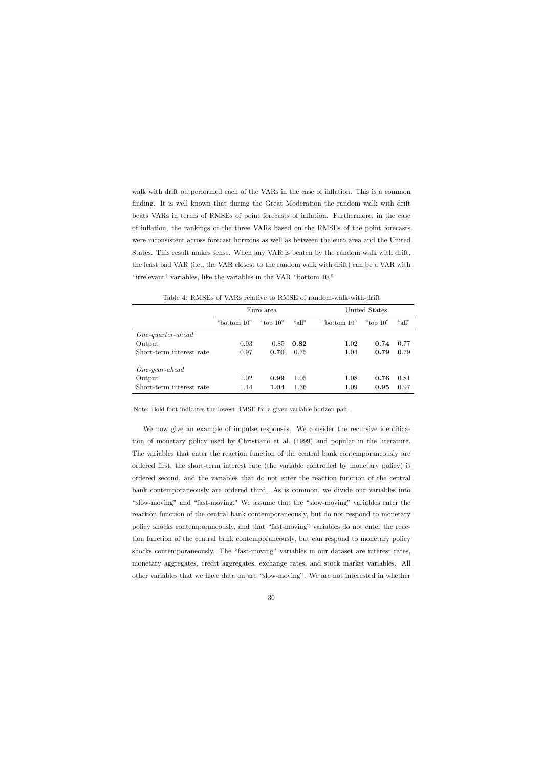walk with drift outperformed each of the VARs in the case of inflation. This is a common finding. It is well known that during the Great Moderation the random walk with drift beats VARs in terms of RMSEs of point forecasts of inflation. Furthermore, in the case of inflation, the rankings of the three VARs based on the RMSEs of the point forecasts were inconsistent across forecast horizons as well as between the euro area and the United States. This result makes sense. When any VAR is beaten by the random walk with drift, the least bad VAR (i.e., the VAR closest to the random walk with drift) can be a VAR with "irrelevant" variables, like the variables in the VAR "bottom 10."

|                          |               | Euro area   |       |               | United States |       |  |  |
|--------------------------|---------------|-------------|-------|---------------|---------------|-------|--|--|
|                          | "bottom $10"$ | "top $10$ " | "all" | "bottom $10"$ | "top $10"$    | "all" |  |  |
| $One-quarter-ahead$      |               |             |       |               |               |       |  |  |
| Output                   | 0.93          | 0.85        | 0.82  | 1.02          | 0.74          | 0.77  |  |  |
| Short-term interest rate | 0.97          | 0.70        | 0.75  | 1.04          | 0.79          | 0.79  |  |  |
| $One-year-ahead$         |               |             |       |               |               |       |  |  |
| Output                   | 1.02          | 0.99        | 1.05  | 1.08          | 0.76          | 0.81  |  |  |
| Short-term interest rate | 1.14          | 1.04        | 1.36  | 1.09          | 0.95          | 0.97  |  |  |

Table 4: RMSEs of VARs relative to RMSE of random-walk-with-drift

Note: Bold font indicates the lowest RMSE for a given variable-horizon pair.

We now give an example of impulse responses. We consider the recursive identification of monetary policy used by Christiano et al. (1999) and popular in the literature. The variables that enter the reaction function of the central bank contemporaneously are ordered first, the short-term interest rate (the variable controlled by monetary policy) is ordered second, and the variables that do not enter the reaction function of the central bank contemporaneously are ordered third. As is common, we divide our variables into "slow-moving" and "fast-moving." We assume that the "slow-moving" variables enter the reaction function of the central bank contemporaneously, but do not respond to monetary policy shocks contemporaneously, and that "fast-moving" variables do not enter the reaction function of the central bank contemporaneously, but can respond to monetary policy shocks contemporaneously. The "fast-moving" variables in our dataset are interest rates, monetary aggregates, credit aggregates, exchange rates, and stock market variables. All other variables that we have data on are "slow-moving". We are not interested in whether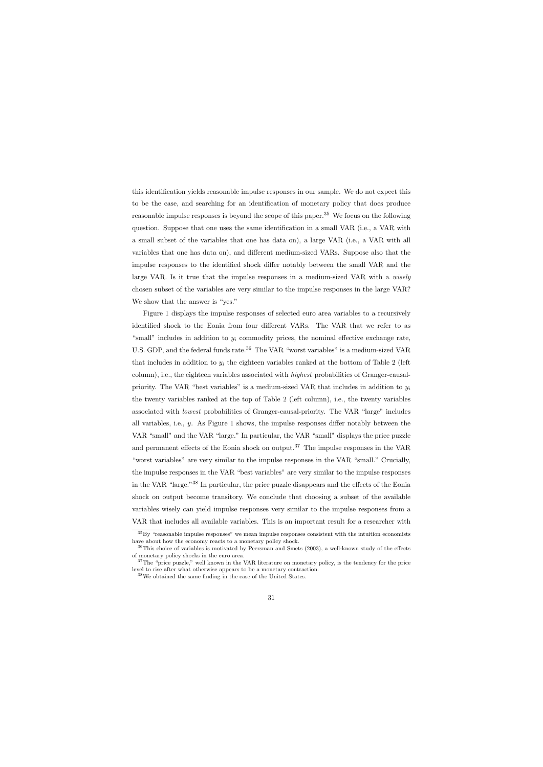this identification yields reasonable impulse responses in our sample. We do not expect this to be the case, and searching for an identification of monetary policy that does produce reasonable impulse responses is beyond the scope of this paper.<sup>35</sup> We focus on the following question. Suppose that one uses the same identification in a small VAR (i.e., a VAR with a small subset of the variables that one has data on), a large VAR (i.e., a VAR with all variables that one has data on), and different medium-sized VARs. Suppose also that the impulse responses to the identified shock differ notably between the small VAR and the large VAR. Is it true that the impulse responses in a medium-sized VAR with a wisely chosen subset of the variables are very similar to the impulse responses in the large VAR? We show that the answer is "yes."

Figure 1 displays the impulse responses of selected euro area variables to a recursively identified shock to the Eonia from four different VARs. The VAR that we refer to as "small" includes in addition to  $y_i$  commodity prices, the nominal effective exchange rate, U.S. GDP, and the federal funds rate.<sup>36</sup> The VAR "worst variables" is a medium-sized VAR that includes in addition to  $y_i$  the eighteen variables ranked at the bottom of Table 2 (left column), i.e., the eighteen variables associated with highest probabilities of Granger-causalpriority. The VAR "best variables" is a medium-sized VAR that includes in addition to  $y_i$ the twenty variables ranked at the top of Table 2 (left column), i.e., the twenty variables associated with lowest probabilities of Granger-causal-priority. The VAR "large" includes all variables, i.e., y. As Figure 1 shows, the impulse responses differ notably between the VAR "small" and the VAR "large." In particular, the VAR "small" displays the price puzzle and permanent effects of the Eonia shock on output.<sup>37</sup> The impulse responses in the VAR "worst variables" are very similar to the impulse responses in the VAR "small." Crucially, the impulse responses in the VAR "best variables" are very similar to the impulse responses in the VAR "large."<sup>38</sup> In particular, the price puzzle disappears and the effects of the Eonia shock on output become transitory. We conclude that choosing a subset of the available variables wisely can yield impulse responses very similar to the impulse responses from a VAR that includes all available variables. This is an important result for a researcher with

 ${}^{35}$ By "reasonable impulse responses" we mean impulse responses consistent with the intuition economists have about how the economy reacts to a monetary policy shock.

 $36$ This choice of variables is motivated by Peersman and Smets (2003), a well-known study of the effects of monetary policy shocks in the euro area.

<sup>&</sup>lt;sup>37</sup>The "price puzzle," well known in the VAR literature on monetary policy, is the tendency for the price level to rise after what otherwise appears to be a monetary contraction.

<sup>38</sup>We obtained the same finding in the case of the United States.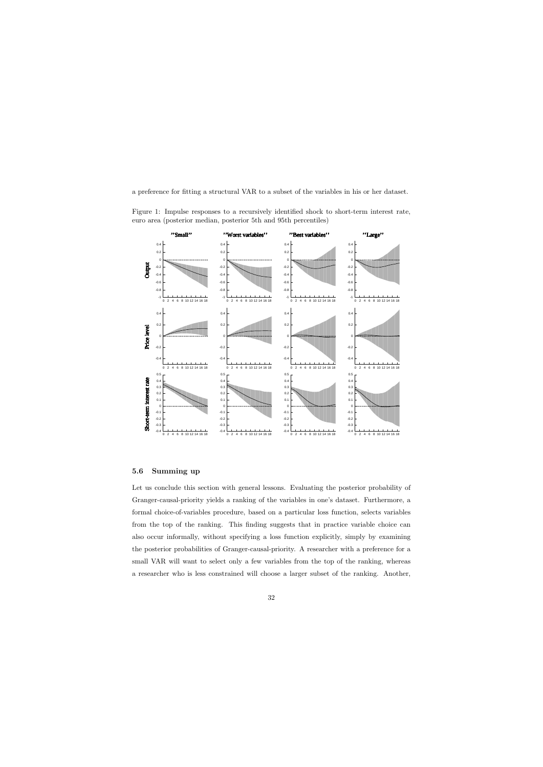a preference for fitting a structural VAR to a subset of the variables in his or her dataset.

Figure 1: Impulse responses to a recursively identified shock to short-term interest rate, euro area (posterior median, posterior 5th and 95th percentiles)



## 5.6 Summing up

Let us conclude this section with general lessons. Evaluating the posterior probability of Granger-causal-priority yields a ranking of the variables in one's dataset. Furthermore, a formal choice-of-variables procedure, based on a particular loss function, selects variables from the top of the ranking. This finding suggests that in practice variable choice can also occur informally, without specifying a loss function explicitly, simply by examining the posterior probabilities of Granger-causal-priority. A researcher with a preference for a small VAR will want to select only a few variables from the top of the ranking, whereas a researcher who is less constrained will choose a larger subset of the ranking. Another,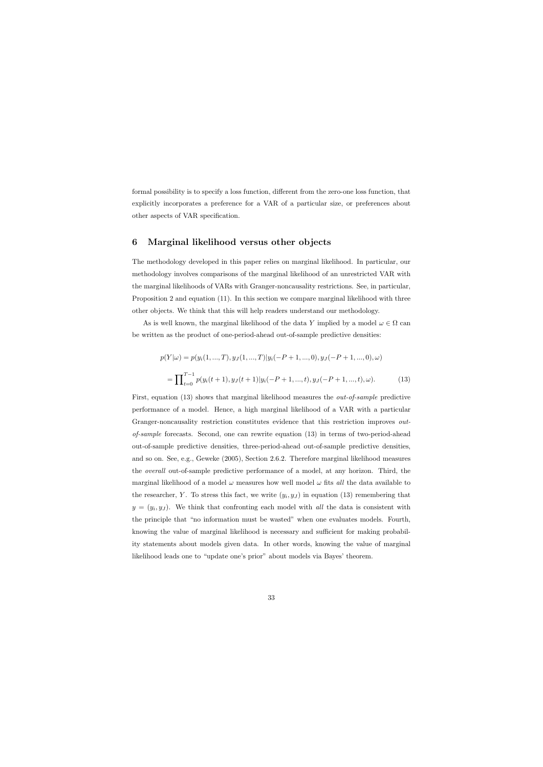formal possibility is to specify a loss function, different from the zero-one loss function, that explicitly incorporates a preference for a VAR of a particular size, or preferences about other aspects of VAR specification.

## 6 Marginal likelihood versus other objects

The methodology developed in this paper relies on marginal likelihood. In particular, our methodology involves comparisons of the marginal likelihood of an unrestricted VAR with the marginal likelihoods of VARs with Granger-noncausality restrictions. See, in particular, Proposition 2 and equation (11). In this section we compare marginal likelihood with three other objects. We think that this will help readers understand our methodology.

As is well known, the marginal likelihood of the data Y implied by a model  $\omega \in \Omega$  can be written as the product of one-period-ahead out-of-sample predictive densities:

$$
p(Y|\omega) = p(y_i(1, ..., T), y_J(1, ..., T)|y_i(-P+1, ..., 0), y_J(-P+1, ..., 0), \omega)
$$
  
= 
$$
\prod_{t=0}^{T-1} p(y_i(t+1), y_J(t+1)|y_i(-P+1, ..., t), y_J(-P+1, ..., t), \omega).
$$
 (13)

First, equation (13) shows that marginal likelihood measures the *out-of-sample* predictive performance of a model. Hence, a high marginal likelihood of a VAR with a particular Granger-noncausality restriction constitutes evidence that this restriction improves *out*of-sample forecasts. Second, one can rewrite equation (13) in terms of two-period-ahead out-of-sample predictive densities, three-period-ahead out-of-sample predictive densities, and so on. See, e.g., Geweke (2005), Section 2.6.2. Therefore marginal likelihood measures the overall out-of-sample predictive performance of a model, at any horizon. Third, the marginal likelihood of a model  $\omega$  measures how well model  $\omega$  fits all the data available to the researcher, Y. To stress this fact, we write  $(y_i, y_j)$  in equation (13) remembering that  $y = (y_i, y_j)$ . We think that confronting each model with all the data is consistent with the principle that "no information must be wasted" when one evaluates models. Fourth, knowing the value of marginal likelihood is necessary and sufficient for making probability statements about models given data. In other words, knowing the value of marginal likelihood leads one to "update one's prior" about models via Bayes' theorem.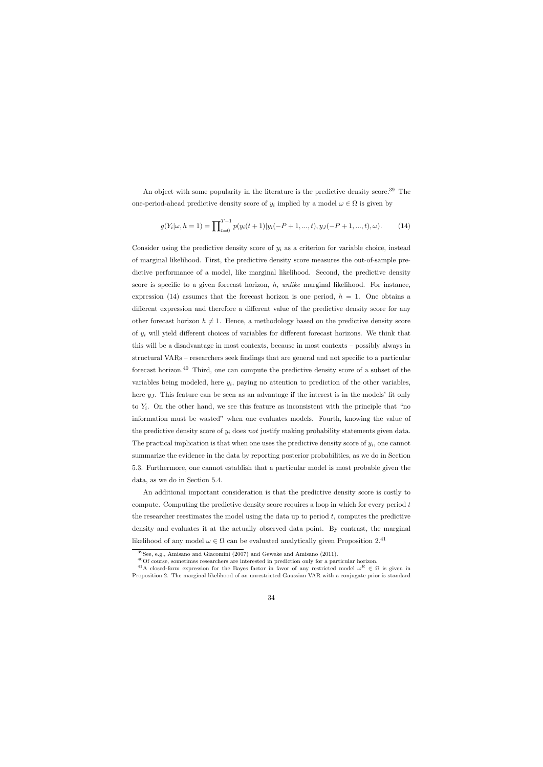An object with some popularity in the literature is the predictive density score.<sup>39</sup> The one-period-ahead predictive density score of  $y_i$  implied by a model  $\omega \in \Omega$  is given by

$$
g(Y_i|\omega, h=1) = \prod_{t=0}^{T-1} p(y_i(t+1)|y_i(-P+1,...,t), y_J(-P+1,...,t), \omega).
$$
 (14)

Consider using the predictive density score of  $y_i$  as a criterion for variable choice, instead of marginal likelihood. First, the predictive density score measures the out-of-sample predictive performance of a model, like marginal likelihood. Second, the predictive density score is specific to a given forecast horizon, h, unlike marginal likelihood. For instance, expression (14) assumes that the forecast horizon is one period,  $h = 1$ . One obtains a different expression and therefore a different value of the predictive density score for any other forecast horizon  $h \neq 1$ . Hence, a methodology based on the predictive density score of  $y_i$  will yield different choices of variables for different forecast horizons. We think that this will be a disadvantage in most contexts, because in most contexts – possibly always in structural VARs – researchers seek findings that are general and not specific to a particular forecast horizon.<sup>40</sup> Third, one can compute the predictive density score of a subset of the variables being modeled, here  $y_i$ , paying no attention to prediction of the other variables, here  $y<sub>J</sub>$ . This feature can be seen as an advantage if the interest is in the models' fit only to  $Y_i$ . On the other hand, we see this feature as inconsistent with the principle that "no information must be wasted" when one evaluates models. Fourth, knowing the value of the predictive density score of  $y_i$  does not justify making probability statements given data. The practical implication is that when one uses the predictive density score of  $y_i$ , one cannot summarize the evidence in the data by reporting posterior probabilities, as we do in Section 5.3. Furthermore, one cannot establish that a particular model is most probable given the data, as we do in Section 5.4.

An additional important consideration is that the predictive density score is costly to compute. Computing the predictive density score requires a loop in which for every period t the researcher reestimates the model using the data up to period  $t$ , computes the predictive density and evaluates it at the actually observed data point. By contrast, the marginal likelihood of any model  $\omega \in \Omega$  can be evaluated analytically given Proposition 2.<sup>41</sup>

<sup>39</sup>See, e.g., Amisano and Giacomini (2007) and Geweke and Amisano (2011).

 $^{40}\mathrm{Of}$  course, sometimes researchers are interested in prediction only for a particular horizon.

<sup>&</sup>lt;sup>41</sup>A closed-form expression for the Bayes factor in favor of any restricted model  $\omega^R \in \Omega$  is given in Proposition 2. The marginal likelihood of an unrestricted Gaussian VAR with a conjugate prior is standard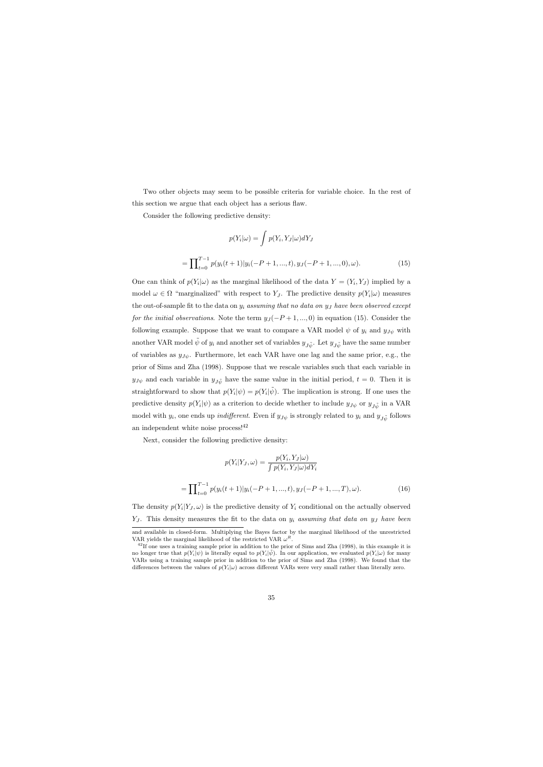Two other objects may seem to be possible criteria for variable choice. In the rest of this section we argue that each object has a serious flaw.

Consider the following predictive density:

$$
p(Y_i|\omega) = \int p(Y_i, Y_J|\omega)dY_J
$$
  
= 
$$
\prod_{t=0}^{T-1} p(y_i(t+1)|y_i(-P+1,...,t), y_J(-P+1,...,0), \omega).
$$
 (15)

One can think of  $p(Y_i|\omega)$  as the marginal likelihood of the data  $Y = (Y_i, Y_J)$  implied by a model  $\omega \in \Omega$  "marginalized" with respect to Y<sub>J</sub>. The predictive density  $p(Y_i|\omega)$  measures the out-of-sample fit to the data on  $y_i$  assuming that no data on  $y_j$  have been observed except for the initial observations. Note the term  $y_J(-P+1, ..., 0)$  in equation (15). Consider the following example. Suppose that we want to compare a VAR model  $\psi$  of  $y_i$  and  $y_{J\psi}$  with another VAR model  $\tilde{\psi}$  of  $y_i$  and another set of variables  $y_{J\tilde{\psi}}$ . Let  $y_{J\tilde{\psi}}$  have the same number of variables as  $y_{J\psi}$ . Furthermore, let each VAR have one lag and the same prior, e.g., the prior of Sims and Zha (1998). Suppose that we rescale variables such that each variable in  $y_{J\psi}$  and each variable in  $y_{J\psi}$  have the same value in the initial period,  $t = 0$ . Then it is straightforward to show that  $p(Y_i|\psi) = p(Y_i|\tilde{\psi})$ . The implication is strong. If one uses the predictive density  $p(Y_i|\psi)$  as a criterion to decide whether to include  $y_{J\psi}$  or  $y_{J\tilde{\psi}}$  in a VAR model with  $y_i$ , one ends up *indifferent*. Even if  $y_{J\psi}$  is strongly related to  $y_i$  and  $y_{J\tilde{\psi}}$  follows an independent white noise process!<sup>42</sup>

Next, consider the following predictive density:

$$
p(Y_i|Y_J, \omega) = \frac{p(Y_i, Y_J|\omega)}{\int p(Y_i, Y_J|\omega) dY_i}
$$

$$
= \prod_{t=0}^{T-1} p(y_i(t+1)|y_i(-P+1, ..., t), y_J(-P+1, ..., T), \omega).
$$
(16)

The density  $p(Y_i|Y_J,\omega)$  is the predictive density of  $Y_i$  conditional on the actually observed  $Y_J$ . This density measures the fit to the data on  $y_i$  assuming that data on  $y_j$  have been

and available in closed-form. Multiplying the Bayes factor by the marginal likelihood of the unrestricted VAR yields the marginal likelihood of the restricted VAR  $\omega^R$ .

 $^{42}$ If one uses a training sample prior in addition to the prior of Sims and Zha (1998), in this example it is no longer true that  $p(Y_i|\psi)$  is literally equal to  $p(Y_i|\tilde{\psi})$ . In our application, we evaluated  $p(Y_i|\omega)$  for many VARs using a training sample prior in addition to the prior of Sims and Zha (1998). We found that the differences between the values of  $p(Y_i|\omega)$  across different VARs were very small rather than literally zero.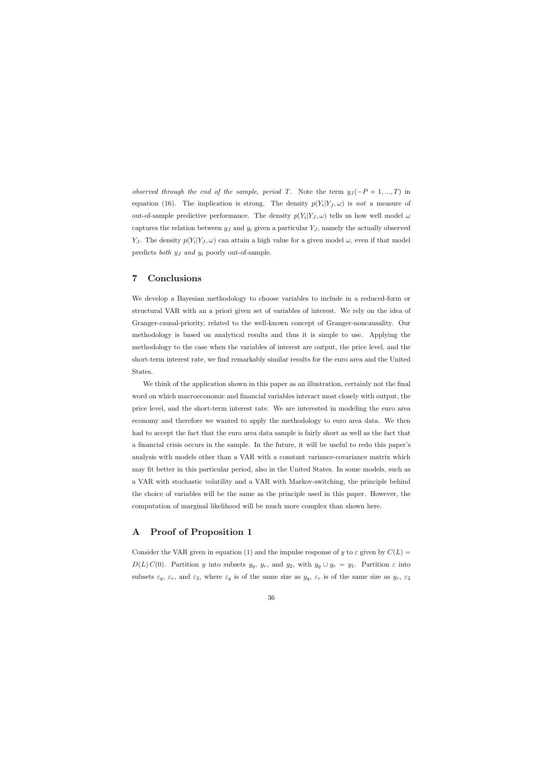observed through the end of the sample, period T. Note the term  $y_J(-P+1,...,T)$  in equation (16). The implication is strong. The density  $p(Y_i|Y_J,\omega)$  is not a measure of out-of-sample predictive performance. The density  $p(Y_i|Y_J,\omega)$  tells us how well model  $\omega$ captures the relation between  $y_J$  and  $y_i$  given a particular  $Y_J$ , namely the actually observed Y<sub>J</sub>. The density  $p(Y_i|Y_J,\omega)$  can attain a high value for a given model  $\omega$ , even if that model predicts both  $y_j$  and  $y_i$  poorly out-of-sample.

## 7 Conclusions

We develop a Bayesian methodology to choose variables to include in a reduced-form or structural VAR with an a priori given set of variables of interest. We rely on the idea of Granger-causal-priority, related to the well-known concept of Granger-noncausality. Our methodology is based on analytical results and thus it is simple to use. Applying the methodology to the case when the variables of interest are output, the price level, and the short-term interest rate, we find remarkably similar results for the euro area and the United States.

We think of the application shown in this paper as an illustration, certainly not the final word on which macroeconomic and financial variables interact most closely with output, the price level, and the short-term interest rate. We are interested in modeling the euro area economy and therefore we wanted to apply the methodology to euro area data. We then had to accept the fact that the euro area data sample is fairly short as well as the fact that a financial crisis occurs in the sample. In the future, it will be useful to redo this paper's analysis with models other than a VAR with a constant variance-covariance matrix which may fit better in this particular period, also in the United States. In some models, such as a VAR with stochastic volatility and a VAR with Markov-switching, the principle behind the choice of variables will be the same as the principle used in this paper. However, the computation of marginal likelihood will be much more complex than shown here.

## A Proof of Proposition 1

Consider the VAR given in equation (1) and the impulse response of y to  $\varepsilon$  given by  $C(L)$  $D(L) C(0)$ . Partition y into subsets  $y_q$ ,  $y_r$ , and  $y_2$ , with  $y_q \cup y_r = y_1$ . Partition  $\varepsilon$  into subsets  $\varepsilon_q$ ,  $\varepsilon_r$ , and  $\varepsilon_2$ , where  $\varepsilon_q$  is of the same size as  $y_q$ ,  $\varepsilon_r$  is of the same size as  $y_r$ ,  $\varepsilon_2$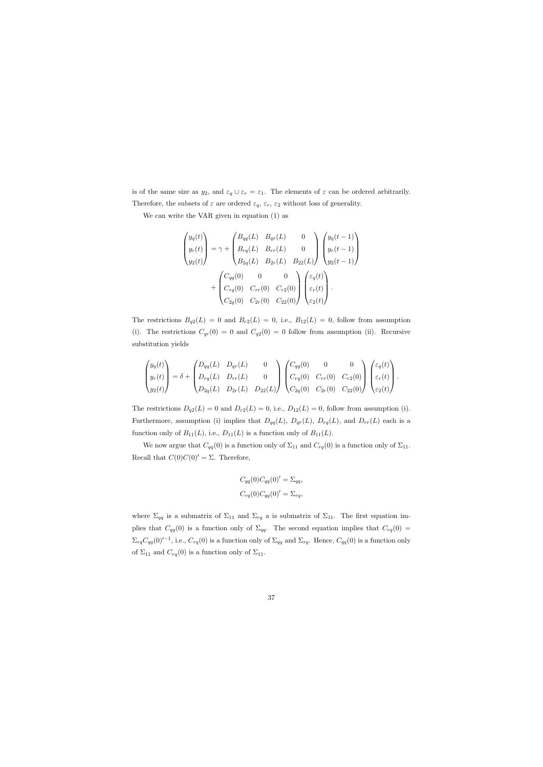is of the same size as  $y_2$ , and  $\varepsilon_q \cup \varepsilon_r = \varepsilon_1$ . The elements of  $\varepsilon$  can be ordered arbitrarily. Therefore, the subsets of  $\varepsilon$  are ordered  $\varepsilon_q$ ,  $\varepsilon_r$ ,  $\varepsilon_2$  without loss of generality.

We can write the VAR given in equation (1) as

$$
\begin{pmatrix} y_q(t) \\ y_r(t) \\ y_2(t) \end{pmatrix} = \gamma + \begin{pmatrix} B_{qq}(L) & B_{qr}(L) & 0 \\ B_{rq}(L) & B_{rr}(L) & 0 \\ B_{2q}(L) & B_{2r}(L) & B_{22}(L) \end{pmatrix} \begin{pmatrix} y_q(t-1) \\ y_r(t-1) \\ y_2(t-1) \end{pmatrix}
$$

$$
+ \begin{pmatrix} C_{qq}(0) & 0 & 0 \\ C_{rq}(0) & C_{rr}(0) & C_{r2}(0) \\ C_{2q}(0) & C_{2r}(0) & C_{22}(0) \end{pmatrix} \begin{pmatrix} \varepsilon_q(t) \\ \varepsilon_r(t) \\ \varepsilon_2(t) \end{pmatrix}.
$$

The restrictions  $B_{q2}(L) = 0$  and  $B_{r2}(L) = 0$ , i.e.,  $B_{12}(L) = 0$ , follow from assumption (i). The restrictions  $C_{qr}(0) = 0$  and  $C_{q2}(0) = 0$  follow from assumption (ii). Recursive substitution yields

$$
\begin{pmatrix} y_q(t) \\ y_r(t) \\ y_2(t) \end{pmatrix} = \delta + \begin{pmatrix} D_{qq}(L) & D_{qr}(L) & 0 \\ D_{rq}(L) & D_{rr}(L) & 0 \\ D_{2q}(L) & D_{2r}(L) & D_{22}(L) \end{pmatrix} \begin{pmatrix} C_{qq}(0) & 0 & 0 \\ C_{rq}(0) & C_{rr}(0) & C_{r2}(0) \\ C_{2q}(0) & C_{2r}(0) & C_{22}(0) \end{pmatrix} \begin{pmatrix} \varepsilon_q(t) \\ \varepsilon_r(t) \\ \varepsilon_2(t) \end{pmatrix}.
$$

The restrictions  $D_{q2}(L) = 0$  and  $D_{r2}(L) = 0$ , i.e.,  $D_{12}(L) = 0$ , follow from assumption (i). Furthermore, assumption (i) implies that  $D_{qq}(L)$ ,  $D_{qq}(L)$ ,  $D_{rq}(L)$ , and  $D_{rr}(L)$  each is a function only of  $B_{11}(L)$ , i.e.,  $D_{11}(L)$  is a function only of  $B_{11}(L)$ .

We now argue that  $C_{qq}(0)$  is a function only of  $\Sigma_{11}$  and  $C_{rq}(0)$  is a function only of  $\Sigma_{11}$ . Recall that  $C(0)C(0)' = \Sigma$ . Therefore,

$$
C_{qq}(0)C_{qq}(0)' = \Sigma_{qq},
$$
  

$$
C_{rq}(0)C_{qq}(0)' = \Sigma_{rq},
$$

where  $\Sigma_{qq}$  is a submatrix of  $\Sigma_{11}$  and  $\Sigma_{rq}$  a is submatrix of  $\Sigma_{11}$ . The first equation implies that  $C_{qq}(0)$  is a function only of  $\Sigma_{qq}$ . The second equation implies that  $C_{rq}(0)$  =  $\Sigma_{rq}C_{qq}(0)^{t-1}$ , i.e.,  $C_{rq}(0)$  is a function only of  $\Sigma_{qq}$  and  $\Sigma_{rq}$ . Hence,  $C_{qq}(0)$  is a function only of  $\Sigma_{11}$  and  $C_{rq}(0)$  is a function only of  $\Sigma_{11}$ .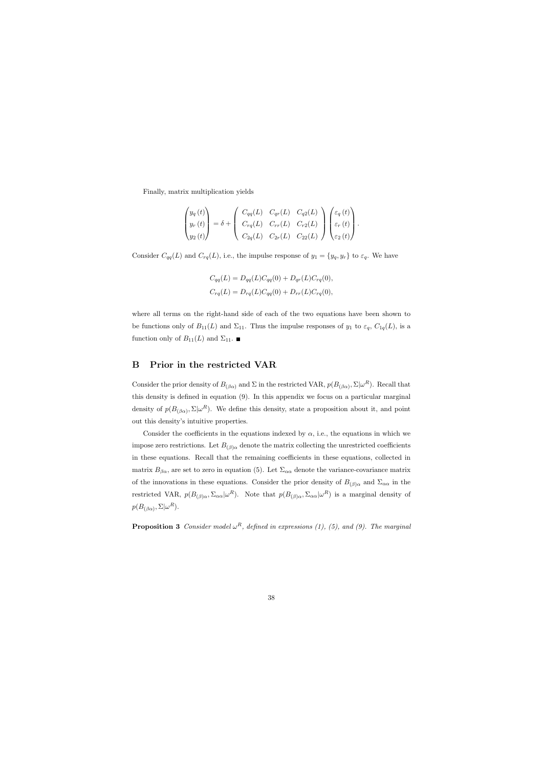Finally, matrix multiplication yields

$$
\begin{pmatrix} y_q(t) \\ y_r(t) \\ y_2(t) \end{pmatrix} = \delta + \begin{pmatrix} C_{qq}(L) & C_{qr}(L) & C_{q2}(L) \\ C_{rq}(L) & C_{rr}(L) & C_{r2}(L) \\ C_{2q}(L) & C_{2r}(L) & C_{22}(L) \end{pmatrix} \begin{pmatrix} \varepsilon_q(t) \\ \varepsilon_r(t) \\ \varepsilon_2(t) \end{pmatrix}.
$$

Consider  $C_{qq}(L)$  and  $C_{rq}(L)$ , i.e., the impulse response of  $y_1 = \{y_q, y_r\}$  to  $\varepsilon_q$ . We have

$$
C_{qq}(L) = D_{qq}(L)C_{qq}(0) + D_{qr}(L)C_{rq}(0),
$$
  
\n
$$
C_{rq}(L) = D_{rq}(L)C_{qq}(0) + D_{rr}(L)C_{rq}(0),
$$

where all terms on the right-hand side of each of the two equations have been shown to be functions only of  $B_{11}(L)$  and  $\Sigma_{11}$ . Thus the impulse responses of  $y_1$  to  $\varepsilon_q$ ,  $C_{1q}(L)$ , is a function only of  $B_{11}(L)$  and  $\Sigma_{11}$ .

## B Prior in the restricted VAR

Consider the prior density of  $B_{(\beta\alpha)}$  and  $\Sigma$  in the restricted VAR,  $p(B_{(\beta\alpha)}, \Sigma | \omega^R)$ . Recall that this density is defined in equation (9). In this appendix we focus on a particular marginal density of  $p(B_{(\beta\alpha)}, \Sigma | \omega^R)$ . We define this density, state a proposition about it, and point out this density's intuitive properties.

Consider the coefficients in the equations indexed by  $\alpha$ , i.e., the equations in which we impose zero restrictions. Let  $B_{(\beta)\alpha}$  denote the matrix collecting the unrestricted coefficients in these equations. Recall that the remaining coefficients in these equations, collected in matrix  $B_{\beta\alpha}$ , are set to zero in equation (5). Let  $\Sigma_{\alpha\alpha}$  denote the variance-covariance matrix of the innovations in these equations. Consider the prior density of  $B_{(\beta)\alpha}$  and  $\Sigma_{\alpha\alpha}$  in the restricted VAR,  $p(B_{(\beta)\alpha}, \Sigma_{\alpha\alpha}|\omega^R)$ . Note that  $p(B_{(\beta)\alpha}, \Sigma_{\alpha\alpha}|\omega^R)$  is a marginal density of  $p(B_{(\beta\alpha)}, \Sigma|\omega^R).$ 

**Proposition 3** Consider model  $\omega^R$ , defined in expressions (1), (5), and (9). The marginal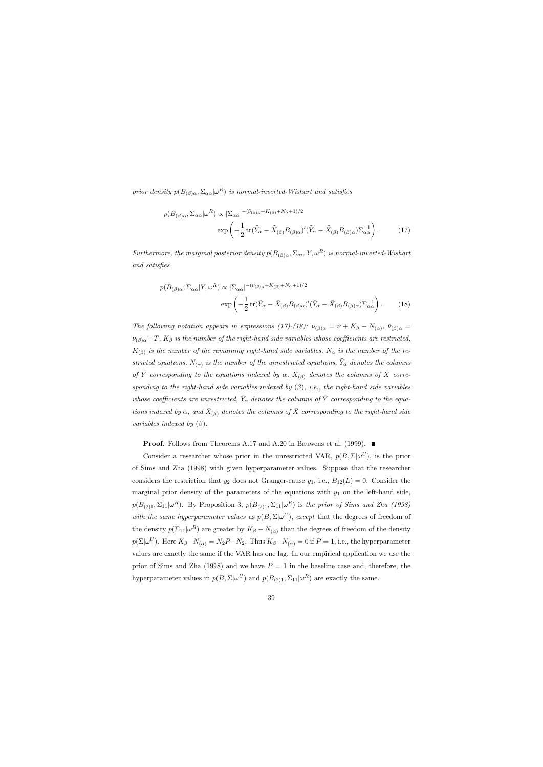prior density  $p(B_{(\beta)\alpha}, \Sigma_{\alpha\alpha}|\omega^R)$  is normal-inverted-Wishart and satisfies

$$
p(B_{(\beta)\alpha}, \Sigma_{\alpha\alpha}|\omega^R) \propto |\Sigma_{\alpha\alpha}|^{-(\tilde{\nu}_{(\beta)\alpha} + K_{(\beta)} + N_{\alpha} + 1)/2}
$$

$$
\exp\left(-\frac{1}{2}\operatorname{tr}(\tilde{Y}_{\alpha} - \tilde{X}_{(\beta)}B_{(\beta)\alpha})'(\tilde{Y}_{\alpha} - \tilde{X}_{(\beta)}B_{(\beta)\alpha})\Sigma_{\alpha\alpha}^{-1}\right).
$$
(17)

Furthermore, the marginal posterior density  $p(B_{(\beta)\alpha}, \Sigma_{\alpha\alpha}|Y, \omega^R)$  is normal-inverted-Wishart and satisfies

$$
p(B_{(\beta)\alpha}, \Sigma_{\alpha\alpha}|Y, \omega^R) \propto |\Sigma_{\alpha\alpha}|^{-(\bar{\nu}_{(\beta)\alpha} + K_{(\beta)} + N_{\alpha} + 1)/2}
$$

$$
\exp\left(-\frac{1}{2}\operatorname{tr}(\bar{Y}_{\alpha} - \bar{X}_{(\beta)}B_{(\beta)\alpha})'(\bar{Y}_{\alpha} - \bar{X}_{(\beta)}B_{(\beta)\alpha})\Sigma_{\alpha\alpha}^{-1}\right).
$$
(18)

The following notation appears in expressions (17)-(18):  $\tilde{\nu}_{(\beta)\alpha} = \tilde{\nu} + K_{\beta} - N_{(\alpha)}, \bar{\nu}_{(\beta)\alpha} =$  $\tilde{\nu}_{(\beta)\alpha}+T$ ,  $K_{\beta}$  is the number of the right-hand side variables whose coefficients are restricted,  $K_{(\beta)}$  is the number of the remaining right-hand side variables,  $N_{\alpha}$  is the number of the restricted equations,  $N_{(\alpha)}$  is the number of the unrestricted equations,  $\tilde{Y}_{\alpha}$  denotes the columns of  $\tilde{Y}$  corresponding to the equations indexed by  $\alpha$ ,  $\tilde{X}_{(\beta)}$  denotes the columns of  $\tilde{X}$  corresponding to the right-hand side variables indexed by  $(\beta)$ , i.e., the right-hand side variables whose coefficients are unrestricted,  $\bar{Y}_{\alpha}$  denotes the columns of  $\bar{Y}$  corresponding to the equations indexed by  $\alpha$ , and  $\bar{X}_{(\beta)}$  denotes the columns of  $\bar{X}$  corresponding to the right-hand side variables indexed by  $(\beta)$ .

**Proof.** Follows from Theorems A.17 and A.20 in Bauwens et al. (1999). ■

Consider a researcher whose prior in the unrestricted VAR,  $p(B, \Sigma | \omega^U)$ , is the prior of Sims and Zha (1998) with given hyperparameter values. Suppose that the researcher considers the restriction that  $y_2$  does not Granger-cause  $y_1$ , i.e.,  $B_{12}(L) = 0$ . Consider the marginal prior density of the parameters of the equations with  $y_1$  on the left-hand side,  $p(B_{(2)1}, \Sigma_{11} | \omega^R)$ . By Proposition 3,  $p(B_{(2)1}, \Sigma_{11} | \omega^R)$  is the prior of Sims and Zha (1998) with the same hyperparameter values as  $p(B, \Sigma | \omega^U)$ , except that the degrees of freedom of the density  $p(\Sigma_{11}|\omega^R)$  are greater by  $K_\beta - N_{(\alpha)}$  than the degrees of freedom of the density  $p(\Sigma|\omega^U)$ . Here  $K_{\beta}-N_{(\alpha)}=N_2P-N_2$ . Thus  $K_{\beta}-N_{(\alpha)}=0$  if  $P=1$ , i.e., the hyperparameter values are exactly the same if the VAR has one lag. In our empirical application we use the prior of Sims and Zha (1998) and we have  $P = 1$  in the baseline case and, therefore, the hyperparameter values in  $p(B, \Sigma | \omega^U)$  and  $p(B_{(2)1}, \Sigma_{11} | \omega^R)$  are exactly the same.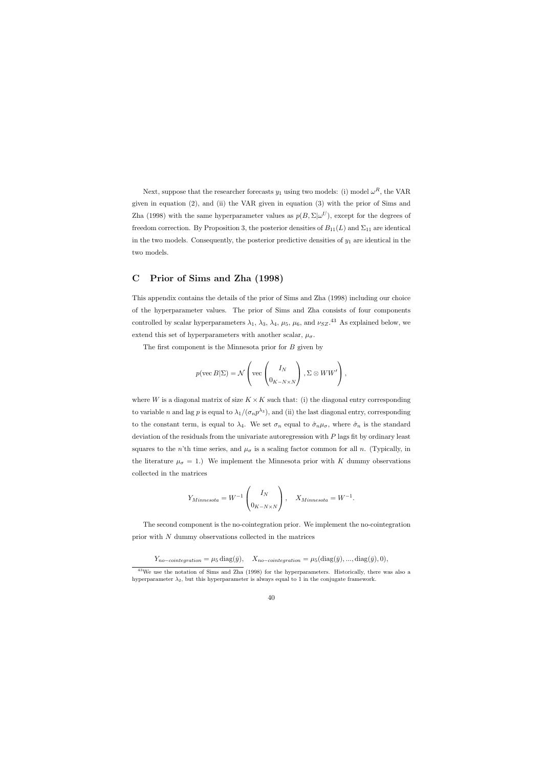Next, suppose that the researcher forecasts  $y_1$  using two models: (i) model  $\omega^R$ , the VAR given in equation (2), and (ii) the VAR given in equation (3) with the prior of Sims and Zha (1998) with the same hyperparameter values as  $p(B, \Sigma | \omega^U)$ , except for the degrees of freedom correction. By Proposition 3, the posterior densities of  $B_{11}(L)$  and  $\Sigma_{11}$  are identical in the two models. Consequently, the posterior predictive densities of  $y_1$  are identical in the two models.

## C Prior of Sims and Zha (1998)

This appendix contains the details of the prior of Sims and Zha (1998) including our choice of the hyperparameter values. The prior of Sims and Zha consists of four components controlled by scalar hyperparameters  $\lambda_1$ ,  $\lambda_3$ ,  $\lambda_4$ ,  $\mu_5$ ,  $\mu_6$ , and  $\nu_{SZ}$ .<sup>43</sup> As explained below, we extend this set of hyperparameters with another scalar,  $\mu_{\sigma}$ .

The first component is the Minnesota prior for B given by

$$
p(\text{vec }B|\Sigma) = \mathcal{N}\left(\text{vec}\left(\frac{I_N}{0_{K-N\times N}}\right), \Sigma \otimes WW'\right),\,
$$

where W is a diagonal matrix of size  $K \times K$  such that: (i) the diagonal entry corresponding to variable n and lag p is equal to  $\lambda_1/(\sigma_n p^{\lambda_3})$ , and (ii) the last diagonal entry, corresponding to the constant term, is equal to  $\lambda_4$ . We set  $\sigma_n$  equal to  $\hat{\sigma}_n\mu_{\sigma}$ , where  $\hat{\sigma}_n$  is the standard deviation of the residuals from the univariate autoregression with  $P$  lags fit by ordinary least squares to the n'th time series, and  $\mu_{\sigma}$  is a scaling factor common for all n. (Typically, in the literature  $\mu_{\sigma} = 1$ .) We implement the Minnesota prior with K dummy observations collected in the matrices

$$
Y_{Minnesota} = W^{-1} \begin{pmatrix} I_N \\ 0_{K-N\times N} \end{pmatrix}, \quad X_{Minnesota} = W^{-1}.
$$

The second component is the no-cointegration prior. We implement the no-cointegration prior with N dummy observations collected in the matrices

$$
Y_{no-cointegration} = \mu_5 \operatorname{diag}(\bar{y}), \quad X_{no-cointegration} = \mu_5(\operatorname{diag}(\bar{y}),...,\operatorname{diag}(\bar{y}),0),
$$

 $43\text{We}$  use the notation of Sims and Zha (1998) for the hyperparameters. Historically, there was also a hyperparameter  $\lambda_2$ , but this hyperparameter is always equal to 1 in the conjugate framework.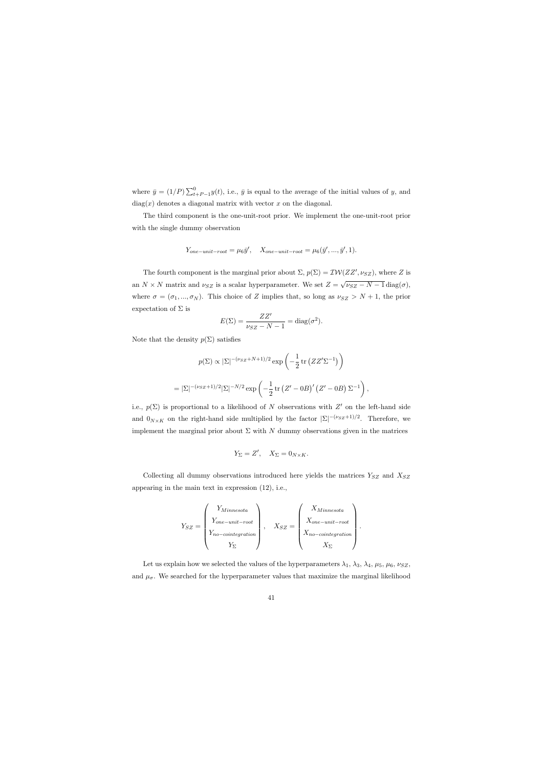where  $\bar{y} = (1/P) \sum_{t+P-1}^{0} y(t)$ , i.e.,  $\bar{y}$  is equal to the average of the initial values of y, and  $diag(x)$  denotes a diagonal matrix with vector x on the diagonal.

The third component is the one-unit-root prior. We implement the one-unit-root prior with the single dummy observation

$$
Y_{one-unit-root} = \mu_6 \bar{y}', \quad X_{one-unit-root} = \mu_6(\bar{y}', \dots, \bar{y}', 1).
$$

The fourth component is the marginal prior about  $\Sigma$ ,  $p(\Sigma) = \mathcal{IW}(ZZ', \nu_{SZ})$ , where Z is an  $N \times N$  matrix and  $\nu_{SZ}$  is a scalar hyperparameter. We set  $Z =$ √  $\nu_{SZ}$  –  $N-1$  diag( $\sigma$ ), where  $\sigma = (\sigma_1, ..., \sigma_N)$ . This choice of Z implies that, so long as  $\nu_{SZ} > N + 1$ , the prior expectation of  $\Sigma$  is

$$
E(\Sigma) = \frac{ZZ'}{\nu_{SZ} - N - 1} = \text{diag}(\sigma^2).
$$

Note that the density  $p(\Sigma)$  satisfies

$$
p(\Sigma) \propto |\Sigma|^{-(\nu_{SZ}+N+1)/2} \exp\left(-\frac{1}{2}\operatorname{tr}\left(ZZ'\Sigma^{-1}\right)\right)
$$

$$
= |\Sigma|^{-(\nu_{SZ}+1)/2} |\Sigma|^{-N/2} \exp\left(-\frac{1}{2}\operatorname{tr}\left(Z'-0B\right)'\left(Z'-0B\right)\Sigma^{-1}\right),
$$

i.e.,  $p(\Sigma)$  is proportional to a likelihood of N observations with Z' on the left-hand side and  $0_{N\times K}$  on the right-hand side multiplied by the factor  $|\Sigma|^{-(\nu_{SZ}+1)/2}$ . Therefore, we implement the marginal prior about  $\Sigma$  with N dummy observations given in the matrices

$$
Y_{\Sigma} = Z', \quad X_{\Sigma} = 0_{N \times K}.
$$

Collecting all dummy observations introduced here yields the matrices  $Y_{SZ}$  and  $X_{SZ}$ appearing in the main text in expression (12), i.e.,

$$
Y_{SZ} = \begin{pmatrix} Y_{Minnesota} \\ Y_{one-unit-root} \\ Y_{no-cointegration} \\ Y_{\Sigma} \end{pmatrix}, \quad X_{SZ} = \begin{pmatrix} X_{Minnesota} \\ X_{one-unit-root} \\ X_{no-cointegration} \\ X_{\Sigma} \end{pmatrix}.
$$

Let us explain how we selected the values of the hyperparameters  $\lambda_1$ ,  $\lambda_3$ ,  $\lambda_4$ ,  $\mu_5$ ,  $\mu_6$ ,  $\nu_{SZ}$ , and  $\mu_{\sigma}$ . We searched for the hyperparameter values that maximize the marginal likelihood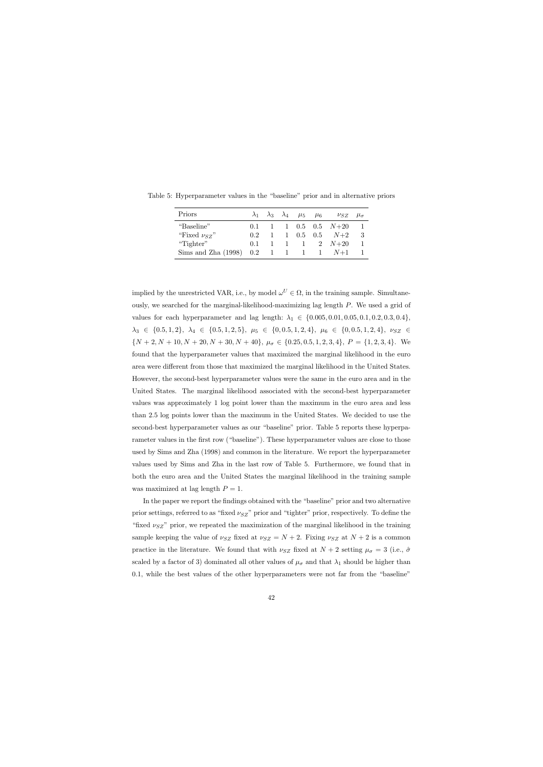| Priors                                  |         |  | $\lambda_1$ $\lambda_3$ $\lambda_4$ $\mu_5$ $\mu_6$ | $\nu_{SZ}$                                           | $\mu_{\sigma}$ |
|-----------------------------------------|---------|--|-----------------------------------------------------|------------------------------------------------------|----------------|
| "Baseline"                              |         |  |                                                     | $0.1 \quad 1 \quad 1 \quad 0.5 \quad 0.5 \quad N+20$ |                |
| "Fixed $\nu_{SZ}$ "                     | 0.2     |  |                                                     | $1 \quad 1 \quad 0.5 \quad 0.5 \quad N+2$            | -3             |
| "Tighter"                               | $(1)$ 1 |  |                                                     | $1 \quad 1 \quad 1 \quad 2 \quad N+20$               |                |
| Sims and Zha $(1998)$ 0.2 1 1 1 1 $N+1$ |         |  |                                                     |                                                      |                |

Table 5: Hyperparameter values in the "baseline" prior and in alternative priors

implied by the unrestricted VAR, i.e., by model  $\omega^U \in \Omega$ , in the training sample. Simultaneously, we searched for the marginal-likelihood-maximizing lag length P. We used a grid of values for each hyperparameter and lag length:  $\lambda_1 \in \{0.005, 0.01, 0.05, 0.1, 0.2, 0.3, 0.4\},\$  $\lambda_3 \in \{0.5, 1, 2\}, \ \lambda_4 \in \{0.5, 1, 2, 5\}, \ \mu_5 \in \{0, 0.5, 1, 2, 4\}, \ \mu_6 \in \{0, 0.5, 1, 2, 4\}, \ \nu_{SZ} \in$  $\{N+2, N+10, N+20, N+30, N+40\}, \mu_{\sigma} \in \{0.25, 0.5, 1, 2, 3, 4\}, \ P = \{1, 2, 3, 4\}.$  We found that the hyperparameter values that maximized the marginal likelihood in the euro area were different from those that maximized the marginal likelihood in the United States. However, the second-best hyperparameter values were the same in the euro area and in the United States. The marginal likelihood associated with the second-best hyperparameter values was approximately 1 log point lower than the maximum in the euro area and less than 2.5 log points lower than the maximum in the United States. We decided to use the second-best hyperparameter values as our "baseline" prior. Table 5 reports these hyperparameter values in the first row ("baseline"). These hyperparameter values are close to those used by Sims and Zha (1998) and common in the literature. We report the hyperparameter values used by Sims and Zha in the last row of Table 5. Furthermore, we found that in both the euro area and the United States the marginal likelihood in the training sample was maximized at lag length  $P = 1$ .

In the paper we report the findings obtained with the "baseline" prior and two alternative prior settings, referred to as "fixed  $\nu_{SZ}$ " prior and "tighter" prior, respectively. To define the "fixed  $\nu_{SZ}$ " prior, we repeated the maximization of the marginal likelihood in the training sample keeping the value of  $\nu_{SZ}$  fixed at  $\nu_{SZ} = N + 2$ . Fixing  $\nu_{SZ}$  at  $N + 2$  is a common practice in the literature. We found that with  $\nu_{SZ}$  fixed at  $N+2$  setting  $\mu_{\sigma} = 3$  (i.e.,  $\hat{\sigma}$ scaled by a factor of 3) dominated all other values of  $\mu_{\sigma}$  and that  $\lambda_1$  should be higher than 0.1, while the best values of the other hyperparameters were not far from the "baseline"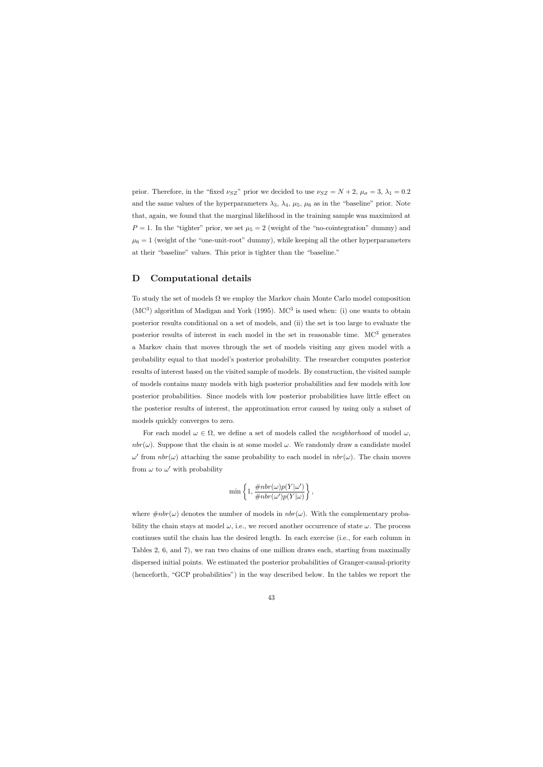prior. Therefore, in the "fixed  $\nu_{SZ}$ " prior we decided to use  $\nu_{SZ} = N + 2$ ,  $\mu_{\sigma} = 3$ ,  $\lambda_1 = 0.2$ and the same values of the hyperparameters  $\lambda_3$ ,  $\lambda_4$ ,  $\mu_5$ ,  $\mu_6$  as in the "baseline" prior. Note that, again, we found that the marginal likelihood in the training sample was maximized at  $P = 1$ . In the "tighter" prior, we set  $\mu_5 = 2$  (weight of the "no-cointegration" dummy) and  $\mu_6 = 1$  (weight of the "one-unit-root" dummy), while keeping all the other hyperparameters at their "baseline" values. This prior is tighter than the "baseline."

## D Computational details

To study the set of models  $\Omega$  we employ the Markov chain Monte Carlo model composition  $(MC<sup>3</sup>)$  algorithm of Madigan and York (1995). MC<sup>3</sup> is used when: (i) one wants to obtain posterior results conditional on a set of models, and (ii) the set is too large to evaluate the posterior results of interest in each model in the set in reasonable time.  $MC^3$  generates a Markov chain that moves through the set of models visiting any given model with a probability equal to that model's posterior probability. The researcher computes posterior results of interest based on the visited sample of models. By construction, the visited sample of models contains many models with high posterior probabilities and few models with low posterior probabilities. Since models with low posterior probabilities have little effect on the posterior results of interest, the approximation error caused by using only a subset of models quickly converges to zero.

For each model  $\omega \in \Omega$ , we define a set of models called the *neighborhood* of model  $\omega$ , nbr( $\omega$ ). Suppose that the chain is at some model  $\omega$ . We randomly draw a candidate model  $ω'$  from nbr(ω) attaching the same probability to each model in nbr(ω). The chain moves from  $\omega$  to  $\omega'$  with probability

$$
\min\left\{1,\frac{\#nbr(\omega)p(Y|\omega')}{\#nbr(\omega')p(Y|\omega)}\right\},\,
$$

where  $\#nbr(\omega)$  denotes the number of models in  $nbr(\omega)$ . With the complementary probability the chain stays at model  $\omega$ , i.e., we record another occurrence of state  $\omega$ . The process continues until the chain has the desired length. In each exercise (i.e., for each column in Tables 2, 6, and 7), we ran two chains of one million draws each, starting from maximally dispersed initial points. We estimated the posterior probabilities of Granger-causal-priority (henceforth, "GCP probabilities") in the way described below. In the tables we report the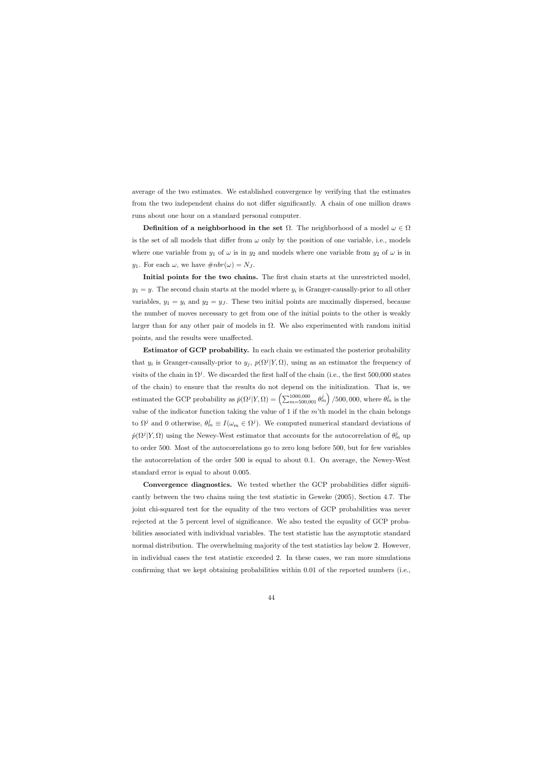average of the two estimates. We established convergence by verifying that the estimates from the two independent chains do not differ significantly. A chain of one million draws runs about one hour on a standard personal computer.

Definition of a neighborhood in the set  $\Omega$ . The neighborhood of a model  $\omega \in \Omega$ is the set of all models that differ from  $\omega$  only by the position of one variable, i.e., models where one variable from  $y_1$  of  $\omega$  is in  $y_2$  and models where one variable from  $y_2$  of  $\omega$  is in y<sub>1</sub>. For each  $\omega$ , we have  $\#nbr(\omega) = N_J$ .

Initial points for the two chains. The first chain starts at the unrestricted model,  $y_1 = y$ . The second chain starts at the model where  $y_i$  is Granger-causally-prior to all other variables,  $y_1 = y_i$  and  $y_2 = y_j$ . These two initial points are maximally dispersed, because the number of moves necessary to get from one of the initial points to the other is weakly larger than for any other pair of models in  $\Omega$ . We also experimented with random initial points, and the results were unaffected.

Estimator of GCP probability. In each chain we estimated the posterior probability that  $y_i$  is Granger-causally-prior to  $y_j$ ,  $p(\Omega^j | Y, \Omega)$ , using as an estimator the frequency of visits of the chain in  $\Omega^{j}$ . We discarded the first half of the chain (i.e., the first 500,000 states of the chain) to ensure that the results do not depend on the initialization. That is, we estimated the GCP probability as  $\hat{p}(\Omega^j | Y, \Omega) = \left(\sum_{m=500,001}^{1000,000} \theta_m^j\right) / 500,000$ , where  $\theta_m^j$  is the value of the indicator function taking the value of 1 if the  $m$ 'th model in the chain belongs to  $\Omega^j$  and 0 otherwise,  $\theta^j_m \equiv I(\omega_m \in \Omega^j)$ . We computed numerical standard deviations of  $\hat{p}(\Omega^j | Y, \Omega)$  using the Newey-West estimator that accounts for the autocorrelation of  $\theta_m^j$  up to order 500. Most of the autocorrelations go to zero long before 500, but for few variables the autocorrelation of the order 500 is equal to about 0.1. On average, the Newey-West standard error is equal to about 0.005.

Convergence diagnostics. We tested whether the GCP probabilities differ significantly between the two chains using the test statistic in Geweke (2005), Section 4.7. The joint chi-squared test for the equality of the two vectors of GCP probabilities was never rejected at the 5 percent level of significance. We also tested the equality of GCP probabilities associated with individual variables. The test statistic has the asymptotic standard normal distribution. The overwhelming majority of the test statistics lay below 2. However, in individual cases the test statistic exceeded 2. In these cases, we ran more simulations confirming that we kept obtaining probabilities within 0.01 of the reported numbers (i.e.,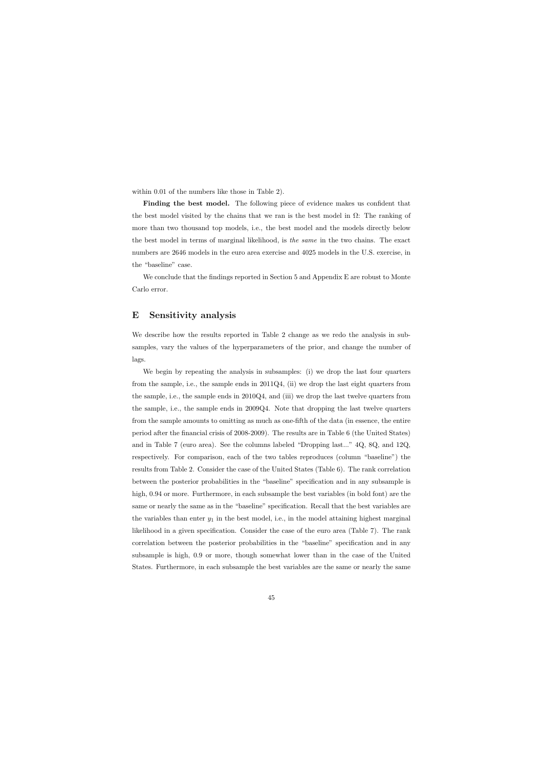within 0.01 of the numbers like those in Table 2).

Finding the best model. The following piece of evidence makes us confident that the best model visited by the chains that we ran is the best model in  $\Omega$ : The ranking of more than two thousand top models, i.e., the best model and the models directly below the best model in terms of marginal likelihood, is the same in the two chains. The exact numbers are 2646 models in the euro area exercise and 4025 models in the U.S. exercise, in the "baseline" case.

We conclude that the findings reported in Section 5 and Appendix E are robust to Monte Carlo error.

## E Sensitivity analysis

We describe how the results reported in Table 2 change as we redo the analysis in subsamples, vary the values of the hyperparameters of the prior, and change the number of lags.

We begin by repeating the analysis in subsamples: (i) we drop the last four quarters from the sample, i.e., the sample ends in  $2011Q4$ , (ii) we drop the last eight quarters from the sample, i.e., the sample ends in 2010Q4, and (iii) we drop the last twelve quarters from the sample, i.e., the sample ends in 2009Q4. Note that dropping the last twelve quarters from the sample amounts to omitting as much as one-fifth of the data (in essence, the entire period after the financial crisis of 2008-2009). The results are in Table 6 (the United States) and in Table 7 (euro area). See the columns labeled "Dropping last..." 4Q, 8Q, and 12Q, respectively. For comparison, each of the two tables reproduces (column "baseline") the results from Table 2. Consider the case of the United States (Table 6). The rank correlation between the posterior probabilities in the "baseline" specification and in any subsample is high,  $0.94$  or more. Furthermore, in each subsample the best variables (in bold font) are the same or nearly the same as in the "baseline" specification. Recall that the best variables are the variables than enter  $y_1$  in the best model, i.e., in the model attaining highest marginal likelihood in a given specification. Consider the case of the euro area (Table 7). The rank correlation between the posterior probabilities in the "baseline" specification and in any subsample is high, 0.9 or more, though somewhat lower than in the case of the United States. Furthermore, in each subsample the best variables are the same or nearly the same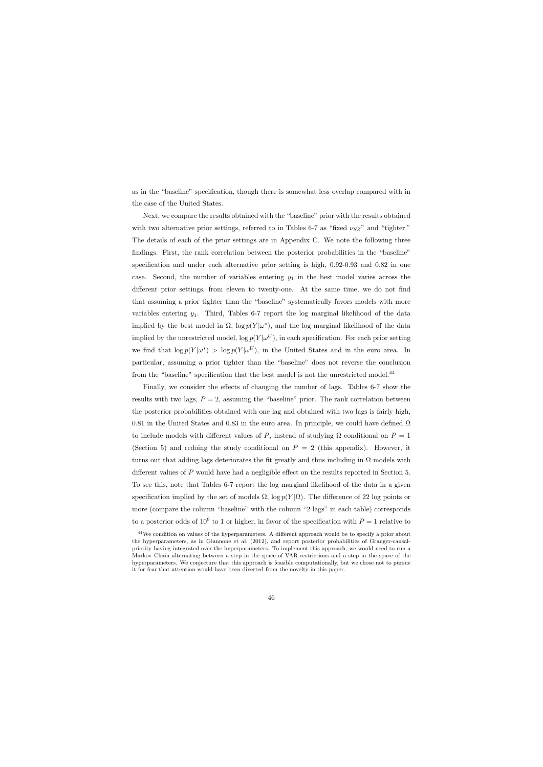as in the "baseline" specification, though there is somewhat less overlap compared with in the case of the United States.

Next, we compare the results obtained with the "baseline" prior with the results obtained with two alternative prior settings, referred to in Tables 6-7 as "fixed  $\nu_{SZ}$ " and "tighter." The details of each of the prior settings are in Appendix C. We note the following three findings. First, the rank correlation between the posterior probabilities in the "baseline" specification and under each alternative prior setting is high, 0.92-0.93 and 0.82 in one case. Second, the number of variables entering  $y_1$  in the best model varies across the different prior settings, from eleven to twenty-one. At the same time, we do not find that assuming a prior tighter than the "baseline" systematically favors models with more variables entering  $y_1$ . Third, Tables 6-7 report the log marginal likelihood of the data implied by the best model in  $\Omega$ ,  $\log p(Y|\omega^*)$ , and the log marginal likelihood of the data implied by the unrestricted model,  $\log p(Y|\omega^U)$ , in each specification. For each prior setting we find that  $\log p(Y|\omega^*) > \log p(Y|\omega^U)$ , in the United States and in the euro area. In particular, assuming a prior tighter than the "baseline" does not reverse the conclusion from the "baseline" specification that the best model is not the unrestricted model.<sup>44</sup>

Finally, we consider the effects of changing the number of lags. Tables 6-7 show the results with two lags,  $P = 2$ , assuming the "baseline" prior. The rank correlation between the posterior probabilities obtained with one lag and obtained with two lags is fairly high, 0.81 in the United States and 0.83 in the euro area. In principle, we could have defined  $\Omega$ to include models with different values of P, instead of studying  $\Omega$  conditional on  $P = 1$ (Section 5) and redoing the study conditional on  $P = 2$  (this appendix). However, it turns out that adding lags deteriorates the fit greatly and thus including in  $\Omega$  models with different values of P would have had a negligible effect on the results reported in Section 5. To see this, note that Tables 6-7 report the log marginal likelihood of the data in a given specification implied by the set of models  $\Omega$ , log  $p(Y|\Omega)$ . The difference of 22 log points or more (compare the column "baseline" with the column "2 lags" in each table) corresponds to a posterior odds of  $10^9$  to 1 or higher, in favor of the specification with  $P=1$  relative to

<sup>&</sup>lt;sup>44</sup>We condition on values of the hyperparameters. A different approach would be to specify a prior about the hyperparameters, as in Giannone et al. (2012), and report posterior probabilities of Granger-causalpriority having integrated over the hyperparameters. To implement this approach, we would need to run a Markov Chain alternating between a step in the space of VAR restrictions and a step in the space of the hyperparameters. We conjecture that this approach is feasible computationally, but we chose not to pursue it for fear that attention would have been diverted from the novelty in this paper.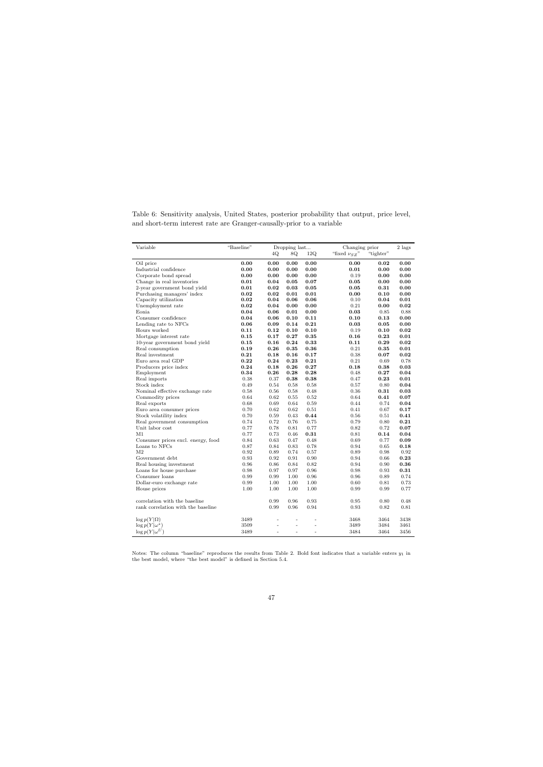Table 6: Sensitivity analysis, United States, posterior probability that output, price level, and short-term interest rate are Granger-causally-prior to a variable

| Variable                           | "Baseline" |                | Dropping last  |                |                     | Changing prior |      |
|------------------------------------|------------|----------------|----------------|----------------|---------------------|----------------|------|
|                                    |            | 4Q             | 8Q             | 12Q            | "fixed $\nu_{SZ}$ " | "tighter"      |      |
| Oil price                          | 0.00       | 0.00           | 0.00           | 0.00           | 0.00                | 0.02           | 0.00 |
| Industrial confidence              | 0.00       | 0.00           | 0.00           | 0.00           | 0.01                | 0.00           | 0.00 |
| Corporate bond spread              | 0.00       | 0.00           | 0.00           | 0.00           | 0.19                | 0.00           | 0.00 |
| Change in real inventories         | 0.01       | 0.04           | 0.05           | 0.07           | 0.05                | 0.00           | 0.00 |
| 2-year government bond yield       | 0.01       | 0.02           | 0.03           | 0.05           | 0.05                | 0.31           | 0.00 |
| Purchasing managers' index         | 0.02       | 0.02           | 0.01           | 0.01           | 0.00                | 0.10           | 0.00 |
| Capacity utilization               | 0.02       | 0.04           | 0.06           | 0.06           | 0.10                | 0.04           | 0.01 |
| Unemployment rate                  | 0.02       | 0.04           | 0.00           | 0.00           | 0.21                | 0.00           | 0.02 |
| Eonia                              | 0.04       | 0.06           | 0.01           | 0.00           | 0.03                | 0.85           | 0.88 |
| Consumer confidence                | 0.04       | 0.06           | 0.10           | 0.11           | 0.10                | 0.13           | 0.00 |
| Lending rate to NFCs               | 0.06       | 0.09           | 0.14           | 0.21           | 0.03                | 0.05           | 0.00 |
| Hours worked                       | 0.11       | 0.12           | 0.10           | 0.10           | 0.19                | 0.10           | 0.02 |
| Mortgage interest rate             | 0.15       | 0.17           | 0.27           | 0.35           | 0.16                | 0.23           | 0.01 |
| 10-year government bond yield      | 0.15       | 0.16           | 0.24           | 0.33           | 0.11                | 0.29           | 0.02 |
| Real consumption                   | 0.19       | 0.26           | 0.35           | 0.36           | 0.21                | 0.35           | 0.01 |
| Real investment                    | 0.21       | 0.18           | 0.16           | 0.17           | 0.38                | 0.07           | 0.02 |
| Euro area real GDP                 | 0.22       | 0.24           | 0.23           | 0.21           | 0.21                | 0.69           | 0.78 |
| Producers price index              | 0.24       | 0.18           | 0.26           | 0.27           | 0.18                | 0.38           | 0.03 |
| Employment                         | 0.34       | 0.26           | 0.28           | 0.28           | 0.48                | 0.27           | 0.04 |
| Real imports                       | 0.38       | 0.37           | 0.38           | 0.38           | 0.47                | 0.23           | 0.01 |
| Stock index                        | 0.49       | 0.54           | 0.58           | 0.58           | 0.57                | 0.80           | 0.04 |
| Nominal effective exchange rate    | 0.58       | 0.56           | 0.58           | 0.48           | 0.36                | 0.31           | 0.03 |
| Commodity prices                   | 0.64       | 0.62           | 0.55           | 0.52           | 0.64                | 0.41           | 0.07 |
| Real exports                       | 0.68       | 0.69           | 0.64           | 0.59           | 0.44                | 0.74           | 0.04 |
| Euro area consumer prices          | 0.70       | 0.62           | 0.62           | 0.51           | 0.41                | 0.67           | 0.17 |
| Stock volatility index             | 0.70       | 0.59           | 0.43           | 0.44           | 0.56                | 0.51           | 0.41 |
| Real government consumption        | 0.74       | 0.72           | 0.76           | 0.75           | 0.79                | 0.80           | 0.21 |
| Unit labor cost                    | 0.77       | 0.78           | 0.81           | 0.77           | 0.82                | 0.72           | 0.07 |
| M1                                 | 0.77       | 0.73           | 0.46           | 0.31           | 0.81                | 0.14           | 0.04 |
| Consumer prices excl. energy, food | 0.84       | 0.63           | 0.47           | 0.48           | 0.69                | 0.77           | 0.09 |
| Loans to NFCs                      | 0.87       | 0.84           | 0.83           | 0.78           | 0.94                | 0.65           | 0.18 |
| M <sub>2</sub>                     | 0.92       | 0.89           | 0.74           | 0.57           | 0.89                | 0.98           | 0.92 |
| Government debt                    | 0.93       | 0.92           | 0.91           | 0.90           | 0.94                | 0.66           | 0.23 |
| Real housing investment            | 0.96       | 0.86           | 0.84           | 0.82           | 0.94                | 0.90           | 0.36 |
| Loans for house purchase           | 0.98       | 0.97           | 0.97           | 0.96           | 0.98                | 0.93           | 0.31 |
| Consumer loans                     | 0.99       | 0.99           | 1.00           | 0.96           | 0.96                | 0.89           | 0.74 |
| Dollar-euro exchange rate          | 0.99       | 1.00           | 1.00           | 1.00           | 0.60                | 0.81           | 0.73 |
| House prices                       | 1.00       | 1.00           | 1.00           | 1.00           | 0.99                | 0.99           | 0.77 |
| correlation with the baseline      |            | 0.99           | 0.96           | 0.93           | 0.95                | 0.80           | 0.48 |
| rank correlation with the baseline |            | 0.99           | 0.96           | 0.94           | 0.93                | 0.82           | 0.81 |
| $\log p(Y \Omega)$                 | 3489       | $\overline{a}$ | $\overline{a}$ |                | 3468                | 3464           | 3438 |
| $\log p(Y \omega^*)$               | 3509       |                |                |                | 3489                | 3484           | 3461 |
| $\log p(Y \omega^U)$               | 3489       | $\overline{a}$ | $\overline{a}$ | $\overline{a}$ | 3484                | 3464           | 3456 |

Notes: The column "baseline" reproduces the results from Table 2. Bold font indicates that a variable enters  $y_1$  in the best model, where "the best model" is defined in Section 5.4.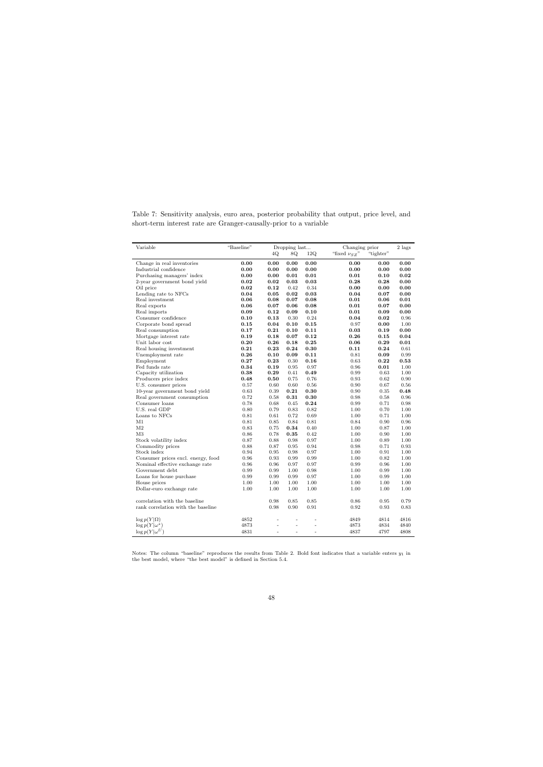|  |  |  | Table 7: Sensitivity analysis, euro area, posterior probability that output, price level, and |  |  |  |
|--|--|--|-----------------------------------------------------------------------------------------------|--|--|--|
|  |  |  | short-term interest rate are Granger-causally-prior to a variable                             |  |  |  |

| Variable                                   | "Baseline"   | Dropping last  |                    |                | Changing prior     |              |              |
|--------------------------------------------|--------------|----------------|--------------------|----------------|--------------------|--------------|--------------|
|                                            |              | 4Q             | 8Q                 | 12Q            | "fixed $\nu_{SZ}"$ | "tighter"    |              |
| Change in real inventories                 | 0.00         | 0.00           | 0.00               | 0.00           | 0.00               | 0.00         | 0.00         |
| Industrial confidence                      | 0.00         | 0.00           | 0.00               | 0.00           | 0.00               | 0.00         | 0.00         |
| Purchasing managers' index                 | 0.00         | 0.00           | 0.01               | 0.01           | 0.01               | 0.10         | 0.02         |
| 2-year government bond yield               | 0.02         | 0.02           | 0.03               | 0.03           | 0.28               | 0.28         | 0.00         |
| Oil price                                  | 0.02         | 0.12           | 0.42               | 0.34           | 0.00               | 0.00         | 0.00         |
| Lending rate to NFCs                       | 0.04         | 0.05           | 0.02               | 0.03           | 0.04               | 0.07         | 0.00         |
| Real investment                            | 0.06         | 0.08           | 0.07               | 0.08           | 0.01               | 0.06         | 0.01         |
| Real exports                               | 0.06         | 0.07           | 0.06               | 0.08           | 0.01               | 0.07         | 0.00         |
| Real imports                               | 0.09         | 0.12           | 0.09               | 0.10           | 0.01               | 0.09         | 0.00         |
| Consumer confidence                        | 0.10         | 0.13           | 0.30               | 0.24           | 0.04               | 0.02         | 0.96         |
| Corporate bond spread                      | 0.15         | 0.04           | 0.10               | 0.15           | 0.97               | 0.00         | 1.00         |
| Real consumption                           | 0.17         | 0.21           | 0.10               | 0.11           | 0.03               | 0.19         | 0.00         |
| Mortgage interest rate                     | 0.19         | 0.18           | 0.07               | 0.12           | 0.26               | 0.15         | 0.04         |
| Unit labor cost                            | 0.20         | 0.26           | 0.18               | 0.25           | 0.06               | 0.29         | 0.01         |
| Real housing investment                    | 0.21         | 0.23           | 0.24               | 0.30           | 0.11               | 0.24         | 0.61         |
| Unemployment rate                          | 0.26         | 0.10           | 0.09               | 0.11           | 0.81               | 0.09         | 0.99         |
| Employment                                 | 0.27         | 0.23           | 0.30               | 0.16           | 0.63               | 0.22         | 0.53         |
| Fed funds rate                             | 0.34         | 0.19           | 0.95               | 0.97           | 0.96               | 0.01         | 1.00         |
| Capacity utilization                       | 0.38         | 0.29           | 0.41               | 0.49           | 0.99               | 0.63         | 1.00         |
| Producers price index                      | 0.48         | 0.50           | 0.75               | 0.76           | 0.93               | 0.62         | 0.90         |
| U.S. consumer prices                       | 0.57         | 0.60           | 0.60               | 0.56           | 0.90               | 0.67         | 0.56         |
| 10-year government bond yield              | 0.63         | 0.39           | 0.21               | 0.30           | 0.90               | 0.35         | 0.48         |
| Real government consumption                | 0.72         | 0.58           | 0.31               | 0.30           | 0.98               | 0.58         | 0.96         |
| Consumer loans                             | 0.78         | 0.68           | 0.45               | 0.24           | 0.99               | 0.71         | 0.98         |
| U.S. real GDP                              | 0.80         | 0.79           | 0.83               | 0.82           | 1.00               | 0.70         | 1.00         |
| Loans to NFCs                              | 0.81         | 0.61           | 0.72               | 0.69           | 1.00               | 0.71         | 1.00         |
| M1                                         | 0.81         | 0.85           | 0.84               | 0.81           | 0.84               | 0.90         | 0.96         |
| M <sub>2</sub>                             | 0.83         | 0.75           | 0.34               | 0.40           | 1.00               | 0.87         | 1.00         |
| M <sub>3</sub>                             | 0.86         | 0.78           | 0.35               | 0.42           | 1.00               | 0.90         | 1.00         |
| Stock volatility index<br>Commodity prices | 0.87<br>0.88 | 0.88<br>0.87   | 0.98<br>$\rm 0.95$ | 0.97<br>0.94   | 1.00<br>0.98       | 0.89<br>0.71 | 1.00<br>0.93 |
| Stock index                                |              |                |                    |                |                    |              |              |
| Consumer prices excl. energy, food         | 0.94<br>0.96 | 0.95<br>0.93   | 0.98<br>0.99       | 0.97<br>0.99   | 1.00<br>1.00       | 0.91<br>0.82 | 1.00<br>1.00 |
| Nominal effective exchange rate            | 0.96         | 0.96           | 0.97               | 0.97           | 0.99               | 0.96         | 1.00         |
| Government debt                            | 0.99         | 0.99           | 1.00               | 0.98           | 1.00               | 0.99         | 1.00         |
| Loans for house purchase                   | 0.99         | 0.99           | 0.99               | 0.97           | 1.00               | 0.99         | 1.00         |
| House prices                               | 1.00         | 1.00           | 1.00               | 1.00           | 1.00               | 1.00         | 1.00         |
| Dollar-euro exchange rate                  | 1.00         | 1.00           | 1.00               | 1.00           | 1.00               | 1.00         | 1.00         |
|                                            |              |                |                    |                |                    |              |              |
| correlation with the baseline              |              | 0.98           | 0.85               | $\rm 0.85$     | 0.86               | 0.95         | 0.79         |
| rank correlation with the baseline         |              | $\rm 0.98$     | 0.90               | 0.91           | 0.92               | 0.93         | 0.83         |
|                                            |              |                |                    |                |                    |              |              |
| $\log p(Y \Omega)$                         | 4852         | $\overline{a}$ | $\overline{a}$     |                | 4849               | 4814         | 4816         |
| $\log p(Y \omega^*)$                       | 4873         |                | $\overline{a}$     |                | 4873               | 4834         | 4840         |
| $\log p(Y \omega^U)$                       | 4831         | $\overline{a}$ | $\overline{a}$     | $\overline{a}$ | 4837               | 4797         | 4808         |

Notes: The column "baseline" reproduces the results from Table 2. Bold font indicates that a variable enters  $y_1$  in the best model, where "the best model" is defined in Section 5.4.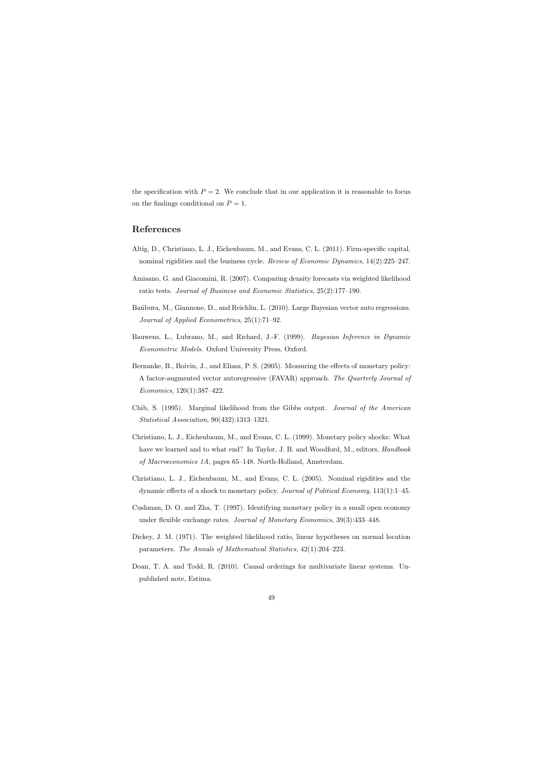the specification with  $P = 2$ . We conclude that in our application it is reasonable to focus on the findings conditional on  $P = 1$ .

## References

- Altig, D., Christiano, L. J., Eichenbaum, M., and Evans, C. L. (2011). Firm-specific capital, nominal rigidities and the business cycle. Review of Economic Dynamics, 14(2):225–247.
- Amisano, G. and Giacomini, R. (2007). Comparing density forecasts via weighted likelihood ratio tests. Journal of Business and Economic Statistics, 25(2):177–190.
- Ban´bura, M., Giannone, D., and Reichlin, L. (2010). Large Bayesian vector auto regressions. Journal of Applied Econometrics, 25(1):71–92.
- Bauwens, L., Lubrano, M., and Richard, J.-F. (1999). Bayesian Inference in Dynamic Econometric Models. Oxford University Press, Oxford.
- Bernanke, B., Boivin, J., and Eliasz, P. S. (2005). Measuring the effects of monetary policy: A factor-augmented vector autoregressive (FAVAR) approach. The Quarterly Journal of Economics, 120(1):387–422.
- Chib, S. (1995). Marginal likelihood from the Gibbs output. Journal of the American Statistical Association, 90(432):1313–1321.
- Christiano, L. J., Eichenbaum, M., and Evans, C. L. (1999). Monetary policy shocks: What have we learned and to what end? In Taylor, J. B. and Woodford, M., editors, *Handbook* of Macroeconomics 1A, pages 65–148. North-Holland, Amsterdam.
- Christiano, L. J., Eichenbaum, M., and Evans, C. L. (2005). Nominal rigidities and the dynamic effects of a shock to monetary policy. Journal of Political Economy, 113(1):1–45.
- Cushman, D. O. and Zha, T. (1997). Identifying monetary policy in a small open economy under flexible exchange rates. *Journal of Monetary Economics*, 39(3):433–448.
- Dickey, J. M. (1971). The weighted likelihood ratio, linear hypotheses on normal location parameters. The Annals of Mathematical Statistics, 42(1):204–223.
- Doan, T. A. and Todd, R. (2010). Causal orderings for multivariate linear systems. Unpublished note, Estima.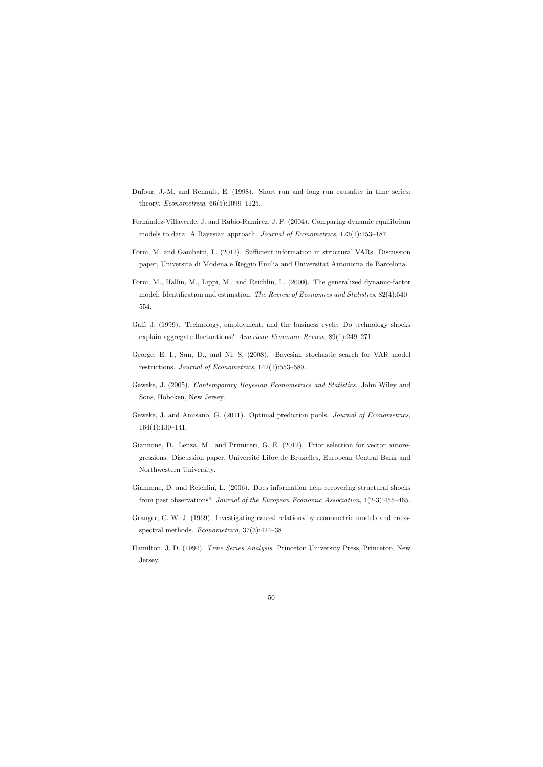- Dufour, J.-M. and Renault, E. (1998). Short run and long run causality in time series: theory. Econometrica, 66(5):1099–1125.
- Fernández-Villaverde, J. and Rubio-Ramirez, J. F. (2004). Comparing dynamic equilibrium models to data: A Bayesian approach. Journal of Econometrics, 123(1):153–187.
- Forni, M. and Gambetti, L. (2012). Sufficient information in structural VARs. Discussion paper, Universita di Modena e Reggio Emilia and Universitat Autonoma de Barcelona.
- Forni, M., Hallin, M., Lippi, M., and Reichlin, L. (2000). The generalized dynamic-factor model: Identification and estimation. The Review of Economics and Statistics, 82(4):540– 554.
- Galí, J. (1999). Technology, employment, and the business cycle: Do technology shocks explain aggregate fluctuations? American Economic Review, 89(1):249–271.
- George, E. I., Sun, D., and Ni, S. (2008). Bayesian stochastic search for VAR model restrictions. Journal of Econometrics, 142(1):553–580.
- Geweke, J. (2005). Contemporary Bayesian Econometrics and Statistics. John Wiley and Sons, Hoboken, New Jersey.
- Geweke, J. and Amisano, G. (2011). Optimal prediction pools. Journal of Econometrics, 164(1):130–141.
- Giannone, D., Lenza, M., and Primiceri, G. E. (2012). Prior selection for vector autoregressions. Discussion paper, Universit´e Libre de Bruxelles, European Central Bank and Northwestern University.
- Giannone, D. and Reichlin, L. (2006). Does information help recovering structural shocks from past observations? Journal of the European Economic Association, 4(2-3):455–465.
- Granger, C. W. J. (1969). Investigating causal relations by econometric models and crossspectral methods. Econometrica, 37(3):424–38.
- Hamilton, J. D. (1994). Time Series Analysis. Princeton University Press, Princeton, New Jersey.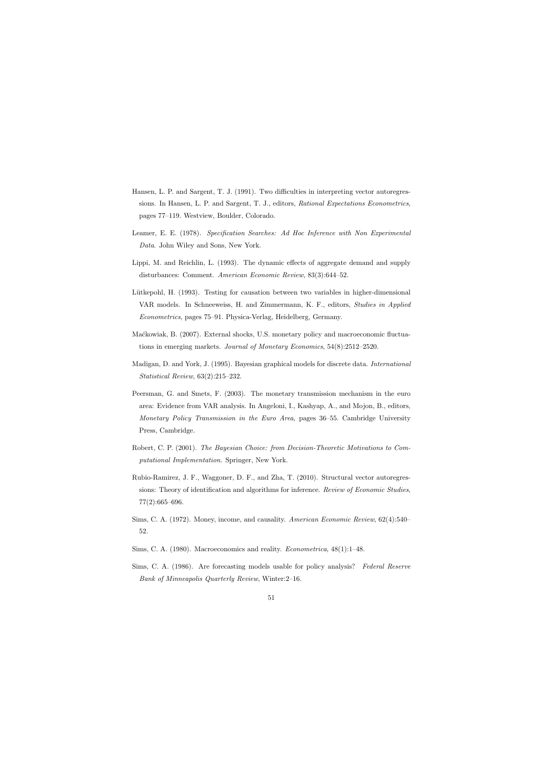- Hansen, L. P. and Sargent, T. J. (1991). Two difficulties in interpreting vector autoregressions. In Hansen, L. P. and Sargent, T. J., editors, Rational Expectations Econometrics, pages 77–119. Westview, Boulder, Colorado.
- Leamer, E. E. (1978). Specification Searches: Ad Hoc Inference with Non Experimental Data. John Wiley and Sons, New York.
- Lippi, M. and Reichlin, L. (1993). The dynamic effects of aggregate demand and supply disturbances: Comment. American Economic Review, 83(3):644–52.
- Lütkepohl, H. (1993). Testing for causation between two variables in higher-dimensional VAR models. In Schneeweiss, H. and Zimmermann, K. F., editors, Studies in Applied Econometrics, pages 75–91. Physica-Verlag, Heidelberg, Germany.
- Maćkowiak, B. (2007). External shocks, U.S. monetary policy and macroeconomic fluctuations in emerging markets. Journal of Monetary Economics, 54(8):2512–2520.
- Madigan, D. and York, J. (1995). Bayesian graphical models for discrete data. International Statistical Review, 63(2):215–232.
- Peersman, G. and Smets, F. (2003). The monetary transmission mechanism in the euro area: Evidence from VAR analysis. In Angeloni, I., Kashyap, A., and Mojon, B., editors, Monetary Policy Transmission in the Euro Area, pages 36–55. Cambridge University Press, Cambridge.
- Robert, C. P. (2001). The Bayesian Choice: from Decision-Theoretic Motivations to Computational Implementation. Springer, New York.
- Rubio-Ramirez, J. F., Waggoner, D. F., and Zha, T. (2010). Structural vector autoregressions: Theory of identification and algorithms for inference. Review of Economic Studies, 77(2):665–696.
- Sims, C. A. (1972). Money, income, and causality. American Economic Review, 62(4):540– 52.
- Sims, C. A. (1980). Macroeconomics and reality. Econometrica, 48(1):1–48.
- Sims, C. A. (1986). Are forecasting models usable for policy analysis? Federal Reserve Bank of Minneapolis Quarterly Review, Winter:2–16.